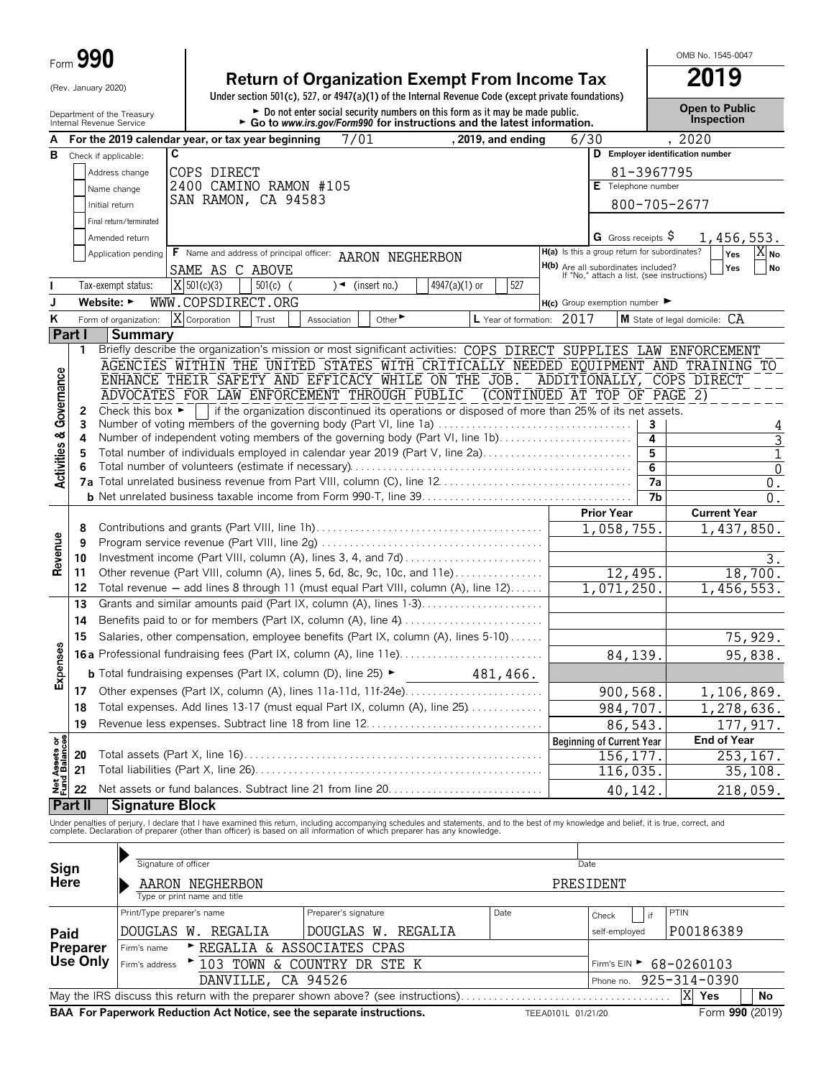|                                        | Form $990$                                             |                            |                                                   |            |                                                                                                                                                                                                                                   |                             |                  |                      |      |                                                                                          |    | OMB No. 1545-0047                          |                                 |
|----------------------------------------|--------------------------------------------------------|----------------------------|---------------------------------------------------|------------|-----------------------------------------------------------------------------------------------------------------------------------------------------------------------------------------------------------------------------------|-----------------------------|------------------|----------------------|------|------------------------------------------------------------------------------------------|----|--------------------------------------------|---------------------------------|
|                                        | (Rev. January 2020)                                    |                            |                                                   |            | <b>Return of Organization Exempt From Income Tax</b>                                                                                                                                                                              |                             |                  |                      |      |                                                                                          |    | 2019                                       |                                 |
|                                        |                                                        |                            |                                                   |            | Under section $501(c)$ , $527$ , or $4947(a)(1)$ of the Internal Revenue Code (except private foundations)                                                                                                                        |                             |                  |                      |      |                                                                                          |    |                                            |                                 |
|                                        | Department of the Treasury<br>Internal Revenue Service |                            |                                                   |            | Do not enter social security numbers on this form as it may be made public.<br>► Go to www.irs.gov/Form990 for instructions and the latest information.                                                                           |                             |                  |                      |      |                                                                                          |    | <b>Open to Public</b><br><b>Inspection</b> |                                 |
|                                        |                                                        |                            | For the 2019 calendar year, or tax year beginning |            | 7/01                                                                                                                                                                                                                              |                             |                  | , 2019, and ending   |      | 6/30                                                                                     |    | , 2020                                     |                                 |
| в                                      | Check if applicable:                                   | C                          |                                                   |            |                                                                                                                                                                                                                                   |                             |                  |                      |      |                                                                                          |    | D Employer identification number           |                                 |
|                                        |                                                        | Address change             | COPS DIRECT                                       |            |                                                                                                                                                                                                                                   |                             |                  |                      |      |                                                                                          |    | 81-3967795                                 |                                 |
|                                        |                                                        | Name change                | 2400 CAMINO RAMON #105<br>SAN RAMON, CA 94583     |            |                                                                                                                                                                                                                                   |                             |                  |                      |      | E Telephone number                                                                       |    |                                            |                                 |
|                                        |                                                        | Initial return             |                                                   |            |                                                                                                                                                                                                                                   |                             |                  |                      |      |                                                                                          |    | 800-705-2677                               |                                 |
|                                        |                                                        | Final return/terminated    |                                                   |            |                                                                                                                                                                                                                                   |                             |                  |                      |      |                                                                                          |    |                                            |                                 |
|                                        |                                                        | Amended return             |                                                   |            |                                                                                                                                                                                                                                   |                             |                  |                      |      | G Gross receipts $\varphi$<br>H(a) Is this a group return for subordinates?              |    |                                            | 1,456,553.<br>$\overline{X}$ No |
|                                        |                                                        | Application pending        | SAME AS C ABOVE                                   |            | F Name and address of principal officer: AARON NEGHERBON                                                                                                                                                                          |                             |                  |                      |      |                                                                                          |    |                                            | Yes<br>No<br>Yes                |
|                                        |                                                        | Tax-exempt status:         | $X$ 501(c)(3)                                     | $501(c)$ ( | $\sqrt{\bullet}$ (insert no.)                                                                                                                                                                                                     |                             | 4947(a) $(1)$ or | 527                  |      | <b>H(b)</b> Are all subordinates included?<br>If "No," attach a list. (see instructions) |    |                                            |                                 |
|                                        | Website: $\blacktriangleright$                         |                            | WWW.COPSDIRECT.ORG                                |            |                                                                                                                                                                                                                                   |                             |                  |                      |      | $H(c)$ Group exemption number                                                            |    |                                            |                                 |
| ĸ                                      |                                                        | Form of organization:      | X Corporation                                     | Trust      | Association                                                                                                                                                                                                                       | Other $\blacktriangleright$ |                  | L Year of formation: | 2017 |                                                                                          |    | M State of legal domicile: CA              |                                 |
|                                        | Part I                                                 | Summary                    |                                                   |            |                                                                                                                                                                                                                                   |                             |                  |                      |      |                                                                                          |    |                                            |                                 |
|                                        | 1                                                      |                            |                                                   |            | Briefly describe the organization's mission or most significant activities: COPS DIRECT SUPPLIES LAW ENFORCEMENT                                                                                                                  |                             |                  |                      |      |                                                                                          |    |                                            |                                 |
|                                        |                                                        |                            |                                                   |            | AGENCIES WITHIN THE UNITED STATES WITH CRITICALLY NEEDED EQUIPMENT AND TRAINING TO                                                                                                                                                |                             |                  |                      |      |                                                                                          |    |                                            |                                 |
|                                        |                                                        |                            |                                                   |            | ENHANCE THEIR SAFETY AND EFFICACY WHILE ON THE JOB.                                                                                                                                                                               |                             |                  |                      |      |                                                                                          |    | ADDITIONALLY, COPS DIRECT                  |                                 |
|                                        |                                                        |                            |                                                   |            | ADVOCATES FOR LAW ENFORCEMENT THROUGH PUBLIC " (CONTINUED AT TOP OF PAGE 2)                                                                                                                                                       |                             |                  |                      |      |                                                                                          |    |                                            |                                 |
|                                        | 2<br>3                                                 |                            |                                                   |            | Check this box $\blacktriangleright$   if the organization discontinued its operations or disposed of more than 25% of its net assets.<br>Number of voting members of the governing body (Part VI, line 1a)                       |                             |                  |                      |      |                                                                                          | 3  |                                            | 4                               |
|                                        | 4                                                      |                            |                                                   |            | Number of independent voting members of the governing body (Part VI, line 1b)                                                                                                                                                     |                             |                  |                      |      |                                                                                          | 4  |                                            | 3                               |
|                                        | 5                                                      |                            |                                                   |            | Total number of individuals employed in calendar year 2019 (Part V, line 2a)                                                                                                                                                      |                             |                  |                      |      |                                                                                          | 5  |                                            | 1                               |
| <b>Activities &amp; Governance</b>     | 6                                                      |                            |                                                   |            |                                                                                                                                                                                                                                   |                             |                  |                      |      |                                                                                          | 6  |                                            | $\mathbf 0$                     |
|                                        |                                                        |                            |                                                   |            |                                                                                                                                                                                                                                   |                             |                  |                      |      |                                                                                          | 7a |                                            | 0.                              |
|                                        |                                                        |                            |                                                   |            |                                                                                                                                                                                                                                   |                             |                  |                      |      | <b>Prior Year</b>                                                                        | 7b | <b>Current Year</b>                        | 0.                              |
|                                        | 8                                                      |                            |                                                   |            |                                                                                                                                                                                                                                   |                             |                  |                      |      | 1,058,755.                                                                               |    |                                            | 1,437,850.                      |
| Revenue                                | 9                                                      |                            |                                                   |            |                                                                                                                                                                                                                                   |                             |                  |                      |      |                                                                                          |    |                                            |                                 |
|                                        | 10                                                     |                            |                                                   |            | Investment income (Part VIII, column (A), lines 3, 4, and 7d)                                                                                                                                                                     |                             |                  |                      |      |                                                                                          |    |                                            | З.                              |
|                                        | 11                                                     |                            |                                                   |            | Other revenue (Part VIII, column (A), lines 5, 6d, 8c, 9c, 10c, and 11e)                                                                                                                                                          |                             |                  |                      |      | 12,495.                                                                                  |    |                                            | 18,700.                         |
|                                        | 12                                                     |                            |                                                   |            | Total revenue - add lines 8 through 11 (must equal Part VIII, column (A), line 12)                                                                                                                                                |                             |                  |                      |      | 1,071,250                                                                                |    |                                            | 1,456,553.                      |
|                                        | 13                                                     |                            |                                                   |            | Grants and similar amounts paid (Part IX, column (A), lines 1-3)                                                                                                                                                                  |                             |                  |                      |      |                                                                                          |    |                                            |                                 |
|                                        | 14                                                     |                            |                                                   |            |                                                                                                                                                                                                                                   |                             |                  |                      |      |                                                                                          |    |                                            |                                 |
| U)<br>Φ                                | 15                                                     |                            |                                                   |            | Salaries, other compensation, employee benefits (Part IX, column (A), lines 5-10)                                                                                                                                                 |                             |                  |                      |      |                                                                                          |    |                                            | 75,929.                         |
| Expens                                 |                                                        |                            |                                                   |            |                                                                                                                                                                                                                                   |                             |                  |                      |      | 84,139.                                                                                  |    |                                            | 95,838.                         |
|                                        |                                                        |                            |                                                   |            | <b>b</b> Total fundraising expenses (Part IX, column (D), line 25) $\blacktriangleright$                                                                                                                                          |                             |                  | 481,466.             |      |                                                                                          |    |                                            |                                 |
|                                        | 17                                                     |                            |                                                   |            | Total expenses. Add lines 13-17 (must equal Part IX, column (A), line 25)                                                                                                                                                         |                             |                  |                      |      | 900,568.                                                                                 |    |                                            | 1,106,869.                      |
|                                        | 18<br>19                                               |                            |                                                   |            | Revenue less expenses. Subtract line 18 from line 12                                                                                                                                                                              |                             |                  |                      |      | 984,707.                                                                                 |    |                                            | 1,278,636.                      |
|                                        |                                                        |                            |                                                   |            |                                                                                                                                                                                                                                   |                             |                  |                      |      | 86,543.<br><b>Beginning of Current Year</b>                                              |    | <b>End of Year</b>                         | 177, 917.                       |
|                                        | 20                                                     |                            |                                                   |            |                                                                                                                                                                                                                                   |                             |                  |                      |      | 156, 177.                                                                                |    |                                            | 253, 167.                       |
|                                        | 21                                                     |                            |                                                   |            |                                                                                                                                                                                                                                   |                             |                  |                      |      | 116,035.                                                                                 |    |                                            | 35,108.                         |
| <b>Net Assets or<br/>Fund Balances</b> | 22                                                     |                            |                                                   |            |                                                                                                                                                                                                                                   |                             |                  |                      |      | 40,142                                                                                   |    |                                            | 218,059.                        |
|                                        | Part II                                                | <b>Signature Block</b>     |                                                   |            |                                                                                                                                                                                                                                   |                             |                  |                      |      |                                                                                          |    |                                            |                                 |
|                                        |                                                        |                            |                                                   |            | Under penalties of perjury, I declare that I have examined this return, including accompanying schedules and statements, and to the best of my knowledge and belief, it is true, correct, and<br>complete. Declaration of prepare |                             |                  |                      |      |                                                                                          |    |                                            |                                 |
|                                        |                                                        |                            |                                                   |            |                                                                                                                                                                                                                                   |                             |                  |                      |      |                                                                                          |    |                                            |                                 |
|                                        |                                                        | Signature of officer       |                                                   |            |                                                                                                                                                                                                                                   |                             |                  |                      |      | Date                                                                                     |    |                                            |                                 |
| Sign<br>Here                           |                                                        |                            |                                                   |            |                                                                                                                                                                                                                                   |                             |                  |                      |      |                                                                                          |    |                                            |                                 |
|                                        |                                                        |                            | AARON NEGHERBON<br>Type or print name and title   |            |                                                                                                                                                                                                                                   |                             |                  |                      |      | PRESIDENT                                                                                |    |                                            |                                 |
|                                        |                                                        | Print/Type preparer's name |                                                   |            | Preparer's signature                                                                                                                                                                                                              |                             |                  | Date                 |      | Check                                                                                    | if | PTIN                                       |                                 |

| BAA For Paperwork Reduction Act Notice, see the separate instructions.<br>TEEA0101L 01/21/20 |                                                    |                             |                     |  |  |                                        | Form 990 (2019) |  |  |  |
|----------------------------------------------------------------------------------------------|----------------------------------------------------|-----------------------------|---------------------|--|--|----------------------------------------|-----------------|--|--|--|
|                                                                                              | <b>X</b> Yes<br><b>No</b>                          |                             |                     |  |  |                                        |                 |  |  |  |
|                                                                                              | Phone no. $925 - 314 - 0390$<br>DANVILLE, CA 94526 |                             |                     |  |  |                                        |                 |  |  |  |
| Use Only $ F_{\text{Firm's address}} \rangle$ 103 TOWN & COUNTRY DR STE K                    |                                                    |                             |                     |  |  | Firm's EIN $\triangleright$ 68-0260103 |                 |  |  |  |
| Preparer                                                                                     | Firm's name                                        | ► REGALIA & ASSOCIATES CPAS |                     |  |  |                                        |                 |  |  |  |
| Paid                                                                                         |                                                    | DOUGLAS W. REGALIA          | IDOUGLAS W. REGALIA |  |  | self-employed                          | P00186389       |  |  |  |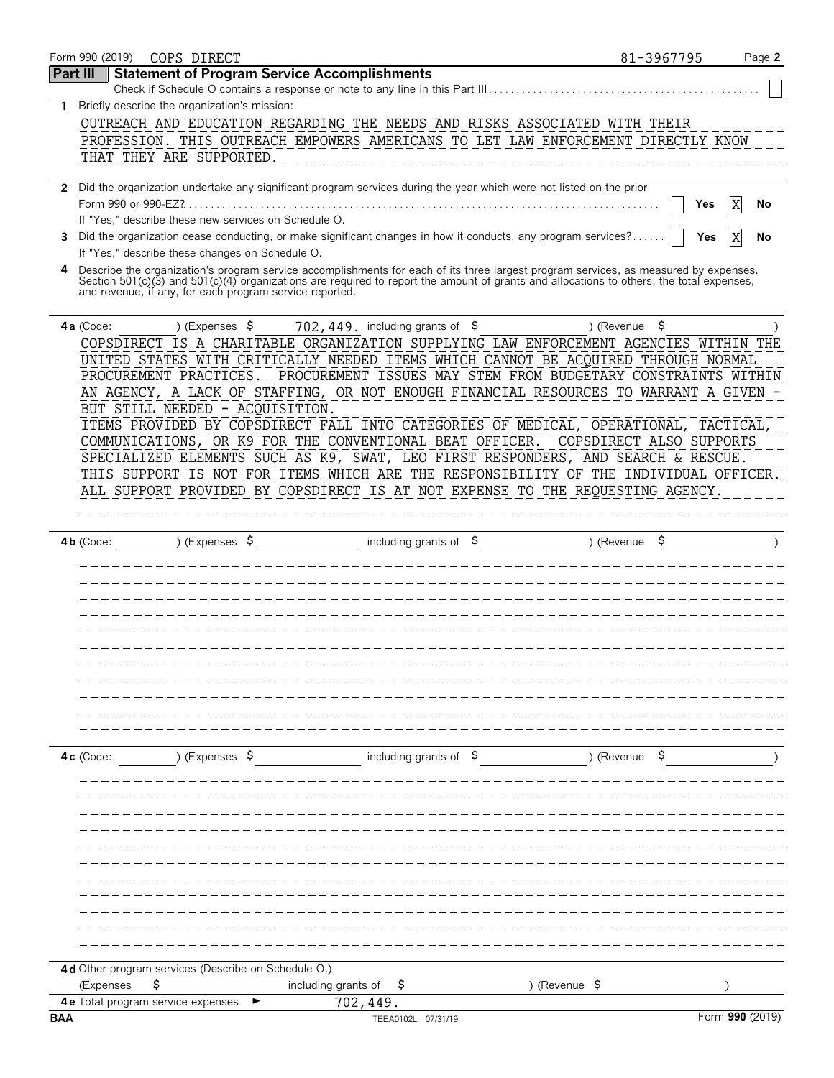| Form 990 (2019) | COPS DIRECT                                             |                                                                                                                      | 81-3967795                                                                                                                                                                                                                                                                       | Page 2          |
|-----------------|---------------------------------------------------------|----------------------------------------------------------------------------------------------------------------------|----------------------------------------------------------------------------------------------------------------------------------------------------------------------------------------------------------------------------------------------------------------------------------|-----------------|
| <b>Part III</b> | <b>Statement of Program Service Accomplishments</b>     | Check if Schedule O contains a response or note to any line in this Part III                                         |                                                                                                                                                                                                                                                                                  |                 |
| $\mathbf{1}$    | Briefly describe the organization's mission:            |                                                                                                                      |                                                                                                                                                                                                                                                                                  |                 |
|                 |                                                         |                                                                                                                      |                                                                                                                                                                                                                                                                                  |                 |
|                 |                                                         |                                                                                                                      | OUTREACH AND EDUCATION REGARDING THE NEEDS AND RISKS ASSOCIATED WITH THEIR                                                                                                                                                                                                       |                 |
|                 |                                                         |                                                                                                                      | PROFESSION. THIS OUTREACH EMPOWERS AMERICANS TO LET LAW ENFORCEMENT DIRECTLY KNOW                                                                                                                                                                                                |                 |
|                 | THAT THEY ARE SUPPORTED.                                |                                                                                                                      |                                                                                                                                                                                                                                                                                  |                 |
|                 |                                                         | 2 Did the organization undertake any significant program services during the year which were not listed on the prior |                                                                                                                                                                                                                                                                                  |                 |
|                 |                                                         |                                                                                                                      | Yes                                                                                                                                                                                                                                                                              | No              |
|                 | If "Yes," describe these new services on Schedule O.    |                                                                                                                      |                                                                                                                                                                                                                                                                                  |                 |
|                 |                                                         |                                                                                                                      |                                                                                                                                                                                                                                                                                  |                 |
| 3               |                                                         | Did the organization cease conducting, or make significant changes in how it conducts, any program services?         | Yes                                                                                                                                                                                                                                                                              |                 |
|                 | If "Yes," describe these changes on Schedule O.         |                                                                                                                      |                                                                                                                                                                                                                                                                                  |                 |
| 4               | and revenue, if any, for each program service reported. |                                                                                                                      | Describe the organization's program service accomplishments for each of its three largest program services, as measured by expenses.<br>Section 501(c)(3) and 501(c)(4) organizations are required to report the amount of grants and allocations to others, the total expenses, |                 |
| 4a (Code:       | ) (Expenses $\sqrt{5}$                                  | 702, 449. including grants of $$$                                                                                    | \$<br>) (Revenue                                                                                                                                                                                                                                                                 |                 |
|                 |                                                         |                                                                                                                      | COPSDIRECT IS A CHARITABLE ORGANIZATION SUPPLYING LAW ENFORCEMENT AGENCIES WITHIN                                                                                                                                                                                                | THE             |
|                 |                                                         |                                                                                                                      | UNITED STATES WITH CRITICALLY NEEDED ITEMS WHICH CANNOT BE ACQUIRED THROUGH NORMAL                                                                                                                                                                                               |                 |
|                 | PROCUREMENT PRACTICES.                                  |                                                                                                                      | PROCUREMENT ISSUES MAY STEM FROM BUDGETARY CONSTRAINTS WITHIN                                                                                                                                                                                                                    |                 |
|                 |                                                         |                                                                                                                      | AN AGENCY, A LACK OF STAFFING, OR NOT ENOUGH FINANCIAL RESOURCES TO WARRANT A GIVEN                                                                                                                                                                                              |                 |
|                 | BUT STILL NEEDED - ACQUISITION.                         |                                                                                                                      |                                                                                                                                                                                                                                                                                  |                 |
|                 |                                                         |                                                                                                                      |                                                                                                                                                                                                                                                                                  |                 |
|                 |                                                         |                                                                                                                      | ITEMS PROVIDED BY COPSDIRECT FALL INTO CATEGORIES OF MEDICAL, OPERATIONAL, TACTICAL                                                                                                                                                                                              |                 |
|                 |                                                         | COMMUNICATIONS, OR K9 FOR THE CONVENTIONAL BEAT OFFICER.                                                             | COPSDIRECT ALSO SUPPORTS                                                                                                                                                                                                                                                         |                 |
|                 |                                                         |                                                                                                                      | SPECIALIZED ELEMENTS SUCH AS K9, SWAT, LEO FIRST RESPONDERS, AND SEARCH & RESCUE.                                                                                                                                                                                                |                 |
|                 |                                                         |                                                                                                                      | THIS SUPPORT IS NOT FOR ITEMS WHICH ARE THE RESPONSIBILITY OF THE INDIVIDUAL OFFICER.                                                                                                                                                                                            |                 |
|                 |                                                         |                                                                                                                      | ALL SUPPORT PROVIDED BY COPSDIRECT IS AT NOT EXPENSE TO THE REQUESTING AGENCY.                                                                                                                                                                                                   |                 |
|                 |                                                         |                                                                                                                      |                                                                                                                                                                                                                                                                                  |                 |
|                 |                                                         |                                                                                                                      |                                                                                                                                                                                                                                                                                  |                 |
| $4b$ (Code:     | ) (Expenses $\sqrt{5}$                                  | including grants of $$$                                                                                              | ) (Revenue                                                                                                                                                                                                                                                                       |                 |
|                 |                                                         |                                                                                                                      |                                                                                                                                                                                                                                                                                  |                 |
|                 |                                                         |                                                                                                                      |                                                                                                                                                                                                                                                                                  |                 |
|                 |                                                         |                                                                                                                      |                                                                                                                                                                                                                                                                                  |                 |
|                 |                                                         |                                                                                                                      |                                                                                                                                                                                                                                                                                  |                 |
|                 |                                                         |                                                                                                                      |                                                                                                                                                                                                                                                                                  |                 |
|                 |                                                         |                                                                                                                      |                                                                                                                                                                                                                                                                                  |                 |
|                 |                                                         |                                                                                                                      |                                                                                                                                                                                                                                                                                  |                 |
|                 |                                                         |                                                                                                                      |                                                                                                                                                                                                                                                                                  |                 |
|                 |                                                         |                                                                                                                      |                                                                                                                                                                                                                                                                                  |                 |
|                 |                                                         |                                                                                                                      |                                                                                                                                                                                                                                                                                  |                 |
|                 |                                                         |                                                                                                                      |                                                                                                                                                                                                                                                                                  |                 |
|                 |                                                         |                                                                                                                      |                                                                                                                                                                                                                                                                                  |                 |
| $4c$ (Code:     | ) (Expenses $\sqrt{5}$                                  | including grants of $\$$                                                                                             | ) (Revenue                                                                                                                                                                                                                                                                       |                 |
|                 |                                                         |                                                                                                                      |                                                                                                                                                                                                                                                                                  |                 |
|                 |                                                         |                                                                                                                      |                                                                                                                                                                                                                                                                                  |                 |
|                 |                                                         |                                                                                                                      |                                                                                                                                                                                                                                                                                  |                 |
|                 |                                                         |                                                                                                                      |                                                                                                                                                                                                                                                                                  |                 |
|                 |                                                         |                                                                                                                      |                                                                                                                                                                                                                                                                                  |                 |
|                 |                                                         |                                                                                                                      |                                                                                                                                                                                                                                                                                  |                 |
|                 |                                                         |                                                                                                                      |                                                                                                                                                                                                                                                                                  |                 |
|                 |                                                         |                                                                                                                      |                                                                                                                                                                                                                                                                                  |                 |
|                 |                                                         |                                                                                                                      |                                                                                                                                                                                                                                                                                  |                 |
|                 |                                                         |                                                                                                                      |                                                                                                                                                                                                                                                                                  |                 |
|                 |                                                         |                                                                                                                      |                                                                                                                                                                                                                                                                                  |                 |
|                 |                                                         |                                                                                                                      |                                                                                                                                                                                                                                                                                  |                 |
|                 |                                                         |                                                                                                                      |                                                                                                                                                                                                                                                                                  |                 |
|                 | 4d Other program services (Describe on Schedule O.)     |                                                                                                                      |                                                                                                                                                                                                                                                                                  |                 |
| (Expenses       | \$                                                      | including grants of<br>Ş                                                                                             | ) (Revenue $\frac{1}{2}$                                                                                                                                                                                                                                                         |                 |
| <b>BAA</b>      | 4e Total program service expenses                       | 702,449.                                                                                                             |                                                                                                                                                                                                                                                                                  | Form 990 (2019) |
|                 |                                                         | TEEA0102L 07/31/19                                                                                                   |                                                                                                                                                                                                                                                                                  |                 |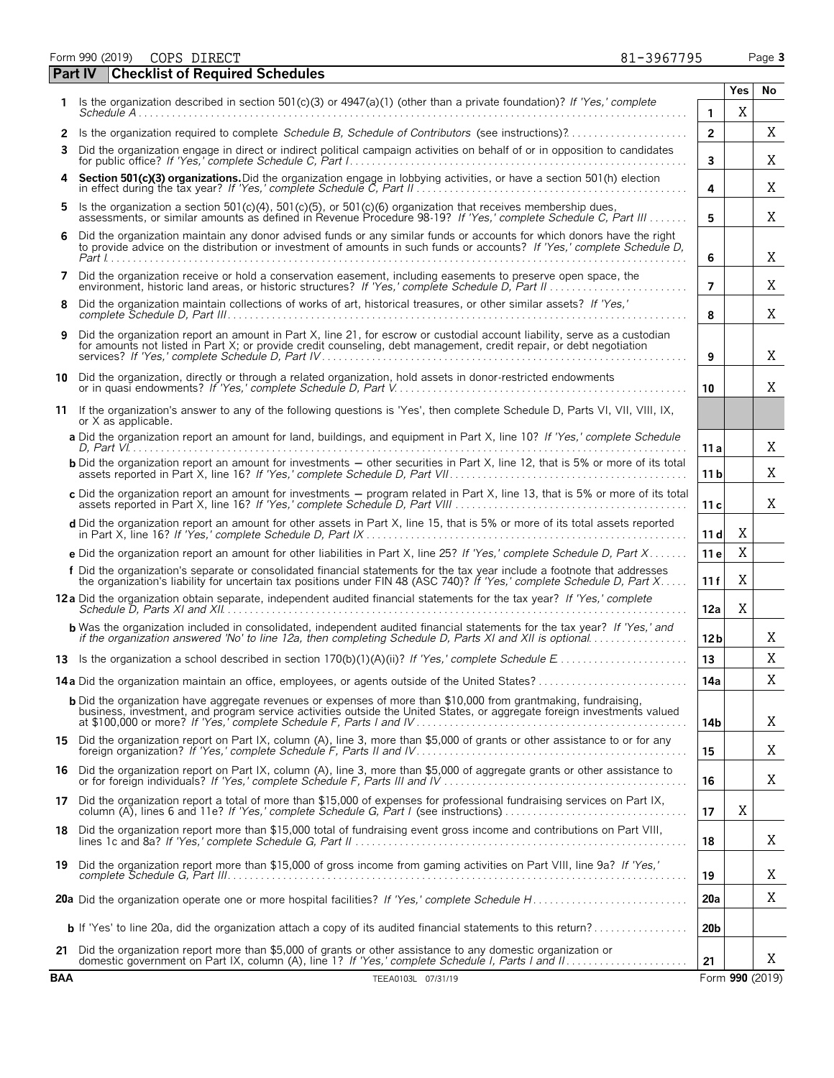Form 990 (2019) Page **3** COPS DIRECT 81-3967795

|    | <b>Part IV</b> | <b>Checklist of Required Schedules</b>                                                                                                                                                                                                              |                 |     |    |
|----|----------------|-----------------------------------------------------------------------------------------------------------------------------------------------------------------------------------------------------------------------------------------------------|-----------------|-----|----|
| 1. |                | Is the organization described in section 501(c)(3) or $4947(a)(1)$ (other than a private foundation)? If 'Yes,' complete                                                                                                                            |                 | Yes | No |
|    |                |                                                                                                                                                                                                                                                     | 1               | X   |    |
|    |                | 2 Is the organization required to complete Schedule B, Schedule of Contributors (see instructions)?                                                                                                                                                 | $\overline{2}$  |     | Χ  |
| 3  |                | Did the organization engage in direct or indirect political campaign activities on behalf of or in opposition to candidates                                                                                                                         | 3               |     | Χ  |
|    |                | Section 501(c)(3) organizations. Did the organization engage in lobbying activities, or have a section 501(h) election                                                                                                                              | 4               |     | Χ  |
| 5. |                | Is the organization a section 501(c)(4), 501(c)(5), or 501(c)(6) organization that receives membership dues,<br>assessments, or similar amounts as defined in Revenue Procedure 98-19? If 'Yes,' complete Schedule C, Part III                      | 5               |     | Χ  |
| 6  |                | Did the organization maintain any donor advised funds or any similar funds or accounts for which donors have the right<br>to provide advice on the distribution or investment of amounts in such funds or accounts? If 'Yes,' complete Schedule D,  | 6               |     | Χ  |
| 7  |                | Did the organization receive or hold a conservation easement, including easements to preserve open space, the                                                                                                                                       | $\overline{7}$  |     | Χ  |
| 8  |                | Did the organization maintain collections of works of art, historical treasures, or other similar assets? If 'Yes,'                                                                                                                                 | 8               |     | Χ  |
| 9  |                | Did the organization report an amount in Part X, line 21, for escrow or custodial account liability, serve as a custodian<br>for amounts not listed in Part X; or provide credit counseling, debt management, credit repair, or debt negotiation    | 9               |     | Χ  |
| 10 |                | Did the organization, directly or through a related organization, hold assets in donor-restricted endowments                                                                                                                                        | 10              |     | Χ  |
| 11 |                | If the organization's answer to any of the following questions is 'Yes', then complete Schedule D, Parts VI, VII, VIII, IX,<br>or X as applicable.                                                                                                  |                 |     |    |
|    |                | a Did the organization report an amount for land, buildings, and equipment in Part X, line 10? If 'Yes,' complete Schedule                                                                                                                          | 11 a            |     | Χ  |
|    |                | <b>b</b> Did the organization report an amount for investments – other securities in Part X, line 12, that is 5% or more of its total                                                                                                               | 11 <sub>b</sub> |     | Χ  |
|    |                | c Did the organization report an amount for investments - program related in Part X, line 13, that is 5% or more of its total                                                                                                                       | 11c             |     | Χ  |
|    |                | d Did the organization report an amount for other assets in Part X, line 15, that is 5% or more of its total assets reported                                                                                                                        | 11d             | Χ   |    |
|    |                | e Did the organization report an amount for other liabilities in Part X, line 25? If 'Yes,' complete Schedule D, Part X                                                                                                                             | 11 e            | X   |    |
|    |                | f Did the organization's separate or consolidated financial statements for the tax year include a footnote that addresses<br>the organization's liability for uncertain tax positions under FIN 48 (ASC 740)? If 'Yes,' complete Schedule D, Part X | 11 f            | Χ   |    |
|    |                |                                                                                                                                                                                                                                                     | 12a             | X   |    |
|    |                | <b>b</b> Was the organization included in consolidated, independent audited financial statements for the tax year? If 'Yes,' and<br>if the organization answered 'No' to line 12a, then completing Schedule D, Parts XI and XII is optional         | 12 <sub>b</sub> |     | X  |
|    |                |                                                                                                                                                                                                                                                     | 13              |     | X  |
|    |                | 14a Did the organization maintain an office, employees, or agents outside of the United States?                                                                                                                                                     | 14a             |     | X  |
|    |                | <b>b</b> Did the organization have aggregate revenues or expenses of more than \$10,000 from grantmaking, fundraising,<br>business, investment, and program service activities outside the United States, or aggregate foreign investments valued   | 14b             |     | X  |
|    |                | 15 Did the organization report on Part IX, column (A), line 3, more than \$5,000 of grants or other assistance to or for any                                                                                                                        | 15              |     | Χ  |
|    |                | 16 Did the organization report on Part IX, column (A), line 3, more than \$5,000 of aggregate grants or other assistance to                                                                                                                         | 16              |     | Χ  |
|    |                | 17 Did the organization report a total of more than \$15,000 of expenses for professional fundraising services on Part IX, column (A), lines 6 and 11e? If 'Yes,' complete Schedule G, Part I (see instructions)                                    | 17              | Χ   |    |
| 18 |                | Did the organization report more than \$15,000 total of fundraising event gross income and contributions on Part VIII,                                                                                                                              | 18              |     | Χ  |
|    |                | 19 Did the organization report more than \$15,000 of gross income from gaming activities on Part VIII, line 9a? If 'Yes,'                                                                                                                           | 19              |     | Χ  |
|    |                |                                                                                                                                                                                                                                                     | 20a             |     | Χ  |
|    |                | <b>b</b> If 'Yes' to line 20a, did the organization attach a copy of its audited financial statements to this return?                                                                                                                               | 20 <sub>b</sub> |     |    |
|    |                | 21 Did the organization report more than \$5,000 of grants or other assistance to any domestic organization or                                                                                                                                      | 21              |     | Χ  |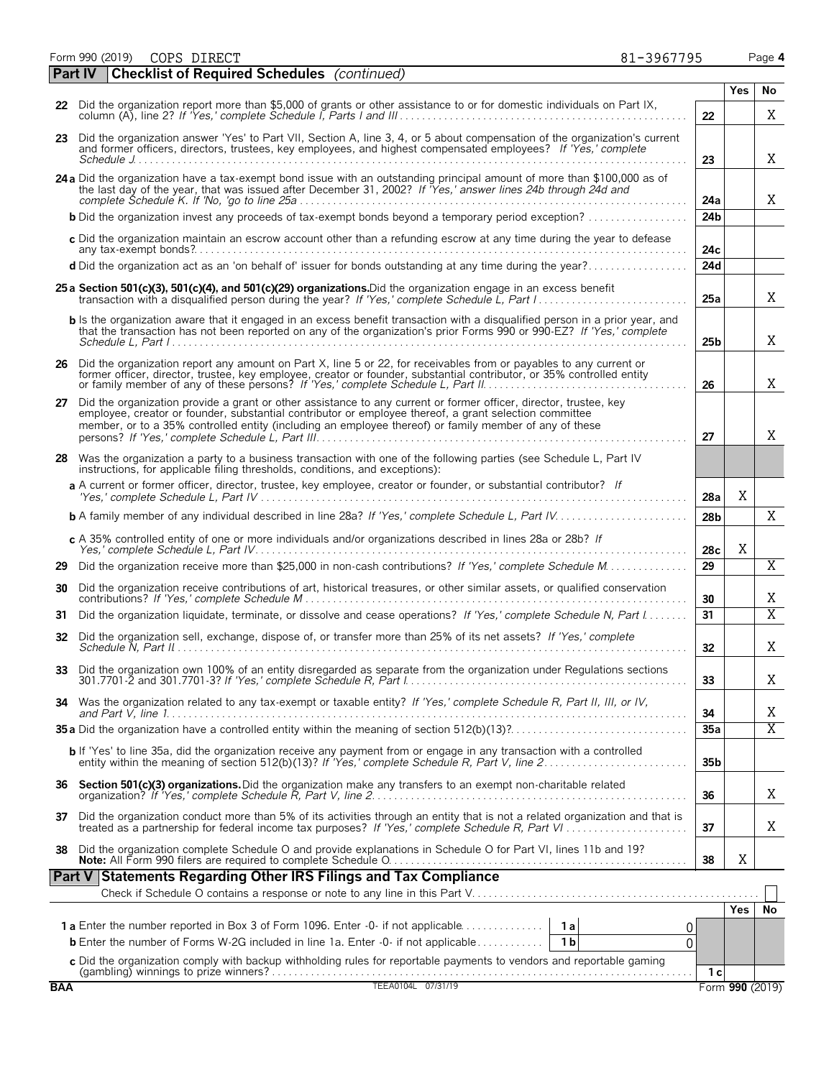Form 990 (2019) Page **4** COPS DIRECT 81-3967795

| 81-3967795 |  |
|------------|--|
|            |  |
|            |  |

|    | <b>Checklist of Required Schedules</b> (continued)<br><b>Part IV</b>                                                                                                                                                                                                                                                                        |                 |            |                |
|----|---------------------------------------------------------------------------------------------------------------------------------------------------------------------------------------------------------------------------------------------------------------------------------------------------------------------------------------------|-----------------|------------|----------------|
|    |                                                                                                                                                                                                                                                                                                                                             |                 | <b>Yes</b> | No             |
|    | 22 Did the organization report more than \$5,000 of grants or other assistance to or for domestic individuals on Part IX,<br>22                                                                                                                                                                                                             |                 |            | Χ              |
|    | 23 Did the organization answer 'Yes' to Part VII, Section A, line 3, 4, or 5 about compensation of the organization's current<br>and former officers, directors, trustees, key employees, and highest compensated employees? If 'Yes,' complete<br>23                                                                                       |                 |            | X              |
|    | 24 a Did the organization have a tax-exempt bond issue with an outstanding principal amount of more than \$100,000 as of<br>the last day of the year, that was issued after December 31, 2002? If "Yes,' answer lines 24b through 24d and                                                                                                   | 24a             |            | X              |
|    |                                                                                                                                                                                                                                                                                                                                             | 24 <sub>b</sub> |            |                |
|    | c Did the organization maintain an escrow account other than a refunding escrow at any time during the year to defease                                                                                                                                                                                                                      | 24c             |            |                |
|    | d Did the organization act as an 'on behalf of' issuer for bonds outstanding at any time during the year?                                                                                                                                                                                                                                   | 24d             |            |                |
|    | 25 a Section 501(c)(3), 501(c)(4), and 501(c)(29) organizations. Did the organization engage in an excess benefit                                                                                                                                                                                                                           | 25a             |            | Χ              |
|    | b Is the organization aware that it engaged in an excess benefit transaction with a disqualified person in a prior year, and<br>that the transaction has not been reported on any of the organization's prior Forms 990 or 990-EZ? If 'Yes,' complete                                                                                       | 25 <sub>b</sub> |            | X              |
|    | 26 Did the organization report any amount on Part X, line 5 or 22, for receivables from or payables to any current or<br>former officer, director, trustee, key employee, creator or founder, substantial contributor, or 35% controlled entity<br>26                                                                                       |                 |            | X              |
| 27 | Did the organization provide a grant or other assistance to any current or former officer, director, trustee, key<br>employee, creator or founder, substantial contributor or employee thereof, a grant selection committee<br>member, or to a 35% controlled entity (including an employee thereof) or family member of any of these<br>27 |                 |            | X              |
|    | 28 Was the organization a party to a business transaction with one of the following parties (see Schedule L, Part IV<br>instructions, for applicable filing thresholds, conditions, and exceptions):                                                                                                                                        |                 |            |                |
|    | a A current or former officer, director, trustee, key employee, creator or founder, or substantial contributor? If                                                                                                                                                                                                                          | 28a             | X          |                |
|    |                                                                                                                                                                                                                                                                                                                                             | 28 <sub>b</sub> |            | X              |
|    | c A 35% controlled entity of one or more individuals and/or organizations described in lines 28a or 28b? If                                                                                                                                                                                                                                 | 28c             | X          |                |
| 29 | 29                                                                                                                                                                                                                                                                                                                                          |                 |            | $\overline{X}$ |
| 30 | Did the organization receive contributions of art, historical treasures, or other similar assets, or qualified conservation<br>30                                                                                                                                                                                                           |                 |            | Χ              |
| 31 | Did the organization liquidate, terminate, or dissolve and cease operations? If 'Yes,' complete Schedule N, Part I<br>31                                                                                                                                                                                                                    |                 |            | $\overline{X}$ |
| 32 | Did the organization sell, exchange, dispose of, or transfer more than 25% of its net assets? If 'Yes,' complete<br>32                                                                                                                                                                                                                      |                 |            | X              |
|    | 33 Did the organization own 100% of an entity disregarded as separate from the organization under Regulations sections<br>33                                                                                                                                                                                                                |                 |            | Χ              |
| 34 | Was the organization related to any tax-exempt or taxable entity? If 'Yes,' complete Schedule R, Part II, III, or IV,<br>34                                                                                                                                                                                                                 |                 |            | Χ              |
|    |                                                                                                                                                                                                                                                                                                                                             | 35a             |            | $\overline{X}$ |
|    | <b>b</b> If 'Yes' to line 35a, did the organization receive any payment from or engage in any transaction with a controlled entity within the meaning of section 512(b)(13)? If 'Yes,' complete Schedule R, Part V, line 2                                                                                                                  | 35 <sub>b</sub> |            |                |
| 36 | Section 501(c)(3) organizations. Did the organization make any transfers to an exempt non-charitable related<br>36                                                                                                                                                                                                                          |                 |            | X              |
| 37 | Did the organization conduct more than 5% of its activities through an entity that is not a related organization and that is treated as a partnership for federal income tax purposes? If 'Yes,' complete Schedule R, Part VI.<br>37                                                                                                        |                 |            | X              |
| 38 | Did the organization complete Schedule O and provide explanations in Schedule O for Part VI, lines 11b and 19?<br>38                                                                                                                                                                                                                        |                 | Χ          |                |
|    | Part V Statements Regarding Other IRS Filings and Tax Compliance                                                                                                                                                                                                                                                                            |                 |            |                |
|    |                                                                                                                                                                                                                                                                                                                                             |                 | Yes        | No             |
|    | 0                                                                                                                                                                                                                                                                                                                                           |                 |            |                |
|    | <b>b</b> Enter the number of Forms W-2G included in line 1a. Enter -0- if not applicable<br>1 <sub>b</sub><br>$\Omega$                                                                                                                                                                                                                      |                 |            |                |
|    | c Did the organization comply with backup withholding rules for reportable payments to vendors and reportable gaming                                                                                                                                                                                                                        | 1 с             |            |                |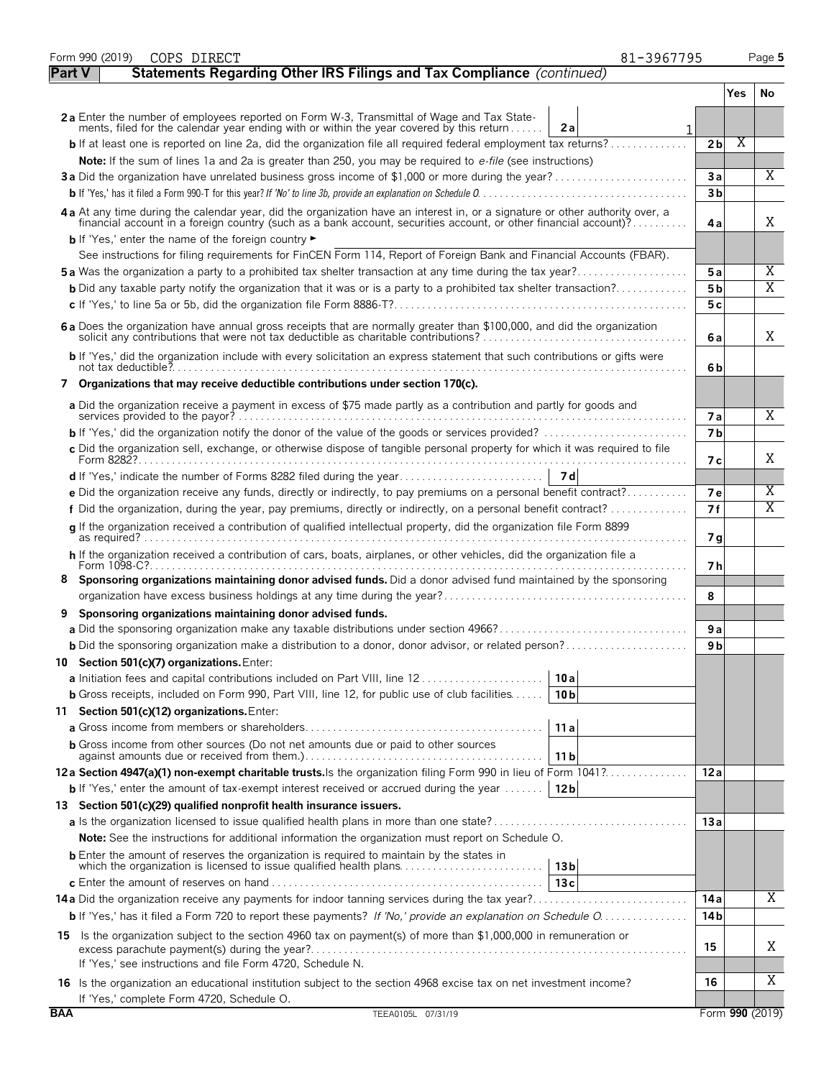|               | Form 990 (2019)<br>COPS DIRECT<br>81-3967795                                                                                                                                                                                   |                 |     | Page 5                  |
|---------------|--------------------------------------------------------------------------------------------------------------------------------------------------------------------------------------------------------------------------------|-----------------|-----|-------------------------|
| <b>Part V</b> | Statements Regarding Other IRS Filings and Tax Compliance (continued)                                                                                                                                                          |                 |     |                         |
|               |                                                                                                                                                                                                                                |                 | Yes | No                      |
|               | 2a Enter the number of employees reported on Form W-3, Transmittal of Wage and Tax State-                                                                                                                                      |                 |     |                         |
|               | ments, filed for the calendar year ending with or within the year covered by this return<br>2a                                                                                                                                 |                 |     |                         |
|               |                                                                                                                                                                                                                                | 2 <sub>b</sub>  | Χ   |                         |
|               | Note: If the sum of lines 1a and 2a is greater than 250, you may be required to e-file (see instructions)<br>3a Did the organization have unrelated business gross income of \$1,000 or more during the year?                  | 3a              |     | Χ                       |
|               |                                                                                                                                                                                                                                | 3 <sub>b</sub>  |     |                         |
|               |                                                                                                                                                                                                                                |                 |     |                         |
|               | 4a At any time during the calendar year, did the organization have an interest in, or a signature or other authority over, a financial account in a foreign country (such as a bank account, securities account, or other fina | 4а              |     | X                       |
|               | <b>b</b> If 'Yes,' enter the name of the foreign country<br>See instructions for filing requirements for FinCEN Form 114, Report of Foreign Bank and Financial Accounts (FBAR).                                                |                 |     |                         |
|               | <b>5a</b> Was the organization a party to a prohibited tax shelter transaction at any time during the tax year?                                                                                                                | 5a              |     | X                       |
|               | <b>b</b> Did any taxable party notify the organization that it was or is a party to a prohibited tax shelter transaction?                                                                                                      | 5 <sub>b</sub>  |     | $\overline{\mathrm{X}}$ |
|               |                                                                                                                                                                                                                                | 5c              |     |                         |
|               | 6 a Does the organization have annual gross receipts that are normally greater than \$100,000, and did the organization                                                                                                        |                 |     |                         |
|               | solicit any contributions that were not tax deductible as charitable contributions?                                                                                                                                            | 6a              |     | Χ                       |
|               | b If 'Yes,' did the organization include with every solicitation an express statement that such contributions or gifts were                                                                                                    | 6b              |     |                         |
|               | 7 Organizations that may receive deductible contributions under section 170(c).                                                                                                                                                |                 |     |                         |
|               | a Did the organization receive a payment in excess of \$75 made partly as a contribution and partly for goods and                                                                                                              | <b>7a</b>       |     | Χ                       |
|               | <b>b</b> If 'Yes,' did the organization notify the donor of the value of the goods or services provided? $\ldots$                                                                                                              | <b>7</b> b      |     |                         |
|               | c Did the organization sell, exchange, or otherwise dispose of tangible personal property for which it was required to file                                                                                                    |                 |     |                         |
|               |                                                                                                                                                                                                                                | 7 с             |     | Χ                       |
|               |                                                                                                                                                                                                                                |                 |     |                         |
|               | e Did the organization receive any funds, directly or indirectly, to pay premiums on a personal benefit contract?                                                                                                              | <b>7e</b>       |     | X                       |
|               |                                                                                                                                                                                                                                | 7f              |     | $\overline{\text{X}}$   |
|               | q If the organization received a contribution of qualified intellectual property, did the organization file Form 8899                                                                                                          | 7 g             |     |                         |
|               | h If the organization received a contribution of cars, boats, airplanes, or other vehicles, did the organization file a                                                                                                        |                 |     |                         |
| 8             | Form 1098-C?.<br>Sponsoring organizations maintaining donor advised funds. Did a donor advised fund maintained by the sponsoring                                                                                               | 7 h             |     |                         |
|               |                                                                                                                                                                                                                                | 8               |     |                         |
| 9             | Sponsoring organizations maintaining donor advised funds.                                                                                                                                                                      |                 |     |                         |
|               |                                                                                                                                                                                                                                | 9a              |     |                         |
|               | <b>b</b> Did the sponsoring organization make a distribution to a donor, donor advisor, or related person?                                                                                                                     | 9 b             |     |                         |
|               | 10 Section 501(c)(7) organizations. Enter:                                                                                                                                                                                     |                 |     |                         |
|               | 10 a                                                                                                                                                                                                                           |                 |     |                         |
|               | <b>b</b> Gross receipts, included on Form 990, Part VIII, line 12, for public use of club facilities<br>10 <sub>b</sub>                                                                                                        |                 |     |                         |
|               | 11 Section 501(c)(12) organizations. Enter:                                                                                                                                                                                    |                 |     |                         |
|               | 11 a                                                                                                                                                                                                                           |                 |     |                         |
|               | <b>b</b> Gross income from other sources (Do not net amounts due or paid to other sources<br>11 b                                                                                                                              |                 |     |                         |
|               | 12a Section 4947(a)(1) non-exempt charitable trusts. Is the organization filing Form 990 in lieu of Form 1041?                                                                                                                 | 12a             |     |                         |
|               | <b>b</b> If 'Yes,' enter the amount of tax-exempt interest received or accrued during the year    12b                                                                                                                          |                 |     |                         |
|               | 13 Section 501(c)(29) qualified nonprofit health insurance issuers.                                                                                                                                                            |                 |     |                         |
|               |                                                                                                                                                                                                                                | 13a             |     |                         |
|               | <b>Note:</b> See the instructions for additional information the organization must report on Schedule O.                                                                                                                       |                 |     |                         |
|               | <b>b</b> Enter the amount of reserves the organization is required to maintain by the states in<br>which the organization is licensed to issue qualified health plans<br>13 <sub>b</sub>                                       |                 |     |                         |
|               | 13c                                                                                                                                                                                                                            |                 |     |                         |
|               |                                                                                                                                                                                                                                | 14 a            |     | X                       |
|               | <b>b</b> If 'Yes,' has it filed a Form 720 to report these payments? If 'No,' provide an explanation on Schedule O                                                                                                             | 14 <sub>b</sub> |     |                         |
|               | 15 Is the organization subject to the section 4960 tax on payment(s) of more than \$1,000,000 in remuneration or                                                                                                               | 15              |     | Χ                       |
|               | If 'Yes,' see instructions and file Form 4720, Schedule N.                                                                                                                                                                     |                 |     |                         |
|               | 16 Is the organization an educational institution subject to the section 4968 excise tax on net investment income?                                                                                                             | 16              |     | Χ                       |
|               | If 'Yes,' complete Form 4720, Schedule O.                                                                                                                                                                                      |                 |     |                         |
| <b>BAA</b>    | TEEA0105L 07/31/19                                                                                                                                                                                                             |                 |     | Form 990 (2019)         |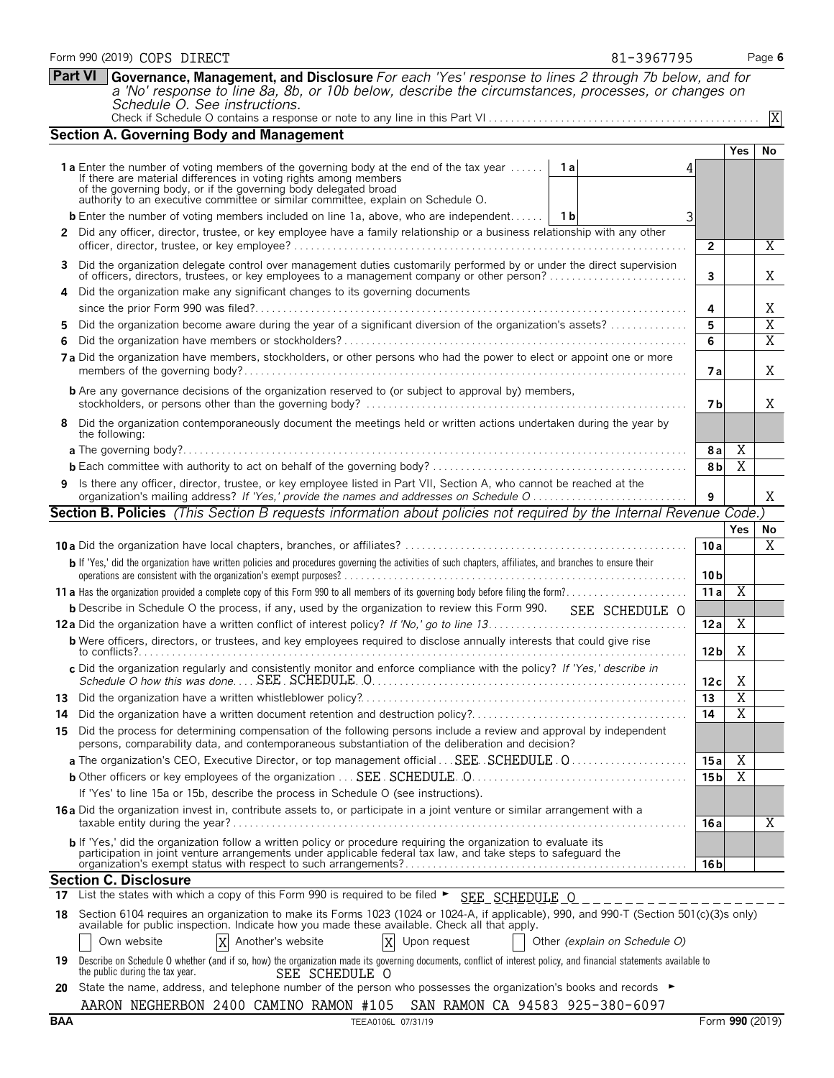|     | Form 990 (2019) COPS DIRECT<br>81-3967795                                                                                                                                                                                                                    |                 |                | Page 6                |
|-----|--------------------------------------------------------------------------------------------------------------------------------------------------------------------------------------------------------------------------------------------------------------|-----------------|----------------|-----------------------|
|     | <b>Part VI</b><br>Governance, Management, and Disclosure For each 'Yes' response to lines 2 through 7b below, and for<br>a 'No' response to line 8a, 8b, or 10b below, describe the circumstances, processes, or changes on<br>Schedule O. See instructions. |                 |                |                       |
|     |                                                                                                                                                                                                                                                              |                 |                | X                     |
|     | <b>Section A. Governing Body and Management</b>                                                                                                                                                                                                              |                 |                |                       |
|     | 1a Enter the number of voting members of the governing body at the end of the tax year<br>1a<br>4                                                                                                                                                            |                 | Yes            | No                    |
|     | If there are material differences in voting rights among members<br>of the governing body, or if the governing body delegated broad<br>authority to an executive committee or similar committee, explain on Schedule O.                                      |                 |                |                       |
|     | <b>b</b> Enter the number of voting members included on line 1a, above, who are independent   1b<br>3                                                                                                                                                        |                 |                |                       |
|     | 2 Did any officer, director, trustee, or key employee have a family relationship or a business relationship with any other                                                                                                                                   | $\mathbf{2}$    |                | Χ                     |
| 3   | Did the organization delegate control over management duties customarily performed by or under the direct supervision of officers, directors, trustees, or key employees to a management company or other person?                                            | 3               |                | Χ                     |
|     | Did the organization make any significant changes to its governing documents                                                                                                                                                                                 | 4               |                | Χ                     |
| 5   | Did the organization become aware during the year of a significant diversion of the organization's assets?                                                                                                                                                   | 5               |                | X                     |
| 6   |                                                                                                                                                                                                                                                              | 6               |                | $\overline{\text{X}}$ |
|     | 7a Did the organization have members, stockholders, or other persons who had the power to elect or appoint one or more                                                                                                                                       | 7 a             |                | X                     |
|     | <b>b</b> Are any governance decisions of the organization reserved to (or subject to approval by) members,                                                                                                                                                   | 7 b             |                | X                     |
|     | 8 Did the organization contemporaneously document the meetings held or written actions undertaken during the year by<br>the following:                                                                                                                       |                 |                |                       |
|     |                                                                                                                                                                                                                                                              | 8 a             | Χ              |                       |
|     |                                                                                                                                                                                                                                                              | 8 <sub>b</sub>  | X              |                       |
|     | Is there any officer, director, trustee, or key employee listed in Part VII, Section A, who cannot be reached at the                                                                                                                                         | 9               |                | Χ                     |
|     | Section B. Policies (This Section B requests information about policies not required by the Internal Revenue Code.)                                                                                                                                          |                 |                |                       |
|     |                                                                                                                                                                                                                                                              |                 |                |                       |
|     |                                                                                                                                                                                                                                                              |                 | Yes            | No                    |
|     |                                                                                                                                                                                                                                                              | 10a             |                | X                     |
|     | b If 'Yes,' did the organization have written policies and procedures governing the activities of such chapters, affiliates, and branches to ensure their                                                                                                    | 10 <sub>b</sub> |                |                       |
|     |                                                                                                                                                                                                                                                              | 11a             | $\overline{X}$ |                       |
|     | <b>b</b> Describe in Schedule O the process, if any, used by the organization to review this Form 990.<br>SEE SCHEDULE O                                                                                                                                     |                 |                |                       |
|     |                                                                                                                                                                                                                                                              | 12a             | Χ              |                       |
|     | <b>b</b> Were officers, directors, or trustees, and key employees required to disclose annually interests that could give rise                                                                                                                               | 12 <sub>b</sub> | X              |                       |
|     | c Did the organization regularly and consistently monitor and enforce compliance with the policy? If 'Yes,' describe in                                                                                                                                      | 12c             | Χ              |                       |
| 13. |                                                                                                                                                                                                                                                              | 13              | Χ              |                       |
| 14  | Did the organization have a written document retention and destruction policy?                                                                                                                                                                               | 14              | Χ              |                       |
| 15  | Did the process for determining compensation of the following persons include a review and approval by independent<br>persons, comparability data, and contemporaneous substantiation of the deliberation and decision?                                      |                 |                |                       |
|     | a The organization's CEO, Executive Director, or top management official SEE SCHEDULE 0                                                                                                                                                                      | 15 a            | Χ              |                       |
|     |                                                                                                                                                                                                                                                              | 15 <sub>b</sub> | X              |                       |
|     | If 'Yes' to line 15a or 15b, describe the process in Schedule O (see instructions).                                                                                                                                                                          |                 |                |                       |
|     | <b>16a</b> Did the organization invest in, contribute assets to, or participate in a joint venture or similar arrangement with a                                                                                                                             | 16 a            |                | Χ                     |
|     | <b>b</b> If 'Yes,' did the organization follow a written policy or procedure requiring the organization to evaluate its<br>participation in joint venture arrangements under applicable federal tax law, and take steps to safeguard the                     |                 |                |                       |
|     |                                                                                                                                                                                                                                                              | 16 <sub>b</sub> |                |                       |
|     | <b>Section C. Disclosure</b><br>17 List the states with which a copy of this Form 990 is required to be filed > SEE_SCHEDULE 0                                                                                                                               |                 |                |                       |

Own website **X** Another's website **X** Upon request **Our Analysis Constructs** Other *(explain on Schedule O)* X Another's website

| 19 Describe on Schedule O whether (and if so, how) the organization made its governing documents, conflict of interest policy, and financial statements available to |                |  |  |  |
|----------------------------------------------------------------------------------------------------------------------------------------------------------------------|----------------|--|--|--|
| the public during the tax year.                                                                                                                                      | SEE SCHEDULE O |  |  |  |

**20** State the name, address, and telephone number of the person who possesses the organization's books and records ▶ AARON NEGHERBON 2400 CAMINO RAMON #105 SAN RAMON CA 94583 925-380-6097 AARON NEGHERBON 2400 CAMINO RAMON #105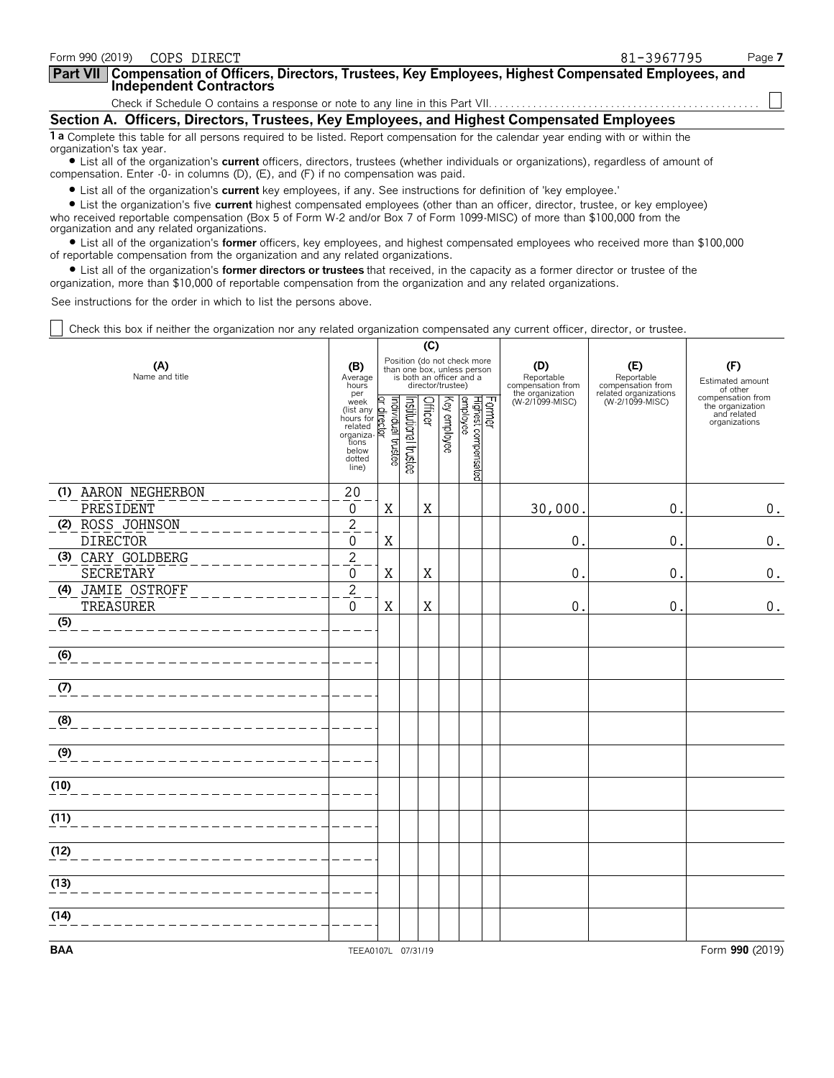| Form 990 (2019)          | COPS DIRECT                                                                                                                                                                                                                                                                                                                                          | 81-3967795 | Page 7 |
|--------------------------|------------------------------------------------------------------------------------------------------------------------------------------------------------------------------------------------------------------------------------------------------------------------------------------------------------------------------------------------------|------------|--------|
|                          | <b>Part VII</b> Compensation of Officers, Directors, Trustees, Key Employees, Highest Compensated Employees, and Independent Contractors                                                                                                                                                                                                             |            |        |
|                          |                                                                                                                                                                                                                                                                                                                                                      |            |        |
|                          | Section A. Officers, Directors, Trustees, Key Employees, and Highest Compensated Employees                                                                                                                                                                                                                                                           |            |        |
| organization's tax year. | 1 a Complete this table for all persons required to be listed. Report compensation for the calendar year ending with or within the                                                                                                                                                                                                                   |            |        |
|                          | • List all of the organization's current officers, directors, trustees (whether individuals or organizations), regardless of amount of<br>compensation. Enter -0- in columns (D), (E), and (F) if no compensation was paid.                                                                                                                          |            |        |
|                          | • List all of the organization's current key employees, if any. See instructions for definition of 'key employee.'<br>A thick and the contract common bighest second contract and contract the second second contract of the final second to the contract of the second to the contract of the contract of the contract of the contract of the contr |            |        |

? List the organization's five **current** highest compensated employees (other than an officer, director, trustee, or key employee) who received reportable compensation (Box 5 of Form W-2 and/or Box 7 of Form 1099-MISC) of more than \$100,000 from the organization and any related organizations.

? List all of the organization's **former** officers, key employees, and highest compensated employees who received more than \$100,000 of reportable compensation from the organization and any related organizations.

? List all of the organization's **former directors or trustees** that received, in the capacity as a former director or trustee of the organization, more than \$10,000 of reportable compensation from the organization and any related organizations.

See instructions for the order in which to list the persons above.

Check this box if neither the organization nor any related organization compensated any current officer, director, or trustee.

|                                     |                                                                                                                                     |                                                                                                             |                       | (C)     |              |                                 |        |                                                            |                                                                 |                                                                       |
|-------------------------------------|-------------------------------------------------------------------------------------------------------------------------------------|-------------------------------------------------------------------------------------------------------------|-----------------------|---------|--------------|---------------------------------|--------|------------------------------------------------------------|-----------------------------------------------------------------|-----------------------------------------------------------------------|
| (A)<br>Name and title               | (B)<br>Average<br>hours<br>per                                                                                                      | Position (do not check more<br>than one box, unless person<br>is both an officer and a<br>director/trustee) |                       |         |              |                                 |        | (D)<br>Reportable<br>compensation from<br>the organization | (E)<br>Reportable<br>compensation from<br>related organizations | (F)<br>Estimated amount<br>of other                                   |
|                                     | per<br>(list any der Citation<br>(list any der Citation)<br>hours for related<br>organizations<br>below<br>dotted<br>line)<br>line) |                                                                                                             | Institutional trustee | Officer | Key employee | Highest compensated<br>employee | Former | (W-2/1099-MISC)                                            | (W-2/1099-MISC)                                                 | compensation from<br>the organization<br>and related<br>organizations |
| (1) AARON NEGHERBON                 | 20                                                                                                                                  |                                                                                                             |                       |         |              |                                 |        |                                                            |                                                                 |                                                                       |
| PRESIDENT                           | 0                                                                                                                                   | Χ                                                                                                           |                       | Χ       |              |                                 |        | 30,000                                                     | $\pmb{0}$                                                       | $0$ .                                                                 |
| (2) ROSS JOHNSON<br><b>DIRECTOR</b> | $\overline{c}$<br>0                                                                                                                 | Χ                                                                                                           |                       |         |              |                                 |        | 0                                                          | 0                                                               | $0$ .                                                                 |
| (3) CARY GOLDBERG                   | $\overline{c}$                                                                                                                      |                                                                                                             |                       |         |              |                                 |        |                                                            |                                                                 |                                                                       |
| <b>SECRETARY</b>                    | 0                                                                                                                                   | X                                                                                                           |                       | Χ       |              |                                 |        | 0                                                          | 0                                                               | $0$ .                                                                 |
| (4) JAMIE OSTROFF<br>TREASURER      | $\overline{2}$<br>$\Omega$                                                                                                          | $\mathbf X$                                                                                                 |                       | X       |              |                                 |        | 0                                                          | 0                                                               | $0$ .                                                                 |
| (5)                                 |                                                                                                                                     |                                                                                                             |                       |         |              |                                 |        |                                                            |                                                                 |                                                                       |
| (6)                                 |                                                                                                                                     |                                                                                                             |                       |         |              |                                 |        |                                                            |                                                                 |                                                                       |
| (7)                                 |                                                                                                                                     |                                                                                                             |                       |         |              |                                 |        |                                                            |                                                                 |                                                                       |
| (8)                                 |                                                                                                                                     |                                                                                                             |                       |         |              |                                 |        |                                                            |                                                                 |                                                                       |
| (9)                                 |                                                                                                                                     |                                                                                                             |                       |         |              |                                 |        |                                                            |                                                                 |                                                                       |
| (10)                                |                                                                                                                                     |                                                                                                             |                       |         |              |                                 |        |                                                            |                                                                 |                                                                       |
| (11)                                |                                                                                                                                     |                                                                                                             |                       |         |              |                                 |        |                                                            |                                                                 |                                                                       |
| (12)                                |                                                                                                                                     |                                                                                                             |                       |         |              |                                 |        |                                                            |                                                                 |                                                                       |
| (13)                                |                                                                                                                                     |                                                                                                             |                       |         |              |                                 |        |                                                            |                                                                 |                                                                       |
| (14)                                |                                                                                                                                     |                                                                                                             |                       |         |              |                                 |        |                                                            |                                                                 |                                                                       |
| <b>BAA</b>                          | TEEA0107L 07/31/19                                                                                                                  |                                                                                                             |                       |         |              |                                 |        |                                                            |                                                                 | Form 990 (2019)                                                       |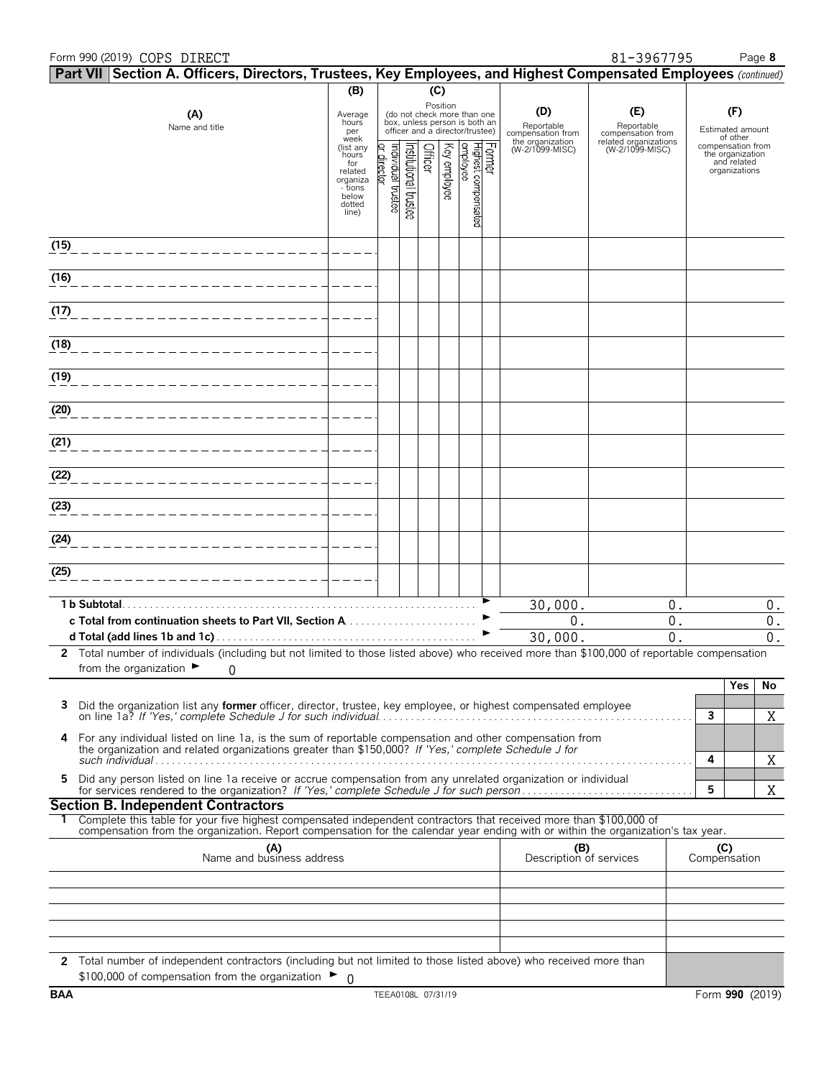### Form 990 (2019) Page **8** COPS DIRECT 81-3967795

| $\mid$ Part VII $\mid$ Section A. Officers, Directors, Trustees, Key Employees, and Highest Compensated Employees (continued)                                                                 |                              |                                  |                      |         |              |                                                                                                             |                               |                                        |                                          |              |                                                   |             |
|-----------------------------------------------------------------------------------------------------------------------------------------------------------------------------------------------|------------------------------|----------------------------------|----------------------|---------|--------------|-------------------------------------------------------------------------------------------------------------|-------------------------------|----------------------------------------|------------------------------------------|--------------|---------------------------------------------------|-------------|
|                                                                                                                                                                                               | (B)                          |                                  |                      | (C)     |              |                                                                                                             |                               |                                        |                                          |              |                                                   |             |
| (A)<br>Name and title                                                                                                                                                                         | Average<br>hours<br>per      |                                  |                      |         |              | Position<br>(do not check more than one<br>box, unless person is both an<br>officer and a director/trustee) |                               | (D)<br>Reportable<br>compensation from | (E)<br>Reportable<br>compensation from   |              | (F)<br>Estimated amount                           |             |
|                                                                                                                                                                                               | week<br>(list any<br>hours   |                                  |                      |         |              |                                                                                                             |                               | the organization<br>(W-2/1099-MISC)    | related organizations<br>(W-2/1099-MISC) |              | of other<br>compensation from<br>the organization |             |
|                                                                                                                                                                                               | for<br>related               | or director<br>ndividual trustee | nstitutional trustee | Officer | Key employee | employee                                                                                                    |                               |                                        |                                          |              | and related<br>organizations                      |             |
|                                                                                                                                                                                               | organiza<br>- tions<br>below |                                  |                      |         |              |                                                                                                             |                               |                                        |                                          |              |                                                   |             |
|                                                                                                                                                                                               | dotted<br>line)              |                                  |                      |         |              |                                                                                                             | Former<br>Highest compensated |                                        |                                          |              |                                                   |             |
|                                                                                                                                                                                               |                              |                                  |                      |         |              |                                                                                                             |                               |                                        |                                          |              |                                                   |             |
| (15)                                                                                                                                                                                          |                              |                                  |                      |         |              |                                                                                                             |                               |                                        |                                          |              |                                                   |             |
| (16)                                                                                                                                                                                          |                              |                                  |                      |         |              |                                                                                                             |                               |                                        |                                          |              |                                                   |             |
|                                                                                                                                                                                               |                              |                                  |                      |         |              |                                                                                                             |                               |                                        |                                          |              |                                                   |             |
| (17)                                                                                                                                                                                          |                              |                                  |                      |         |              |                                                                                                             |                               |                                        |                                          |              |                                                   |             |
| (18)                                                                                                                                                                                          |                              |                                  |                      |         |              |                                                                                                             |                               |                                        |                                          |              |                                                   |             |
|                                                                                                                                                                                               |                              |                                  |                      |         |              |                                                                                                             |                               |                                        |                                          |              |                                                   |             |
| (19)                                                                                                                                                                                          |                              |                                  |                      |         |              |                                                                                                             |                               |                                        |                                          |              |                                                   |             |
| (20)                                                                                                                                                                                          |                              |                                  |                      |         |              |                                                                                                             |                               |                                        |                                          |              |                                                   |             |
|                                                                                                                                                                                               |                              |                                  |                      |         |              |                                                                                                             |                               |                                        |                                          |              |                                                   |             |
| (21)                                                                                                                                                                                          |                              |                                  |                      |         |              |                                                                                                             |                               |                                        |                                          |              |                                                   |             |
|                                                                                                                                                                                               |                              |                                  |                      |         |              |                                                                                                             |                               |                                        |                                          |              |                                                   |             |
| (22)                                                                                                                                                                                          |                              |                                  |                      |         |              |                                                                                                             |                               |                                        |                                          |              |                                                   |             |
| (23)                                                                                                                                                                                          |                              |                                  |                      |         |              |                                                                                                             |                               |                                        |                                          |              |                                                   |             |
|                                                                                                                                                                                               |                              |                                  |                      |         |              |                                                                                                             |                               |                                        |                                          |              |                                                   |             |
| (24)                                                                                                                                                                                          |                              |                                  |                      |         |              |                                                                                                             |                               |                                        |                                          |              |                                                   |             |
| (25)                                                                                                                                                                                          |                              |                                  |                      |         |              |                                                                                                             |                               |                                        |                                          |              |                                                   |             |
|                                                                                                                                                                                               |                              |                                  |                      |         |              |                                                                                                             |                               |                                        |                                          |              |                                                   |             |
| 1 b Subtotal.                                                                                                                                                                                 |                              |                                  |                      |         |              |                                                                                                             |                               | 30,000.                                | $0$ .                                    |              |                                                   | 0.          |
|                                                                                                                                                                                               |                              |                                  |                      |         |              |                                                                                                             |                               | 0.<br>30,000.                          | 0.<br>$\overline{0}$                     |              |                                                   | $0$ .<br>0. |
| 2 Total number of individuals (including but not limited to those listed above) who received more than \$100,000 of reportable compensation                                                   |                              |                                  |                      |         |              |                                                                                                             |                               |                                        |                                          |              |                                                   |             |
| from the organization $\blacktriangleright$<br>0                                                                                                                                              |                              |                                  |                      |         |              |                                                                                                             |                               |                                        |                                          |              |                                                   |             |
|                                                                                                                                                                                               |                              |                                  |                      |         |              |                                                                                                             |                               |                                        |                                          |              | Yes                                               | No          |
| 3<br>Did the organization list any <b>former</b> officer, director, trustee, key employee, or highest compensated employee<br>on line 1a? If 'Yes,' complete Schedule J for such individual   |                              |                                  |                      |         |              |                                                                                                             |                               |                                        |                                          | 3            |                                                   | Χ           |
| 4 For any individual listed on line 1a, is the sum of reportable compensation and other compensation from                                                                                     |                              |                                  |                      |         |              |                                                                                                             |                               |                                        |                                          |              |                                                   |             |
| the organization and related organizations greater than \$150,000? If 'Yes,' complete Schedule J for                                                                                          |                              |                                  |                      |         |              |                                                                                                             |                               |                                        |                                          | 4            |                                                   | X           |
| Did any person listed on line 1a receive or accrue compensation from any unrelated organization or individual<br>5                                                                            |                              |                                  |                      |         |              |                                                                                                             |                               |                                        |                                          |              |                                                   |             |
| <b>Section B. Independent Contractors</b>                                                                                                                                                     |                              |                                  |                      |         |              |                                                                                                             |                               |                                        |                                          | 5            |                                                   | X           |
| Complete this table for your five highest compensated independent contractors that received more than \$100,000 of                                                                            |                              |                                  |                      |         |              |                                                                                                             |                               |                                        |                                          |              |                                                   |             |
| compensation from the organization. Report compensation for the calendar year ending with or within the organization's tax year.<br>(A)                                                       |                              |                                  |                      |         |              |                                                                                                             |                               | (B)                                    |                                          | (C)          |                                                   |             |
| Name and business address                                                                                                                                                                     |                              |                                  |                      |         |              |                                                                                                             |                               | Description of services                |                                          | Compensation |                                                   |             |
|                                                                                                                                                                                               |                              |                                  |                      |         |              |                                                                                                             |                               |                                        |                                          |              |                                                   |             |
|                                                                                                                                                                                               |                              |                                  |                      |         |              |                                                                                                             |                               |                                        |                                          |              |                                                   |             |
|                                                                                                                                                                                               |                              |                                  |                      |         |              |                                                                                                             |                               |                                        |                                          |              |                                                   |             |
|                                                                                                                                                                                               |                              |                                  |                      |         |              |                                                                                                             |                               |                                        |                                          |              |                                                   |             |
| 2 Total number of independent contractors (including but not limited to those listed above) who received more than<br>\$100,000 of compensation from the organization $\blacktriangleright$ 0 |                              |                                  |                      |         |              |                                                                                                             |                               |                                        |                                          |              |                                                   |             |
|                                                                                                                                                                                               |                              |                                  |                      |         |              |                                                                                                             |                               |                                        |                                          |              |                                                   |             |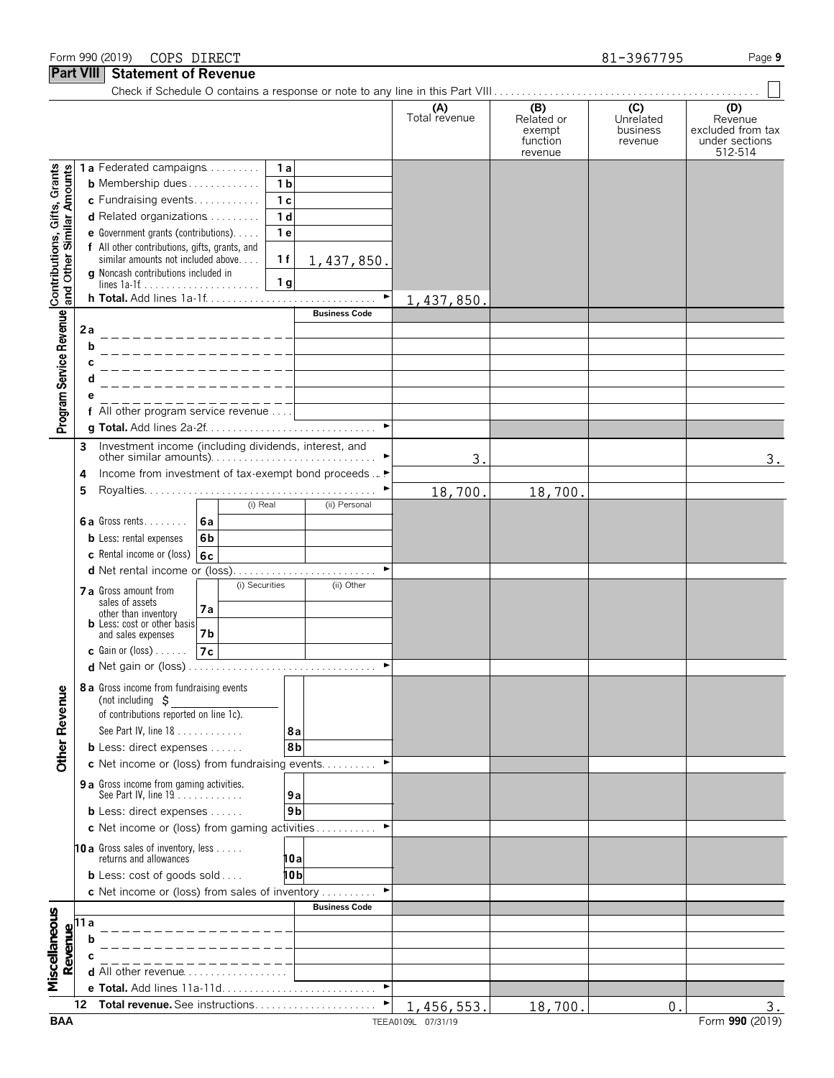### Form 990 (2019) Page **9** COPS DIRECT 81-3967795

**Part VIII Statement of Revenue**

| $\overline{ }$ are vill                                   |      | <b>SIGICITICITI OF ITE ACTING</b>                                                           |                |                           |                      |                                                    |                                         |                                                                  |
|-----------------------------------------------------------|------|---------------------------------------------------------------------------------------------|----------------|---------------------------|----------------------|----------------------------------------------------|-----------------------------------------|------------------------------------------------------------------|
|                                                           |      |                                                                                             |                |                           | (A)<br>Total revenue | (B)<br>Related or<br>exempt<br>function<br>revenue | (C)<br>Unrelated<br>business<br>revenue | (D)<br>Revenue<br>excluded from tax<br>under sections<br>512-514 |
|                                                           |      | 1a Federated campaigns                                                                      | 1a             |                           |                      |                                                    |                                         |                                                                  |
| Contributions, Gifts, Grants<br>and Other Similar Amounts |      | <b>b</b> Membership dues                                                                    | 1 <sub>b</sub> |                           |                      |                                                    |                                         |                                                                  |
|                                                           |      | c Fundraising events                                                                        | 1 <sub>c</sub> |                           |                      |                                                    |                                         |                                                                  |
|                                                           |      | $d$ Related organizations $\ldots \ldots$                                                   | 1 <sub>d</sub> |                           |                      |                                                    |                                         |                                                                  |
|                                                           |      | e Government grants (contributions).                                                        | 1e             |                           |                      |                                                    |                                         |                                                                  |
|                                                           |      | f All other contributions, gifts, grants, and<br>similar amounts not included above.        | 1f             | 1,437,850.                |                      |                                                    |                                         |                                                                  |
|                                                           |      | g Noncash contributions included in                                                         |                |                           |                      |                                                    |                                         |                                                                  |
|                                                           |      |                                                                                             | 1 <sub>g</sub> |                           |                      |                                                    |                                         |                                                                  |
|                                                           |      |                                                                                             |                | ▶<br><b>Business Code</b> | 1,437,850.           |                                                    |                                         |                                                                  |
|                                                           | 2 a  |                                                                                             |                |                           |                      |                                                    |                                         |                                                                  |
| Program Service Revenue                                   |      | _______________<br>b                                                                        |                |                           |                      |                                                    |                                         |                                                                  |
|                                                           | С    |                                                                                             |                |                           |                      |                                                    |                                         |                                                                  |
|                                                           |      | _______________<br>d                                                                        |                |                           |                      |                                                    |                                         |                                                                  |
|                                                           |      | _ _ _ _ _ _ _ _ _ _ _ _ _ _ _                                                               |                |                           |                      |                                                    |                                         |                                                                  |
|                                                           |      | f All other program service revenue                                                         |                |                           |                      |                                                    |                                         |                                                                  |
|                                                           |      |                                                                                             |                |                           |                      |                                                    |                                         |                                                                  |
|                                                           | 3    | Investment income (including dividends, interest, and                                       |                |                           |                      |                                                    |                                         |                                                                  |
|                                                           |      |                                                                                             |                |                           | 3.                   |                                                    |                                         | 3.                                                               |
|                                                           | 4    | Income from investment of tax-exempt bond proceeds  ▶                                       |                |                           |                      |                                                    |                                         |                                                                  |
|                                                           | 5    |                                                                                             |                |                           | 18,700.              | 18,700.                                            |                                         |                                                                  |
|                                                           |      | (i) Real                                                                                    |                | (ii) Personal             |                      |                                                    |                                         |                                                                  |
|                                                           |      | 6a Gross rents<br>6a<br><b>b</b> Less: rental expenses<br>6b                                |                |                           |                      |                                                    |                                         |                                                                  |
|                                                           |      | c Rental income or (loss) $6c$                                                              |                |                           |                      |                                                    |                                         |                                                                  |
|                                                           |      | d Net rental income or (loss)                                                               |                |                           |                      |                                                    |                                         |                                                                  |
|                                                           |      | (i) Securities                                                                              |                | (ii) Other                |                      |                                                    |                                         |                                                                  |
|                                                           |      | <b>7 a</b> Gross amount from<br>sales of assets                                             |                |                           |                      |                                                    |                                         |                                                                  |
|                                                           |      | 7a<br>other than inventory<br><b>b</b> Less: cost or other basis                            |                |                           |                      |                                                    |                                         |                                                                  |
|                                                           |      | 7b<br>and sales expenses                                                                    |                |                           |                      |                                                    |                                         |                                                                  |
|                                                           |      | <b>c</b> Gain or (loss) $\ldots$ .<br>7c                                                    |                |                           |                      |                                                    |                                         |                                                                  |
|                                                           |      |                                                                                             |                |                           |                      |                                                    |                                         |                                                                  |
|                                                           |      | 8 a Gross income from fundraising events                                                    |                |                           |                      |                                                    |                                         |                                                                  |
|                                                           |      | (not including $\sharp$                                                                     |                |                           |                      |                                                    |                                         |                                                                  |
|                                                           |      | of contributions reported on line 1c).                                                      |                |                           |                      |                                                    |                                         |                                                                  |
|                                                           |      | See Part IV, line 18                                                                        | 8а             |                           |                      |                                                    |                                         |                                                                  |
| <b>Other Revenue</b>                                      |      | <b>b</b> Less: direct expenses $\ldots$ .<br>c Net income or (loss) from fundraising events | 8b             |                           |                      |                                                    |                                         |                                                                  |
|                                                           |      |                                                                                             |                |                           |                      |                                                    |                                         |                                                                  |
|                                                           |      | 9 a Gross income from gaming activities.<br>See Part IV, line 19                            | 9a             |                           |                      |                                                    |                                         |                                                                  |
|                                                           |      | <b>b</b> Less: direct expenses $\ldots$ .                                                   | 9b             |                           |                      |                                                    |                                         |                                                                  |
|                                                           |      | c Net income or (loss) from gaming activities                                               |                |                           |                      |                                                    |                                         |                                                                  |
|                                                           |      | 10 a Gross sales of inventory, less                                                         |                |                           |                      |                                                    |                                         |                                                                  |
|                                                           |      | returns and allowances                                                                      | 10a            |                           |                      |                                                    |                                         |                                                                  |
|                                                           |      | <b>b</b> Less: cost of goods sold                                                           | 10 b           |                           |                      |                                                    |                                         |                                                                  |
|                                                           |      | c Net income or (loss) from sales of inventory                                              |                |                           |                      |                                                    |                                         |                                                                  |
|                                                           |      |                                                                                             |                | <b>Business Code</b>      |                      |                                                    |                                         |                                                                  |
|                                                           | 11 a |                                                                                             |                |                           |                      |                                                    |                                         |                                                                  |
|                                                           |      | b                                                                                           |                |                           |                      |                                                    |                                         |                                                                  |
| Revenue                                                   |      |                                                                                             |                |                           |                      |                                                    |                                         |                                                                  |
| Miscellaneous                                             |      | <b>d</b> All other revenue<br>e Total. Add lines 11a-11d                                    |                | ►                         |                      |                                                    |                                         |                                                                  |
|                                                           | 12   | Total revenue. See instructions                                                             |                |                           | 1,456,553.           | 18,700.                                            | $\mathbf{0}$ .                          | 3.                                                               |
|                                                           |      |                                                                                             |                |                           |                      |                                                    |                                         |                                                                  |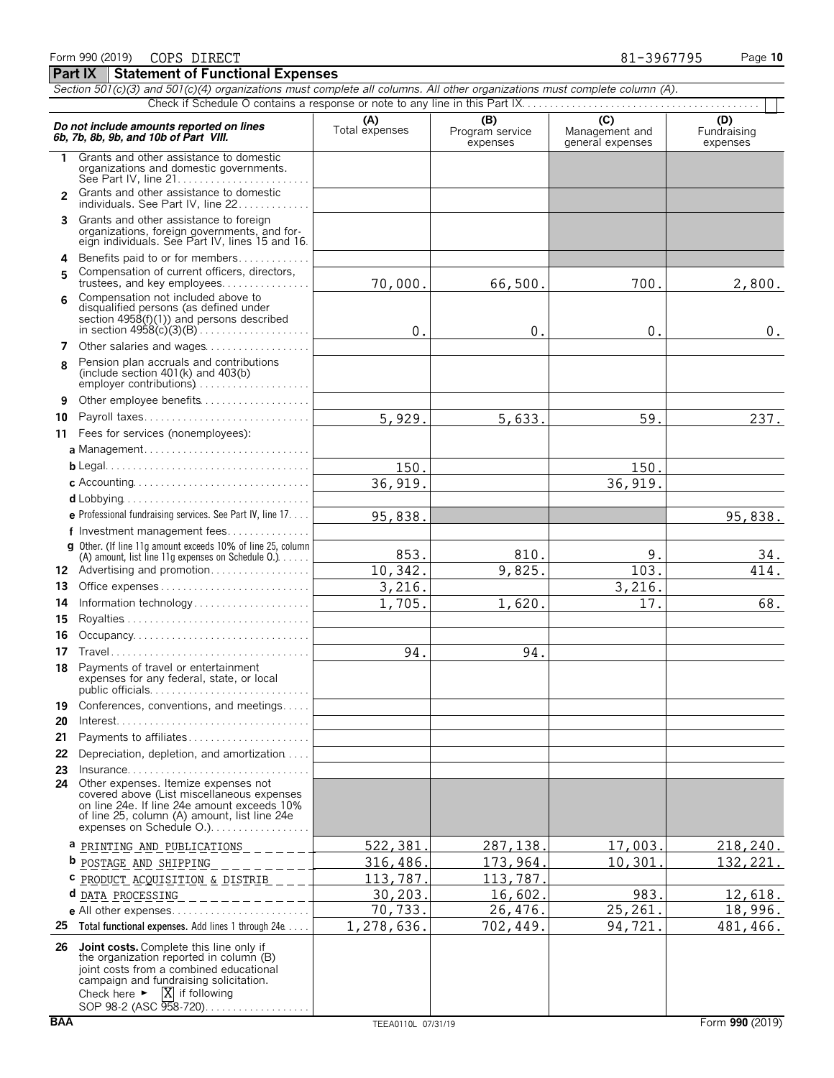|                | Section 501(c)(3) and 501(c)(4) organizations must complete all columns. All other organizations must complete column (A).                                                                                                                                           |                       |                                    |                                                      |                                |
|----------------|----------------------------------------------------------------------------------------------------------------------------------------------------------------------------------------------------------------------------------------------------------------------|-----------------------|------------------------------------|------------------------------------------------------|--------------------------------|
|                | Do not include amounts reported on lines<br>6b, 7b, 8b, 9b, and 10b of Part VIII.                                                                                                                                                                                    | (A)<br>Total expenses | (B)<br>Program service<br>expenses | $\overline{C}$<br>Management and<br>general expenses | (D)<br>Fundraising<br>expenses |
| 1              | Grants and other assistance to domestic<br>organizations and domestic governments.                                                                                                                                                                                   |                       |                                    |                                                      |                                |
| $\overline{2}$ | Grants and other assistance to domestic<br>individuals. See Part IV, line 22.                                                                                                                                                                                        |                       |                                    |                                                      |                                |
| 3              | Grants and other assistance to foreign<br>organizations, foreign governments, and for-<br>eign individuals. See Part IV, lines 15 and 16.                                                                                                                            |                       |                                    |                                                      |                                |
| 4              | Benefits paid to or for members                                                                                                                                                                                                                                      |                       |                                    |                                                      |                                |
| 5              | Compensation of current officers, directors,<br>trustees, and key employees                                                                                                                                                                                          | 70,000.               | 66,500.                            | 700.                                                 | 2,800.                         |
| 6              | Compensation not included above to<br>disqualified persons (as defined under<br>section 4958(f)(1)) and persons described                                                                                                                                            | 0.                    | 0.                                 | 0.                                                   | 0.                             |
| 7              | Other salaries and wages                                                                                                                                                                                                                                             |                       |                                    |                                                      |                                |
| 8              | Pension plan accruals and contributions<br>(include section $401(k)$ and $403(b)$ )<br>employer contributions)                                                                                                                                                       |                       |                                    |                                                      |                                |
| 9              | Other employee benefits                                                                                                                                                                                                                                              |                       |                                    |                                                      |                                |
| 10             | Payroll taxes                                                                                                                                                                                                                                                        | 5,929.                | 5,633.                             | 59.                                                  | 237.                           |
| 11             | Fees for services (nonemployees):                                                                                                                                                                                                                                    |                       |                                    |                                                      |                                |
|                |                                                                                                                                                                                                                                                                      |                       |                                    |                                                      |                                |
|                |                                                                                                                                                                                                                                                                      | 150.                  |                                    | 150.                                                 |                                |
|                |                                                                                                                                                                                                                                                                      | 36, 919.              |                                    | 36,919.                                              |                                |
|                |                                                                                                                                                                                                                                                                      |                       |                                    |                                                      |                                |
|                | e Professional fundraising services. See Part IV, line 17.                                                                                                                                                                                                           | 95,838.               |                                    |                                                      | 95,838.                        |
|                | f Investment management fees                                                                                                                                                                                                                                         |                       |                                    |                                                      |                                |
|                | g Other. (If line 11q amount exceeds 10% of line 25, column<br>(A) amount, list line 11g expenses on Schedule 0.)                                                                                                                                                    | 853.                  | 810.                               | 9.                                                   | 34.                            |
|                | 12 Advertising and promotion                                                                                                                                                                                                                                         | 10,342.               | 9,825.                             | 103.                                                 | 414.                           |
| 13             |                                                                                                                                                                                                                                                                      | 3,216.                |                                    | 3,216.                                               |                                |
| 14             |                                                                                                                                                                                                                                                                      | 1,705.                | 1,620.                             | 17.                                                  | 68.                            |
| 15             |                                                                                                                                                                                                                                                                      |                       |                                    |                                                      |                                |
| 16             |                                                                                                                                                                                                                                                                      |                       |                                    |                                                      |                                |
| 17             |                                                                                                                                                                                                                                                                      | 94.                   | 94.                                |                                                      |                                |
| 18             | Payments of travel or entertainment<br>expenses for any federal, state, or local                                                                                                                                                                                     |                       |                                    |                                                      |                                |
| 19             | Conferences, conventions, and meetings                                                                                                                                                                                                                               |                       |                                    |                                                      |                                |
| 20             |                                                                                                                                                                                                                                                                      |                       |                                    |                                                      |                                |
| 21             | Payments to affiliates                                                                                                                                                                                                                                               |                       |                                    |                                                      |                                |
| 22             | Depreciation, depletion, and amortization                                                                                                                                                                                                                            |                       |                                    |                                                      |                                |
|                | 23 Insurance                                                                                                                                                                                                                                                         |                       |                                    |                                                      |                                |
|                | 24 Other expenses. Itemize expenses not<br>covered above (List miscellaneous expenses<br>on line 24e. If line 24e amount exceeds 10%<br>of line 25, column (A) amount, list line 24e<br>expenses on Schedule O.)                                                     |                       |                                    |                                                      |                                |
|                | a PRINTING AND PUBLICATIONS _______                                                                                                                                                                                                                                  | 522,381               | 287, 138.                          | 17,003.                                              | 218,240.                       |
|                | b <u>POSTAGE AND SHIPPING</u> _________                                                                                                                                                                                                                              | 316,486.              | 173,964.                           | 10,301                                               | 132,221.                       |
|                | <b>PRODUCT ACQUISITION &amp; DISTRIB ____</b><br>C                                                                                                                                                                                                                   | 113,787               | 113,787.                           |                                                      |                                |
|                | d<br>DATA PROCESSING<br>. _ _ _ _ _ _ _ _ _ _ _                                                                                                                                                                                                                      | 30, 203.              | 16,602.                            | 983.                                                 | 12,618.                        |
|                |                                                                                                                                                                                                                                                                      | 70,733.               | 26,476.                            | 25,261.                                              | 18,996.                        |
|                | 25 Total functional expenses. Add lines 1 through 24e                                                                                                                                                                                                                | 1,278,636.            | 702,449.                           | 94,721                                               | 481,466.                       |
|                | 26 Joint costs. Complete this line only if<br>the organization reported in column (B)<br>joint costs from a combined educational<br>campaign and fundraising solicitation.<br>Check here $\blacktriangleright$ $\overline{X}$ if following<br>SOP 98-2 (ASC 958-720) |                       |                                    |                                                      |                                |

**Part IX | Statement of Functional Expenses**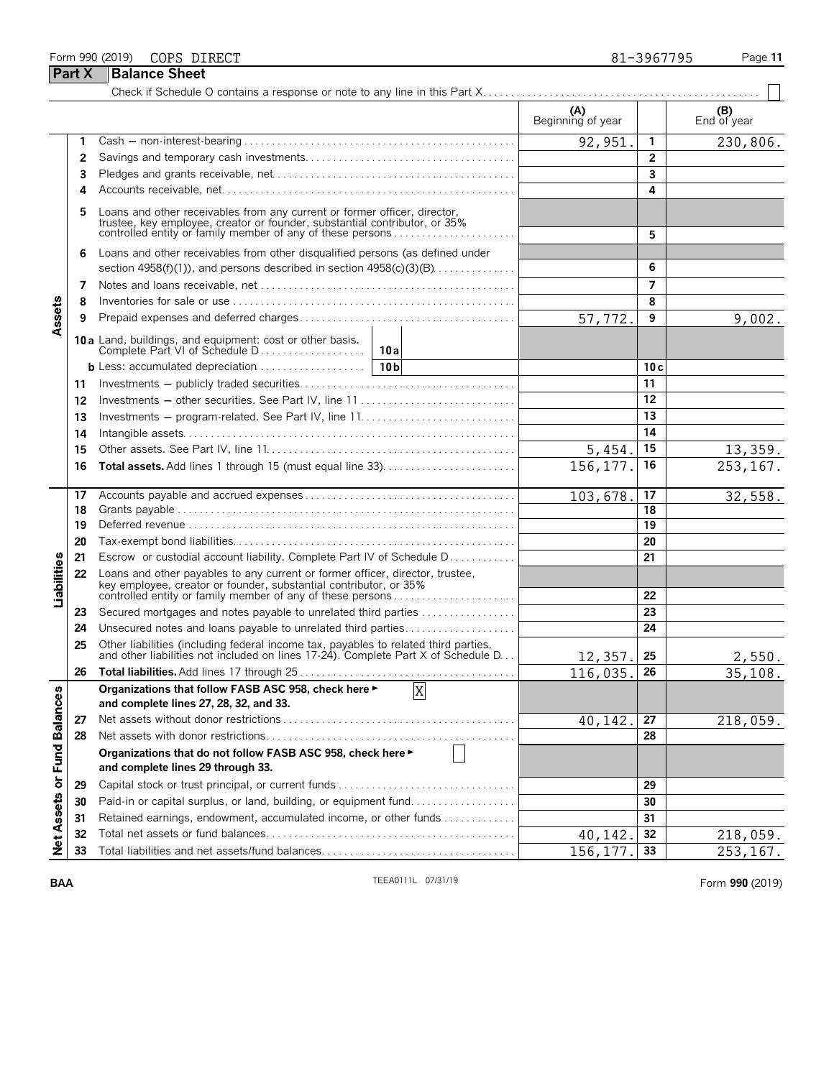### Form 990 (2019) Page **11** COPS DIRECT 81-3967795

**Part X Balance Sheet**<br>Check if Schedule O

|                             |    |                                                                                                                                                                                                                    | (A)<br>Beginning of year |              | $($ B $)$ End of year |
|-----------------------------|----|--------------------------------------------------------------------------------------------------------------------------------------------------------------------------------------------------------------------|--------------------------|--------------|-----------------------|
|                             | 1  |                                                                                                                                                                                                                    | 92,951                   | 1            | 230,806.              |
|                             | 2  |                                                                                                                                                                                                                    |                          | $\mathbf{2}$ |                       |
|                             | 3  |                                                                                                                                                                                                                    |                          | 3            |                       |
|                             | 4  |                                                                                                                                                                                                                    |                          | 4            |                       |
|                             |    | Loans and other receivables from any current or former officer, director, trustee, key employee, creator or founder, substantial contributor, or 35%<br>controlled entity or family member of any of these persons |                          | 5            |                       |
|                             | 6  | Loans and other receivables from other disqualified persons (as defined under                                                                                                                                      |                          |              |                       |
|                             |    | section $4958(f)(1)$ , and persons described in section $4958(c)(3)(B)$                                                                                                                                            |                          | 6            |                       |
|                             | 7  |                                                                                                                                                                                                                    |                          | 7            |                       |
|                             | 8  |                                                                                                                                                                                                                    |                          | 8            |                       |
| Assets                      | 9  |                                                                                                                                                                                                                    | 57,772.                  | 9            | 9,002.                |
|                             |    | 10 a Land, buildings, and equipment: cost or other basis.                                                                                                                                                          |                          |              |                       |
|                             |    |                                                                                                                                                                                                                    |                          | 10c          |                       |
|                             | 11 |                                                                                                                                                                                                                    |                          | 11           |                       |
|                             | 12 | Investments - other securities. See Part IV, line 11                                                                                                                                                               |                          | 12           |                       |
|                             | 13 |                                                                                                                                                                                                                    |                          | 13           |                       |
|                             | 14 |                                                                                                                                                                                                                    |                          | 14           |                       |
|                             | 15 |                                                                                                                                                                                                                    | 5,454.                   | 15           | 13,359.               |
|                             | 16 | Total assets. Add lines 1 through 15 (must equal line 33)                                                                                                                                                          | 156, 177.                | 16           | 253, 167.             |
|                             | 17 |                                                                                                                                                                                                                    | 103,678.                 | 17           | 32,558.               |
|                             | 18 |                                                                                                                                                                                                                    |                          | 18           |                       |
|                             | 19 |                                                                                                                                                                                                                    |                          | 19           |                       |
|                             | 20 |                                                                                                                                                                                                                    |                          | 20           |                       |
|                             | 21 | Escrow or custodial account liability. Complete Part IV of Schedule D                                                                                                                                              |                          | 21           |                       |
| Liabilities                 | 22 | Loans and other payables to any current or former officer, director, trustee,<br>key employee, creator or founder, substantial contributor, or 35%<br>controlled entity or family member of any of these persons   |                          | 22           |                       |
|                             | 23 | Secured mortgages and notes payable to unrelated third parties                                                                                                                                                     |                          | 23           |                       |
|                             | 24 | Unsecured notes and loans payable to unrelated third parties                                                                                                                                                       |                          | 24           |                       |
|                             | 25 | Other liabilities (including federal income tax, payables to related third parties, and other liabilities not included on lines 17-24). Complete Part X of Schedule D                                              | 12,357                   | 25           | 2,550.                |
|                             | 26 |                                                                                                                                                                                                                    | 116,035.                 | 26           | 35, 108.              |
| w                           |    | $\overline{X}$<br>Organizations that follow FASB ASC 958, check here ►                                                                                                                                             |                          |              |                       |
|                             |    | and complete lines 27, 28, 32, and 33.                                                                                                                                                                             |                          |              |                       |
|                             | 27 |                                                                                                                                                                                                                    | 40, 142.                 | 27           | 218,059.              |
|                             | 28 |                                                                                                                                                                                                                    |                          | 28           |                       |
| Net Assets or Fund Balance: |    | Organizations that do not follow FASB ASC 958, check here ►<br>and complete lines 29 through 33.                                                                                                                   |                          |              |                       |
|                             | 29 | Capital stock or trust principal, or current funds                                                                                                                                                                 |                          | 29           |                       |
|                             | 30 | Paid-in or capital surplus, or land, building, or equipment fund                                                                                                                                                   |                          | 30           |                       |
|                             | 31 | Retained earnings, endowment, accumulated income, or other funds                                                                                                                                                   |                          | 31           |                       |
|                             | 32 |                                                                                                                                                                                                                    | 40, 142.                 | 32           | 218,059.              |
|                             | 33 | Total liabilities and net assets/fund balances                                                                                                                                                                     | 156, 177.                | 33           | 253,167.              |

**BAA TEEA0111L** 07/31/19 **TEEA0111L** 07/31/19 **Form 990** (2019)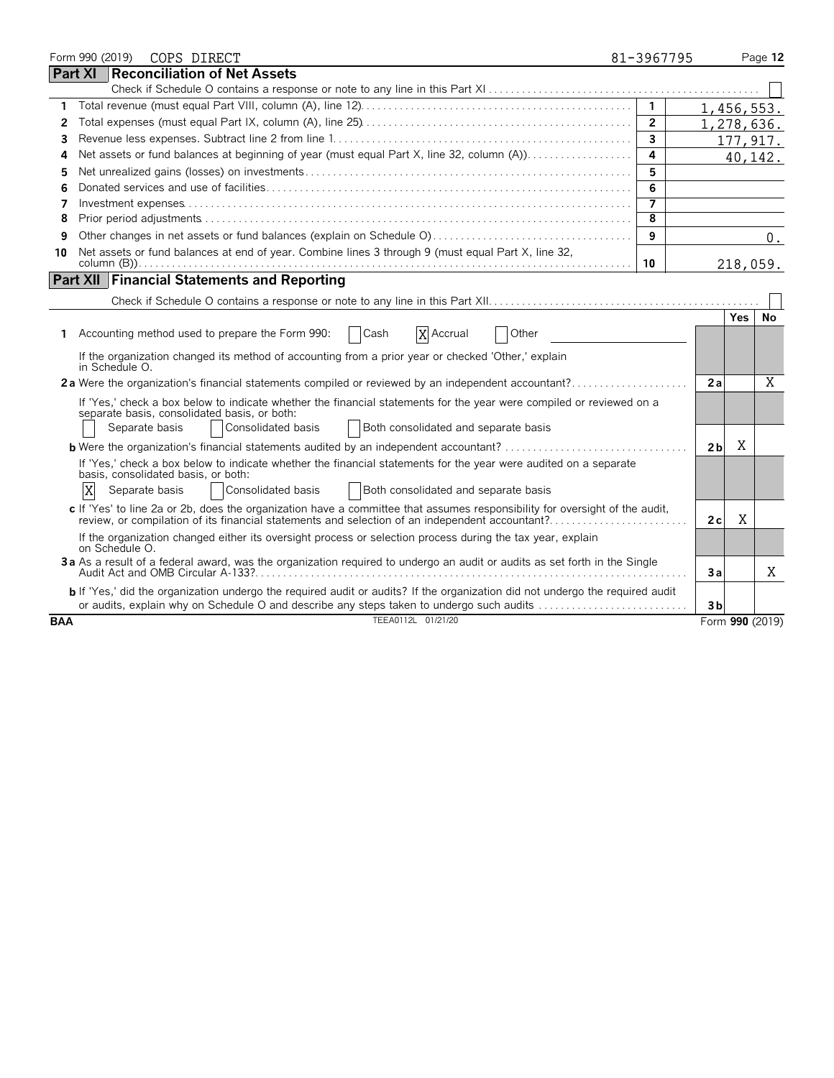|            |                | Form 990 (2019) | COPS DIRECT                                                                                                                                                                                                                   | 81-3967795     |                |      | Page 12         |
|------------|----------------|-----------------|-------------------------------------------------------------------------------------------------------------------------------------------------------------------------------------------------------------------------------|----------------|----------------|------|-----------------|
|            | <b>Part XI</b> |                 | <b>Reconciliation of Net Assets</b>                                                                                                                                                                                           |                |                |      |                 |
|            |                |                 |                                                                                                                                                                                                                               |                |                |      |                 |
| 1.         |                |                 |                                                                                                                                                                                                                               | $\overline{1}$ | 1,456,553.     |      |                 |
| 2          |                |                 |                                                                                                                                                                                                                               | $\overline{2}$ | 1,278,636.     |      |                 |
| 3          |                |                 |                                                                                                                                                                                                                               | $\overline{3}$ |                |      | 177, 917.       |
| 4          |                |                 | Net assets or fund balances at beginning of year (must equal Part X, line 32, column (A))                                                                                                                                     | 4              |                |      | 40,142.         |
| 5          |                |                 |                                                                                                                                                                                                                               | 5              |                |      |                 |
| 6          |                |                 |                                                                                                                                                                                                                               | 6              |                |      |                 |
| 7          |                |                 |                                                                                                                                                                                                                               |                |                |      |                 |
| 8          |                |                 |                                                                                                                                                                                                                               | 8              |                |      |                 |
| 9          |                |                 |                                                                                                                                                                                                                               | 9              |                |      | $0$ .           |
| 10         |                |                 | Net assets or fund balances at end of year. Combine lines 3 through 9 (must equal Part X, line 32,                                                                                                                            |                |                |      |                 |
|            |                |                 |                                                                                                                                                                                                                               | 10             |                |      | 218,059.        |
|            |                |                 | <b>Part XII Financial Statements and Reporting</b>                                                                                                                                                                            |                |                |      |                 |
|            |                |                 |                                                                                                                                                                                                                               |                |                |      |                 |
|            |                |                 |                                                                                                                                                                                                                               |                |                | Yes. | No              |
| 1.         |                |                 | Accounting method used to prepare the Form 990:<br>$\vert$ Cash<br>X Accrual<br>Other                                                                                                                                         |                |                |      |                 |
|            |                | in Schedule O.  | If the organization changed its method of accounting from a prior year or checked 'Other,' explain                                                                                                                            |                |                |      |                 |
|            |                |                 | 2a Were the organization's financial statements compiled or reviewed by an independent accountant?                                                                                                                            |                | 2a             |      | $\overline{X}$  |
|            |                |                 | If 'Yes,' check a box below to indicate whether the financial statements for the year were compiled or reviewed on a                                                                                                          |                |                |      |                 |
|            |                |                 | separate basis, consolidated basis, or both:                                                                                                                                                                                  |                |                |      |                 |
|            |                | Separate basis  | Consolidated basis<br>Both consolidated and separate basis                                                                                                                                                                    |                |                |      |                 |
|            |                |                 | <b>b</b> Were the organization's financial statements audited by an independent accountant?                                                                                                                                   |                | 2 <sub>b</sub> | X    |                 |
|            |                |                 | If 'Yes,' check a box below to indicate whether the financial statements for the year were audited on a separate                                                                                                              |                |                |      |                 |
|            |                |                 | basis, consolidated basis, or both:                                                                                                                                                                                           |                |                |      |                 |
|            | X              | Separate basis  | Consolidated basis<br>Both consolidated and separate basis                                                                                                                                                                    |                |                |      |                 |
|            |                |                 | c If 'Yes' to line 2a or 2b, does the organization have a committee that assumes responsibility for oversight of the audit,<br>review, or compilation of its financial statements and selection of an independent accountant? |                | 2c             | Χ    |                 |
|            |                | on Schedule O.  | If the organization changed either its oversight process or selection process during the tax year, explain                                                                                                                    |                |                |      |                 |
|            |                |                 | 3a As a result of a federal award, was the organization required to undergo an audit or audits as set forth in the Single                                                                                                     |                | Зa             |      | X               |
|            |                |                 | b If 'Yes,' did the organization undergo the required audit or audits? If the organization did not undergo the required audit                                                                                                 |                |                |      |                 |
|            |                |                 | or audits, explain why on Schedule O and describe any steps taken to undergo such audits                                                                                                                                      |                | 3 <sub>b</sub> |      |                 |
| <b>BAA</b> |                |                 | TEEA0112L 01/21/20                                                                                                                                                                                                            |                |                |      | Form 990 (2019) |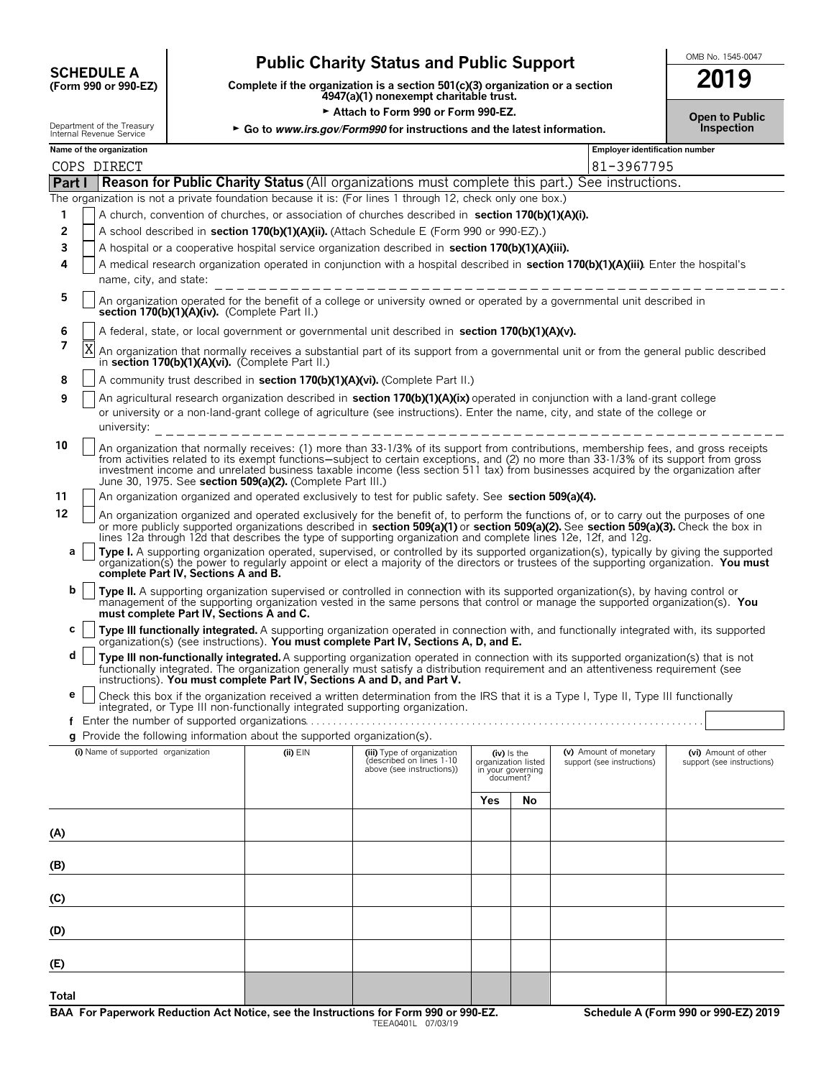# **CHEDULE A** Public Charity Status and Public Support<br>
(Form 990 or 990-EZ) Complete if the organization is a section 501(c)(3) organization or a section

**(Form 990 or 990-EZ) Complete if the organization is a section 501(c)(3) organization or a section 2019 4947(a)(1) nonexempt charitable trust.**

**Example 3 Attach to Form 990 or Form 990-EZ. Channel Studies Attach to Public** 

| Name of the organization                                               |  |
|------------------------------------------------------------------------|--|
| <b>DUDGET LITTLE UP LITTLE IT UGGSCHIP</b><br>Internal Revenue Service |  |

|        | Department of the Treasury<br>► Go to www.irs.gov/Form990 for instructions and the latest information.<br>Internal Revenue Service |                                                                                                                                                                                                                                                                                                                                                                                                                                                                                  |  |                                       |  |  |
|--------|------------------------------------------------------------------------------------------------------------------------------------|----------------------------------------------------------------------------------------------------------------------------------------------------------------------------------------------------------------------------------------------------------------------------------------------------------------------------------------------------------------------------------------------------------------------------------------------------------------------------------|--|---------------------------------------|--|--|
|        | Name of the organization                                                                                                           |                                                                                                                                                                                                                                                                                                                                                                                                                                                                                  |  | <b>Employer identification number</b> |  |  |
|        | COPS DIRECT                                                                                                                        |                                                                                                                                                                                                                                                                                                                                                                                                                                                                                  |  | 81-3967795                            |  |  |
| Part I |                                                                                                                                    | <b>Reason for Public Charity Status</b> (All organizations must complete this part.) See instructions.                                                                                                                                                                                                                                                                                                                                                                           |  |                                       |  |  |
|        |                                                                                                                                    | The organization is not a private foundation because it is: (For lines 1 through 12, check only one box.)                                                                                                                                                                                                                                                                                                                                                                        |  |                                       |  |  |
| 1      |                                                                                                                                    | A church, convention of churches, or association of churches described in section 170(b)(1)(A)(i).                                                                                                                                                                                                                                                                                                                                                                               |  |                                       |  |  |
| 2      |                                                                                                                                    | A school described in section 170(b)(1)(A)(ii). (Attach Schedule E (Form 990 or 990-EZ).)                                                                                                                                                                                                                                                                                                                                                                                        |  |                                       |  |  |
| 3      |                                                                                                                                    | A hospital or a cooperative hospital service organization described in section 170(b)(1)(A)(iii).                                                                                                                                                                                                                                                                                                                                                                                |  |                                       |  |  |
| 4      |                                                                                                                                    | A medical research organization operated in conjunction with a hospital described in section 170(b)(1)(A)(iii). Enter the hospital's                                                                                                                                                                                                                                                                                                                                             |  |                                       |  |  |
|        | name, city, and state:                                                                                                             | _____________________________                                                                                                                                                                                                                                                                                                                                                                                                                                                    |  |                                       |  |  |
| 5      |                                                                                                                                    | An organization operated for the benefit of a college or university owned or operated by a governmental unit described in<br>section 170(b)(1)(A)(iv). (Complete Part II.)                                                                                                                                                                                                                                                                                                       |  |                                       |  |  |
| 6      |                                                                                                                                    | A federal, state, or local government or governmental unit described in section 170(b)(1)(A)(v).                                                                                                                                                                                                                                                                                                                                                                                 |  |                                       |  |  |
| 7      | X                                                                                                                                  | An organization that normally receives a substantial part of its support from a governmental unit or from the general public described<br>in section 170(b)(1)(A)(vi). (Complete Part II.)                                                                                                                                                                                                                                                                                       |  |                                       |  |  |
| 8      |                                                                                                                                    | A community trust described in section 170(b)(1)(A)(vi). (Complete Part II.)                                                                                                                                                                                                                                                                                                                                                                                                     |  |                                       |  |  |
| 9      |                                                                                                                                    | An agricultural research organization described in section 170(b)(1)(A)(ix) operated in conjunction with a land-grant college<br>or university or a non-land-grant college of agriculture (see instructions). Enter the name, city, and state of the college or                                                                                                                                                                                                                  |  |                                       |  |  |
| 10     |                                                                                                                                    | An organization that normally receives: (1) more than 33-1/3% of its support from contributions, membership fees, and gross receipts<br>from activities related to its exempt functions—subject to certain exceptions, and (2) no more than 33-1/3% of its support from gross<br>investment income and unrelated business taxable income (less section 511 tax) from businesses acquired by the organization after<br>June 30, 1975. See section 509(a)(2). (Complete Part III.) |  |                                       |  |  |
| 11     |                                                                                                                                    | An organization organized and operated exclusively to test for public safety. See section 509(a)(4).                                                                                                                                                                                                                                                                                                                                                                             |  |                                       |  |  |
| 12     |                                                                                                                                    | An organization organized and operated exclusively for the benefit of, to perform the functions of, or to carry out the purposes of one<br>or more publicly supported organizations described in section 509(a)(1) or section 509(a)(2). See section 509(a)(3). Check the box in<br>lines 12a through 12d that describes the type of supporting organization and complete lines 12e, 12f, and 12g.                                                                               |  |                                       |  |  |
| a      |                                                                                                                                    | Type I. A supporting organization operated, supervised, or controlled by its supported organization(s), typically by giving the supported<br>organization(s) the power to regularly appoint or elect a majority of the directors or trustees of the supporting organization. You must<br>complete Part IV, Sections A and B.                                                                                                                                                     |  |                                       |  |  |
| b      |                                                                                                                                    | Type II. A supporting organization supervised or controlled in connection with its supported organization(s), by having control or<br>management of the supporting organization vested in the same persons that control or manage the supported organization(s). You<br>must complete Part IV, Sections A and C.                                                                                                                                                                 |  |                                       |  |  |
| c      |                                                                                                                                    | Type III functionally integrated. A supporting organization operated in connection with, and functionally integrated with, its supported<br>organization(s) (see instructions). You must complete Part IV, Sections A, D, and E.                                                                                                                                                                                                                                                 |  |                                       |  |  |

**d Type III non-functionally integrated.** A supporting organization operated in connection with its supported organization(s) that is not functionally integrated. The organization generally must satisfy a distribution requirement and an attentiveness requirement (see<br>instructions). **You must complete Part IV, Sections A and D, and Part V.** 

**e** Check this box if the organization received a written determination from the IRS that it is a Type I, Type II, Type III functionally integrated, or Type III non-functionally integrated supporting organization.  $f$  Fnter the number of supported organizations.

| <b>q</b> Provide the following information about the supported organization(s). |
|---------------------------------------------------------------------------------|

| (i) Name of supported organization | (ii) $EIN$ | (iii) Type of organization<br>(described on lines 1-10<br>above (see instructions)) |            | (iv) Is the<br>organization listed<br>in your governing<br>document? | (v) Amount of monetary<br>support (see instructions) | (vi) Amount of other<br>support (see instructions) |
|------------------------------------|------------|-------------------------------------------------------------------------------------|------------|----------------------------------------------------------------------|------------------------------------------------------|----------------------------------------------------|
|                                    |            |                                                                                     | <b>Yes</b> | No                                                                   |                                                      |                                                    |
| (A)                                |            |                                                                                     |            |                                                                      |                                                      |                                                    |
| (B)                                |            |                                                                                     |            |                                                                      |                                                      |                                                    |
| (C)                                |            |                                                                                     |            |                                                                      |                                                      |                                                    |
| (D)                                |            |                                                                                     |            |                                                                      |                                                      |                                                    |
| (E)                                |            |                                                                                     |            |                                                                      |                                                      |                                                    |
| Total                              |            |                                                                                     |            |                                                                      |                                                      |                                                    |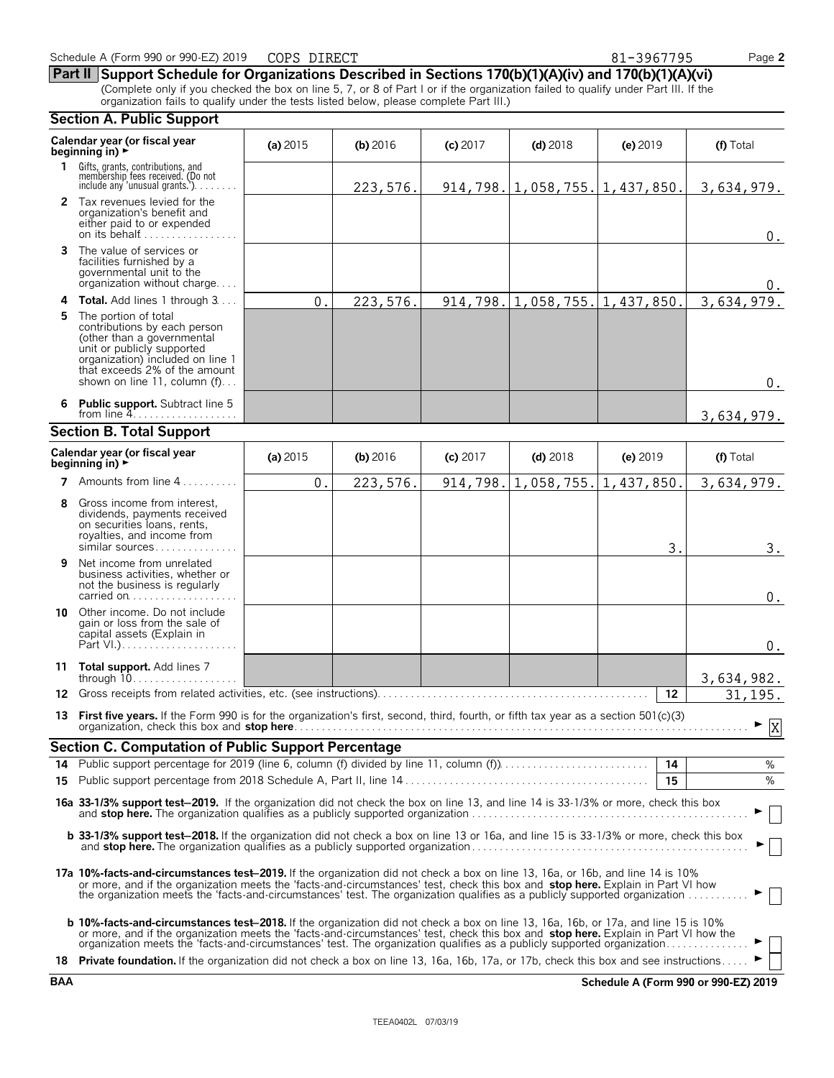**Section A. Public Support**

organization fails to qualify under the tests listed below, please complete Part III.)

**Calendar year (or fiscal year (a) 2015 <b>(b)** 2016 **(c) 2017 <b>(d)** 2018 **(e)** 2019 **(f)** Total **beginning in) 1** Gifts, grants, contributions, and<br>membership fees received. (Do not<br>include any 'unusual grants.'). . . . . . . . **2** Tax revenues levied for the organization's benefit and either paid to or expended on its behalf............ **3** The value of services or facilities furnished by a governmental unit to the organization without charge. . . . **4 Total.** Add lines 1 through 3... **5** The portion of total contributions by each person (other than a governmental unit or publicly supported organization) included on line 1 that exceeds 2% of the amount shown on line 11, column (f)... **6 Public support.** Subtract line 5 from line  $4$ . **Section B. Total Support Calendar year (or fiscal year (a) 2015 <b>(b)** 2016 **(c)** 2017 **(d)** 2018 **(e)** 2019 **(f)** Total **beginning in) 7** Amounts from line 4..... **8** Gross income from interest, dividends, payments received on securities loans, rents, royalties, and income from similar sources. . . . . . . **9** Net income from unrelated business activities, whether or not the business is regularly carried on . . . . . . . . . . . . . . . **10** Other income. Do not include gain or loss from the sale of capital assets (Explain in Part  $V.$ ). . **11 Total support.** Add lines 7 through 10. . . . . . . . . . . . . . . . . . . **12** Gross receipts from related activities, etc. (see instructions). . . . . . . . . . . . . . . . . . . . . . . . . . . . . . . . . . . . . . . . . . . . . . . . . **12 13 First five years.** If the Form 990 is for the organization's first, second, third, fourth, or fifth tax year as a section 501(c)(3) organization, check this box and **stop here**. . . . . . . . . . . . . . . . . . . . . . . . . . . . . . . . . . . . . . . . . . . . . . . . . . . . . . . . . . . . . . . . . . . . . . . . . . . . . . . . . . G **Section C. Computation of Public Support Percentage 14** Public support percentage for 2019 (line 6, column (f) divided by line 11, column (f)). . . . . . . . . . . . . . . . . . . . . . . . . . . **14** % **15** Public support percentage from 2018 Schedule A, Part II, line 14 . . . . . . . . . . . . . . . . . . . . . . . . . . . . . . . . . . . . . . . . . . . . **15** % **16a 33-1/3% support test**'**2019.** If the organization did not check the box on line 13, and line 14 is 33-1/3% or more, check this box and **stop here.** The organization qualifies as a publicly supported organization . . . . . . . . . . . . . . . . . . . . . . . . . . . . . . . . . . . . . . . . . . . . . . . . . . G **b 33-1/3% support test-2018.** If the organization did not check a box on line 13 or 16a, and line 15 is 33-1/3% or more, check this box and **stop here.** The organization qualifies as a publicly supported organization . . . . . . . . . . . . . . . . . . . . . . . . . . . . . . . . . . . . . . . . . . . . . . . . . . G **17a 10%-facts-and-circumstances test**'**2019.** If the organization did not check a box on line 13, 16a, or 16b, and line 14 is 10% or more, and if the organization meets the 'facts-and-circumstances' test, check this box and **stop here.** Explain in Part VI how the organization meets the 'facts-and-circumstances' test. The organization qualifies as a publicly supported organization . . . . . . . . . . . G **b 10%-facts-and-circumstances test–2018.** If the organization did not check a box on line 13, 16a, 16b, or 17a, and line 15 is 10% or more, and if the organization meets the 'facts-and-circumstances' test, check this box and stop here. Explain in Part VI how the<br>organization meets the 'facts-and-circumstances' test. The organization qualifies as a pu **18 Private foundation.** If the organization did not check a box on line 13, 16a, 16b, 17a, or 17b, check this box and see instructions. 223,576. 914,798. 1,058,755. 1,437,850. 3,634,979. 0. 0. 0. 223,576. 914,798. 1,058,755. 1,437,850. 3,634,979 0. 3,634,979.  $0. \begin{array}{|c|c|c|c|c|c|c|c|} \hline 223,576. & 914,798. & 1,058,755. & 1,437,850. & 3,634,979. \hline \end{array}$  $3.$  3.  $\boldsymbol{0}$  . 0. 3,634,982. 31,195. X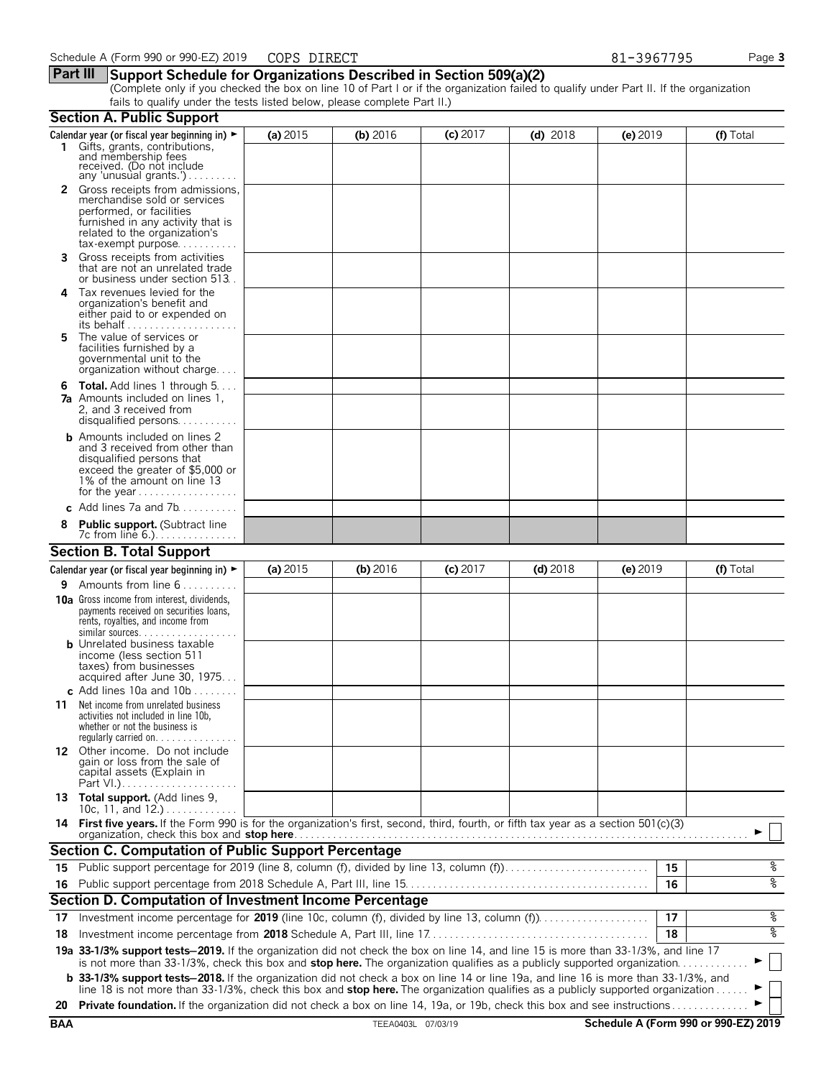### **Part III Support Schedule for Organizations Described in Section 509(a)(2)**

(Complete only if you checked the box on line 10 of Part I or if the organization failed to qualify under Part II. If the organization fails to qualify under the tests listed below, please complete Part II.)

|     | <b>Section A. Public Support</b>                                                                                                                                                                                                                                      |            |                    |            |            |            |    |                                      |
|-----|-----------------------------------------------------------------------------------------------------------------------------------------------------------------------------------------------------------------------------------------------------------------------|------------|--------------------|------------|------------|------------|----|--------------------------------------|
|     | Calendar year (or fiscal year beginning in) $\blacktriangleright$<br>1 Gifts, grants, contributions,<br>and membership fees<br>received. (Do not include                                                                                                              | (a) 2015   | (b) 2016           | $(c)$ 2017 | $(d)$ 2018 | $(e)$ 2019 |    | (f) Total                            |
|     | any 'unusual grants.')<br>2 Gross receipts from admissions,<br>merchandise sold or services<br>performed, or facilities<br>furnished in any activity that is<br>related to the organization's                                                                         |            |                    |            |            |            |    |                                      |
| 3   | $tax\text{-}exempt$ purpose<br>Gross receipts from activities<br>that are not an unrelated trade<br>or business under section 513.                                                                                                                                    |            |                    |            |            |            |    |                                      |
| 4   | Tax revenues levied for the<br>organization's benefit and<br>either paid to or expended on<br>its behalf                                                                                                                                                              |            |                    |            |            |            |    |                                      |
| 5.  | The value of services or<br>facilities furnished by a<br>governmental unit to the<br>organization without charge                                                                                                                                                      |            |                    |            |            |            |    |                                      |
|     | <b>6 Total.</b> Add lines 1 through $5 \ldots$<br><b>7a</b> Amounts included on lines 1.<br>2, and 3 received from<br>disqualified persons                                                                                                                            |            |                    |            |            |            |    |                                      |
|     | <b>b</b> Amounts included on lines 2<br>and 3 received from other than<br>disqualified persons that<br>exceed the greater of \$5,000 or<br>1% of the amount on line 13<br>for the year                                                                                |            |                    |            |            |            |    |                                      |
|     | c Add lines 7a and 7b                                                                                                                                                                                                                                                 |            |                    |            |            |            |    |                                      |
|     | <b>Public support.</b> (Subtract line<br>7c from line 6.).                                                                                                                                                                                                            |            |                    |            |            |            |    |                                      |
|     | <b>Section B. Total Support</b>                                                                                                                                                                                                                                       |            |                    |            |            |            |    |                                      |
|     | Calendar year (or fiscal year beginning in) $\blacktriangleright$                                                                                                                                                                                                     | (a) $2015$ | (b) 2016           | $(c)$ 2017 | $(d)$ 2018 | $(e)$ 2019 |    | (f) Total                            |
| 9.  | Amounts from line 6                                                                                                                                                                                                                                                   |            |                    |            |            |            |    |                                      |
|     | <b>10a</b> Gross income from interest, dividends,<br>payments received on securities loans,<br>rents, royalties, and income from<br>similar sources.                                                                                                                  |            |                    |            |            |            |    |                                      |
|     | <b>b</b> Unrelated business taxable<br>income (less section 511<br>taxes) from businesses<br>acquired after June 30, 1975<br>c. Add lines 10a and $10b$                                                                                                               |            |                    |            |            |            |    |                                      |
| 11  | Net income from unrelated business<br>activities not included in line 10b,<br>whether or not the business is<br>regularly carried on. $\ldots$                                                                                                                        |            |                    |            |            |            |    |                                      |
|     | 12 Other income. Do not include<br>gain or loss from the sale of<br>capital assets (Explain in                                                                                                                                                                        |            |                    |            |            |            |    |                                      |
|     | 13 Total support. (Add lines 9,<br>10c, 11, and 12.)                                                                                                                                                                                                                  |            |                    |            |            |            |    |                                      |
|     | 14 First five years. If the Form 990 is for the organization's first, second, third, fourth, or fifth tax year as a section 501(c)(3)<br>organization, check this box and stop here.                                                                                  |            |                    |            |            |            |    |                                      |
|     | Section C. Computation of Public Support Percentage                                                                                                                                                                                                                   |            |                    |            |            |            |    |                                      |
|     | 15 Public support percentage for 2019 (line 8, column (f), divided by line 13, column (f)                                                                                                                                                                             |            |                    |            |            |            | 15 | ್ಠಿ                                  |
|     |                                                                                                                                                                                                                                                                       |            |                    |            |            |            | 16 | oه                                   |
|     | Section D. Computation of Investment Income Percentage                                                                                                                                                                                                                |            |                    |            |            |            |    |                                      |
| 17  |                                                                                                                                                                                                                                                                       |            |                    |            |            |            | 17 | ್ಗ                                   |
| 18  |                                                                                                                                                                                                                                                                       |            |                    |            |            |            | 18 | ್ಠಿ                                  |
|     | 19a 33-1/3% support tests-2019. If the organization did not check the box on line 14, and line 15 is more than 33-1/3%, and line 17                                                                                                                                   |            |                    |            |            |            |    |                                      |
|     | is not more than 33-1/3%, check this box and stop here. The organization qualifies as a publicly supported organization<br><b>b</b> 33-1/3% support tests-2018. If the organization did not check a box on line 14 or line 19a, and line 16 is more than 33-1/3%, and |            |                    |            |            |            |    |                                      |
| 20  | line 18 is not more than 33-1/3%, check this box and stop here. The organization qualifies as a publicly supported organization<br>Private foundation. If the organization did not check a box on line 14, 19a, or 19b, check this box and see instructions           |            |                    |            |            |            |    |                                      |
| BAA |                                                                                                                                                                                                                                                                       |            | TEEA0403L 07/03/19 |            |            |            |    | Schedule A (Form 990 or 990-EZ) 2019 |
|     |                                                                                                                                                                                                                                                                       |            |                    |            |            |            |    |                                      |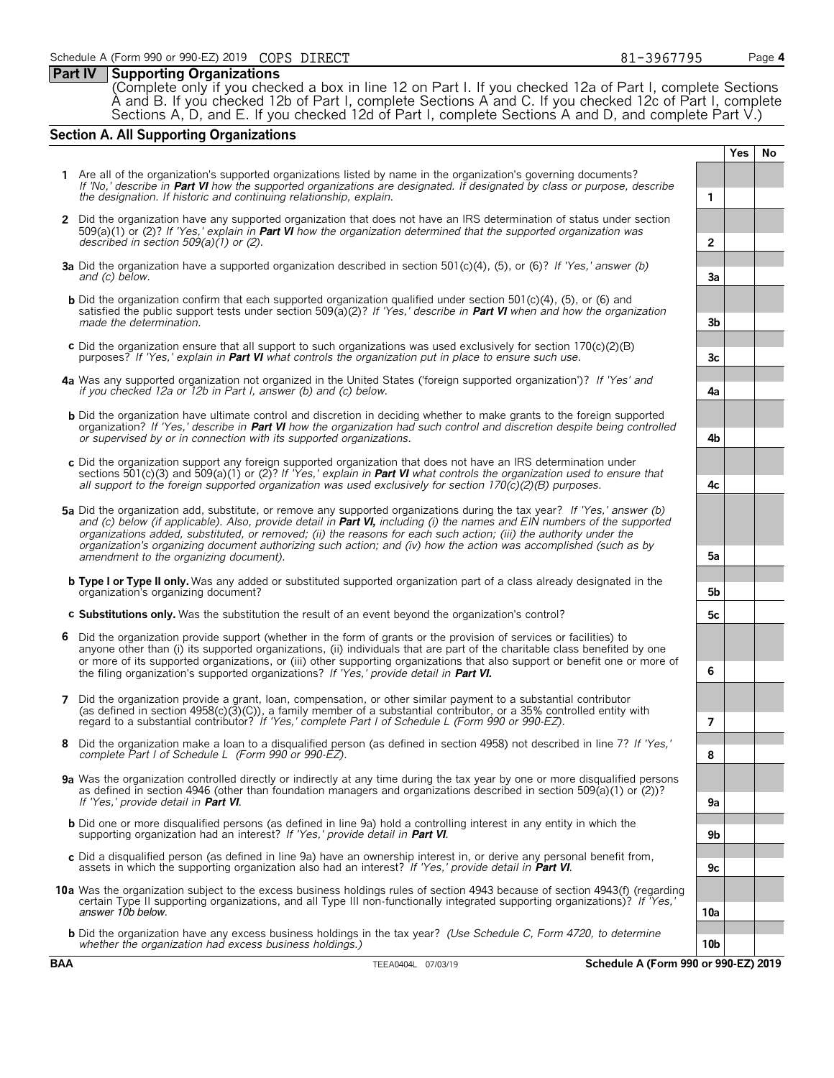### **Part IV Supporting Organizations**

(Complete only if you checked a box in line 12 on Part I. If you checked 12a of Part I, complete Sections A and B. If you checked 12b of Part I, complete Sections A and C. If you checked 12c of Part I, complete Sections A, D, and E. If you checked 12d of Part I, complete Sections A and D, and complete Part V.)

### **Section A. All Supporting Organizations**

**1** Are all of the organization's supported organizations listed by name in the organization's governing documents? *If 'No,' describe in* **Part VI** *how the supported organizations are designated. If designated by class or purpose, describe the designation. If historic and continuing relationship, explain.* **1 2** Did the organization have any supported organization that does not have an IRS determination of status under section 509(a)(1) or (2)? *If 'Yes,' explain in* **Part VI** *how the organization determined that the supported organization was described in section 509(a)(1) or (2).* **2 3a** Did the organization have a supported organization described in section 501(c)(4), (5), or (6)? *If 'Yes,' answer (b) and (c) below.* **3a b** Did the organization confirm that each supported organization qualified under section 501(c)(4), (5), or (6) and satisfied the public support tests under section 509(a)(2)? *If 'Yes,' describe in* **Part VI** *when and how the organization made the determination.* **3b c** Did the organization ensure that all support to such organizations was used exclusively for section 170(c)(2)(B) purposes? *If 'Yes,' explain in* **Part VI** *what controls the organization put in place to ensure such use.* **3c 4a** Was any supported organization not organized in the United States ('foreign supported organization')? *If 'Yes' and if you checked 12a or 12b in Part I, answer (b) and (c) below.* **4a b** Did the organization have ultimate control and discretion in deciding whether to make grants to the foreign supported organization? *If 'Yes,' describe in* **Part VI** *how the organization had such control and discretion despite being controlled or supervised by or in connection with its supported organizations.* **4b c** Did the organization support any foreign supported organization that does not have an IRS determination under sections 501(c)(3) and 509(a)(1) or (2)? *If 'Yes,' explain in* **Part VI** *what controls the organization used to ensure that all support to the foreign supported organization was used exclusively for section 170(c)(2)(B) purposes.* **4c 5a** Did the organization add, substitute, or remove any supported organizations during the tax year? *If 'Yes,' answer (b) and (c) below (if applicable). Also, provide detail in* **Part VI,** *including (i) the names and EIN numbers of the supported organizations added, substituted, or removed; (ii) the reasons for each such action; (iii) the authority under the organization's organizing document authorizing such action; and (iv) how the action was accomplished (such as by amendment to the organizing document).* **5a b Type I or Type II only.** Was any added or substituted supported organization part of a class already designated in the organization's organizing document? **5b c Substitutions only.** Was the substitution the result of an event beyond the organization's control? **5c 6** Did the organization provide support (whether in the form of grants or the provision of services or facilities) to anyone other than (i) its supported organizations, (ii) individuals that are part of the charitable class benefited by one or more of its supported organizations, or (iii) other supporting organizations that also support or benefit one or more of the filing organization's supported organizations? *If 'Yes,' provide detail in* **Part VI. 6 7** Did the organization provide a grant, loan, compensation, or other similar payment to a substantial contributor (as defined in section 4958(c)(3)(C)), a family member of a substantial contributor, or a 35% controlled entity with regard to a substantial contributor? *If 'Yes,' complete Part I of Schedule L (Form 990 or 990-EZ).* **7 8** Did the organization make a loan to a disqualified person (as defined in section 4958) not described in line 7? *If 'Yes,' complete Part I of Schedule L (Form 990 or 990-EZ).* **8 9a** Was the organization controlled directly or indirectly at any time during the tax year by one or more disqualified persons as defined in section 4946 (other than foundation managers and organizations described in section 509(a)(1) or (2))? *If 'Yes,' provide detail in* **Part VI**. **9a b** Did one or more disqualified persons (as defined in line 9a) hold a controlling interest in any entity in which the<br>supporting organization had an interest? If 'Yes,' provide detail in **Part VI**. c Did a disqualified person (as defined in line 9a) have an ownership interest in, or derive any personal benefit from,<br>assets in which the supporting organization also had an interest? If 'Yes,' provide detail in Part VI **10a** Was the organization subject to the excess business holdings rules of section 4943 because of section 4943(f) (regarding certain Type II supporting organizations, and all Type III non-functionally integrated supporting organizations)? *If 'Yes,'* answer 10b below. **10a b** Did the organization have any excess business holdings in the tax year? *(Use Schedule C, Form 4720, to determine whether the organization had excess business holdings.)* **10b BAA** TEEA0404L 07/03/19 **Schedule A (Form 990 or 990-EZ) 2019**

**Yes No**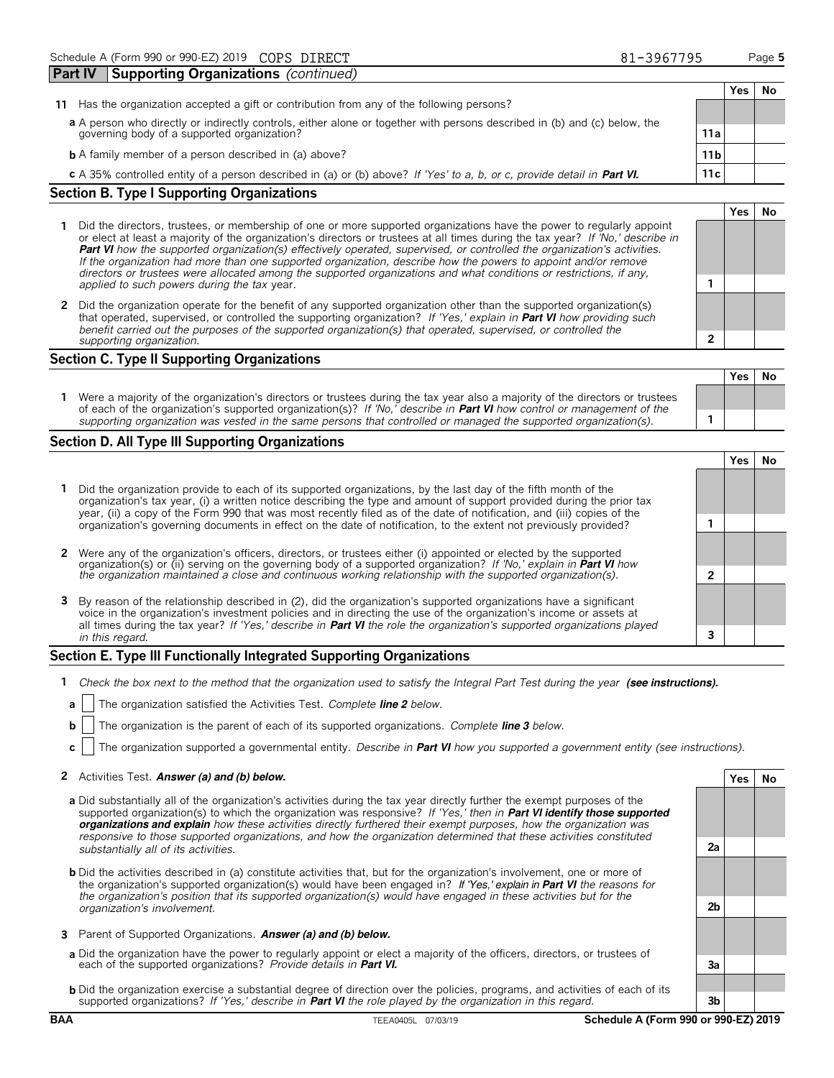|                                                                                                                           |                 | Yes |  |
|---------------------------------------------------------------------------------------------------------------------------|-----------------|-----|--|
| Has the organization accepted a gift or contribution from any of the following persons?<br>11                             |                 |     |  |
| a A person who directly or indirectly controls, either alone or together with persons described in (b) and (c) below, the |                 |     |  |
| governing body of a supported organization?                                                                               | 11a             |     |  |
| <b>b</b> A family member of a person described in (a) above?                                                              | 11 <sub>b</sub> |     |  |
| c A 35% controlled entity of a person described in (a) or (b) above? If 'Yes' to a, b, or c, provide detail in Part VI.   | 11c             |     |  |
| <b>Section B. Type I Supporting Organizations</b>                                                                         |                 |     |  |
|                                                                                                                           |                 |     |  |

- **1** Did the directors, trustees, or membership of one or more supported organizations have the power to regularly appoint or elect at least a majority of the organization's directors or trustees at all times during the tax year? *If 'No,' describe in* **Part VI** *how the supported organization(s) effectively operated, supervised, or controlled the organization's activities. If the organization had more than one supported organization, describe how the powers to appoint and/or remove directors or trustees were allocated among the supported organizations and what conditions or restrictions, if any, applied to such powers during the tax* year. **1**
- **2** Did the organization operate for the benefit of any supported organization other than the supported organization(s) that operated, supervised, or controlled the supporting organization? *If 'Yes,' explain in* **Part VI** *how providing such benefit carried out the purposes of the supported organization(s) that operated, supervised, or controlled the supporting organization.* **2**

### **Section C. Type II Supporting Organizations**

| Were a majority of the organization's directors or trustees during the tax year also a majority of the directors or trustees<br>of each of the organization's supported organization(s)? If 'No,' describe in <b>Part VI</b> how control or management of the |  |  |
|---------------------------------------------------------------------------------------------------------------------------------------------------------------------------------------------------------------------------------------------------------------|--|--|
| supporting organization was vested in the same persons that controlled or managed the supported organization(s).                                                                                                                                              |  |  |

### **Section D. All Type III Supporting Organizations**

|                                                                                                                                                                                                                                                                                                                                                                      |  | res |  |  |  |  |
|----------------------------------------------------------------------------------------------------------------------------------------------------------------------------------------------------------------------------------------------------------------------------------------------------------------------------------------------------------------------|--|-----|--|--|--|--|
| Did the organization provide to each of its supported organizations, by the last day of the fifth month of the<br>organization's tax year, (i) a written notice describing the type and amount of support provided during the prior tax<br>year, (ii) a copy of the Form 990 that was most recently filed as of the date of notification, and (iii) copies of the    |  |     |  |  |  |  |
| organization's governing documents in effect on the date of notification, to the extent not previously provided?                                                                                                                                                                                                                                                     |  |     |  |  |  |  |
| 2 Were any of the organization's officers, directors, or trustees either (i) appointed or elected by the supported                                                                                                                                                                                                                                                   |  |     |  |  |  |  |
| organization(s) or (ii) serving on the governing body of a supported organization? If 'No,' explain in <b>Part VI</b> how the organization maintained a close and continuous working relationship with the supported organization(s                                                                                                                                  |  |     |  |  |  |  |
| 3 By reason of the relationship described in (2), did the organization's supported organizations have a significant<br>voice in the organization's investment policies and in directing the use of the organization's income or assets at<br>all times during the tax year? If 'Yes,' describe in Part VI the role the organization's supported organizations played |  |     |  |  |  |  |
| in this regard.                                                                                                                                                                                                                                                                                                                                                      |  |     |  |  |  |  |

### **Section E. Type III Functionally Integrated Supporting Organizations**

- **1** *Check the box next to the method that the organization used to satisfy the Integral Part Test during the year* (see instructions).
- **a** The organization satisfied the Activities Test. *Complete line 2 below.*
- **b** The organization is the parent of each of its supported organizations. *Complete line 3 below.*
- **c** The organization supported a governmental entity. *Describe in* **Part VI** *how you supported a government entity (see instructions).*

### **2** Activities Test. Answer (a) and (b) below. **Yes No**

- **a** Did substantially all of the organization's activities during the tax year directly further the exempt purposes of the supported organization(s) to which the organization was responsive? *If 'Yes,' then in* **Part VI identify those supported organizations and explain** *how these activities directly furthered their exempt purposes, how the organization was responsive to those supported organizations, and how the organization determined that these activities constituted substantially all of its activities.* **2a**
- **b** Did the activities described in (a) constitute activities that, but for the organization's involvement, one or more of the organization's supported organization(s) would have been engaged in? If 'Yes,' explain in **Part VI** *the reasons for the organization's position that its supported organization(s) would have engaged in these activities but for the organization's involvement.* **2b**
- **3** Parent of Supported Organizations. **Answer (a) and (b) below.**
- **a** Did the organization have the power to regularly appoint or elect a majority of the officers, directors, or trustees of each of the supported organizations? *Provide details in* **Part VI. 3a**
- **b** Did the organization exercise a substantial degree of direction over the policies, programs, and activities of each of its supported organizations? *If 'Yes,' describe in* **Part VI** *the role played by the organization in this regard.* **3b**

### **BAA** TEEA0405L 07/03/19 **Schedule A (Form 990 or 990-EZ) 2019**

81-3967795

|   | Yes $ $ | No |
|---|---------|----|
|   |         |    |
| 2 |         |    |
|   |         |    |
|   |         |    |
|   |         |    |
|   |         |    |

**Yes No**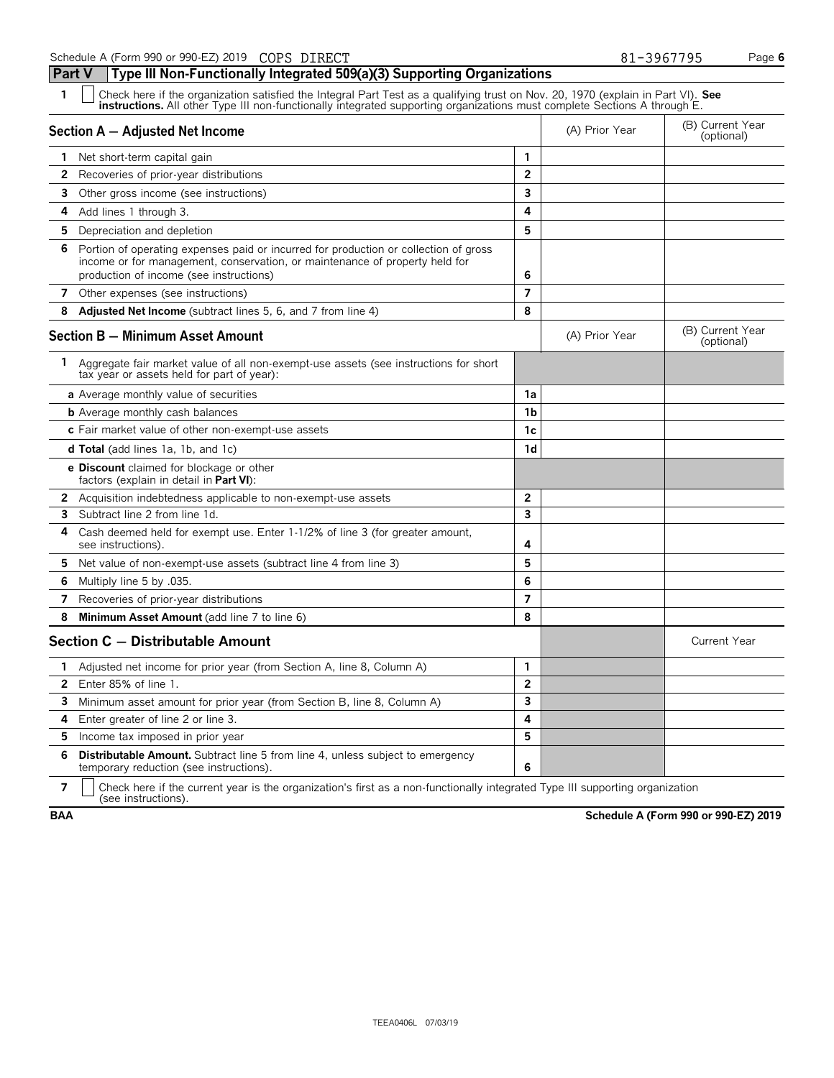**Part V Type III Non-Functionally Integrated 509(a)(3) Supporting Organizations**

| 1              | Check here if the organization satisfied the Integral Part Test as a qualifying trust on Nov. 20, 1970 (explain in Part VI). See<br><b>instructions.</b> All other Type III non-functionally integrated supporting organizations must complete Sections A through E. |                         |                                |                                |  |  |  |  |  |
|----------------|----------------------------------------------------------------------------------------------------------------------------------------------------------------------------------------------------------------------------------------------------------------------|-------------------------|--------------------------------|--------------------------------|--|--|--|--|--|
|                | Section A - Adjusted Net Income                                                                                                                                                                                                                                      | (A) Prior Year          | (B) Current Year<br>(optional) |                                |  |  |  |  |  |
|                | <b>1</b> Net short-term capital gain                                                                                                                                                                                                                                 |                         |                                |                                |  |  |  |  |  |
| 2              | Recoveries of prior-year distributions                                                                                                                                                                                                                               | $\overline{2}$          |                                |                                |  |  |  |  |  |
| 3.             | Other gross income (see instructions)                                                                                                                                                                                                                                | 3                       |                                |                                |  |  |  |  |  |
| 4              | Add lines 1 through 3.                                                                                                                                                                                                                                               | 4                       |                                |                                |  |  |  |  |  |
| 5.             | Depreciation and depletion                                                                                                                                                                                                                                           | 5                       |                                |                                |  |  |  |  |  |
| 6              | Portion of operating expenses paid or incurred for production or collection of gross<br>income or for management, conservation, or maintenance of property held for<br>production of income (see instructions)                                                       | 6                       |                                |                                |  |  |  |  |  |
| 7              | Other expenses (see instructions)                                                                                                                                                                                                                                    | $\overline{7}$          |                                |                                |  |  |  |  |  |
| 8              | Adjusted Net Income (subtract lines 5, 6, and 7 from line 4)                                                                                                                                                                                                         | 8                       |                                |                                |  |  |  |  |  |
|                | <b>Section B - Minimum Asset Amount</b>                                                                                                                                                                                                                              |                         | (A) Prior Year                 | (B) Current Year<br>(optional) |  |  |  |  |  |
|                | 1 Aggregate fair market value of all non-exempt-use assets (see instructions for short<br>tax year or assets held for part of year):                                                                                                                                 |                         |                                |                                |  |  |  |  |  |
|                | a Average monthly value of securities                                                                                                                                                                                                                                | 1a                      |                                |                                |  |  |  |  |  |
|                | <b>b</b> Average monthly cash balances                                                                                                                                                                                                                               | 1b                      |                                |                                |  |  |  |  |  |
|                | c Fair market value of other non-exempt-use assets                                                                                                                                                                                                                   | 1c                      |                                |                                |  |  |  |  |  |
|                | <b>d Total</b> (add lines 1a, 1b, and 1c)                                                                                                                                                                                                                            | 1 <sub>d</sub>          |                                |                                |  |  |  |  |  |
|                | <b>e Discount</b> claimed for blockage or other<br>factors (explain in detail in Part VI):                                                                                                                                                                           |                         |                                |                                |  |  |  |  |  |
| 2              | Acquisition indebtedness applicable to non-exempt-use assets                                                                                                                                                                                                         | $\overline{\mathbf{c}}$ |                                |                                |  |  |  |  |  |
| 3              | Subtract line 2 from line 1d.                                                                                                                                                                                                                                        | 3                       |                                |                                |  |  |  |  |  |
| 4              | Cash deemed held for exempt use. Enter 1-1/2% of line 3 (for greater amount,<br>see instructions).                                                                                                                                                                   | 4                       |                                |                                |  |  |  |  |  |
| 5.             | Net value of non-exempt-use assets (subtract line 4 from line 3)                                                                                                                                                                                                     | 5                       |                                |                                |  |  |  |  |  |
| 6              | Multiply line 5 by .035.                                                                                                                                                                                                                                             | 6                       |                                |                                |  |  |  |  |  |
| 7              | Recoveries of prior-year distributions                                                                                                                                                                                                                               | $\overline{7}$          |                                |                                |  |  |  |  |  |
| 8              | Minimum Asset Amount (add line 7 to line 6)                                                                                                                                                                                                                          | 8                       |                                |                                |  |  |  |  |  |
|                | Section C - Distributable Amount                                                                                                                                                                                                                                     |                         |                                | <b>Current Year</b>            |  |  |  |  |  |
| 1.             | Adjusted net income for prior year (from Section A, line 8, Column A)                                                                                                                                                                                                | 1                       |                                |                                |  |  |  |  |  |
| $\overline{2}$ | Enter 85% of line 1.                                                                                                                                                                                                                                                 | $\overline{2}$          |                                |                                |  |  |  |  |  |
| 3              | Minimum asset amount for prior year (from Section B, line 8, Column A)                                                                                                                                                                                               | 3                       |                                |                                |  |  |  |  |  |
| 4              | Enter greater of line 2 or line 3.                                                                                                                                                                                                                                   | 4                       |                                |                                |  |  |  |  |  |
| 5.             | Income tax imposed in prior year                                                                                                                                                                                                                                     | 5                       |                                |                                |  |  |  |  |  |
| 6              | <b>Distributable Amount.</b> Subtract line 5 from line 4, unless subject to emergency<br>temporary reduction (see instructions).                                                                                                                                     | 6                       |                                |                                |  |  |  |  |  |

**7**  $\Box$  Check here if the current year is the organization's first as a non-functionally integrated Type III supporting organization (see instructions).

**BAA Schedule A (Form 990 or 990-EZ) 2019**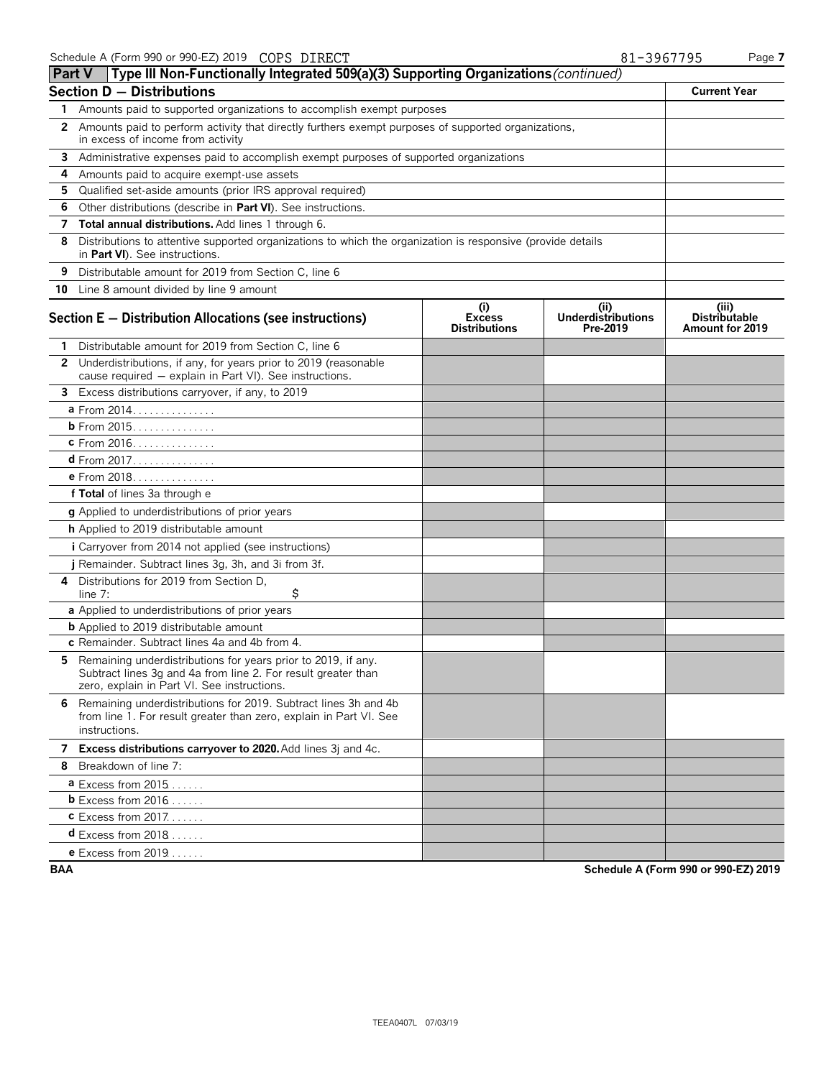|                                                                                                              |                                                                                                                                                                                                                                                                                                                                                                                                                                                                                                                                                                                                                                                                                                                                                                                                                                                                                                                                                                                                                                                                                                                                                                                                     |                                                                                                                                                                    | <b>Current Year</b>                                                                                                                                                                                                                                                                                                  |  |  |  |  |  |
|--------------------------------------------------------------------------------------------------------------|-----------------------------------------------------------------------------------------------------------------------------------------------------------------------------------------------------------------------------------------------------------------------------------------------------------------------------------------------------------------------------------------------------------------------------------------------------------------------------------------------------------------------------------------------------------------------------------------------------------------------------------------------------------------------------------------------------------------------------------------------------------------------------------------------------------------------------------------------------------------------------------------------------------------------------------------------------------------------------------------------------------------------------------------------------------------------------------------------------------------------------------------------------------------------------------------------------|--------------------------------------------------------------------------------------------------------------------------------------------------------------------|----------------------------------------------------------------------------------------------------------------------------------------------------------------------------------------------------------------------------------------------------------------------------------------------------------------------|--|--|--|--|--|
|                                                                                                              |                                                                                                                                                                                                                                                                                                                                                                                                                                                                                                                                                                                                                                                                                                                                                                                                                                                                                                                                                                                                                                                                                                                                                                                                     |                                                                                                                                                                    |                                                                                                                                                                                                                                                                                                                      |  |  |  |  |  |
| in excess of income from activity                                                                            |                                                                                                                                                                                                                                                                                                                                                                                                                                                                                                                                                                                                                                                                                                                                                                                                                                                                                                                                                                                                                                                                                                                                                                                                     |                                                                                                                                                                    |                                                                                                                                                                                                                                                                                                                      |  |  |  |  |  |
|                                                                                                              |                                                                                                                                                                                                                                                                                                                                                                                                                                                                                                                                                                                                                                                                                                                                                                                                                                                                                                                                                                                                                                                                                                                                                                                                     |                                                                                                                                                                    |                                                                                                                                                                                                                                                                                                                      |  |  |  |  |  |
| Amounts paid to acquire exempt-use assets                                                                    |                                                                                                                                                                                                                                                                                                                                                                                                                                                                                                                                                                                                                                                                                                                                                                                                                                                                                                                                                                                                                                                                                                                                                                                                     |                                                                                                                                                                    |                                                                                                                                                                                                                                                                                                                      |  |  |  |  |  |
| 4<br>Qualified set-aside amounts (prior IRS approval required)<br>5                                          |                                                                                                                                                                                                                                                                                                                                                                                                                                                                                                                                                                                                                                                                                                                                                                                                                                                                                                                                                                                                                                                                                                                                                                                                     |                                                                                                                                                                    |                                                                                                                                                                                                                                                                                                                      |  |  |  |  |  |
| Other distributions (describe in Part VI). See instructions.                                                 |                                                                                                                                                                                                                                                                                                                                                                                                                                                                                                                                                                                                                                                                                                                                                                                                                                                                                                                                                                                                                                                                                                                                                                                                     |                                                                                                                                                                    |                                                                                                                                                                                                                                                                                                                      |  |  |  |  |  |
| Total annual distributions. Add lines 1 through 6.                                                           |                                                                                                                                                                                                                                                                                                                                                                                                                                                                                                                                                                                                                                                                                                                                                                                                                                                                                                                                                                                                                                                                                                                                                                                                     |                                                                                                                                                                    |                                                                                                                                                                                                                                                                                                                      |  |  |  |  |  |
| in Part VI). See instructions.                                                                               |                                                                                                                                                                                                                                                                                                                                                                                                                                                                                                                                                                                                                                                                                                                                                                                                                                                                                                                                                                                                                                                                                                                                                                                                     |                                                                                                                                                                    |                                                                                                                                                                                                                                                                                                                      |  |  |  |  |  |
| Distributable amount for 2019 from Section C, line 6                                                         |                                                                                                                                                                                                                                                                                                                                                                                                                                                                                                                                                                                                                                                                                                                                                                                                                                                                                                                                                                                                                                                                                                                                                                                                     |                                                                                                                                                                    |                                                                                                                                                                                                                                                                                                                      |  |  |  |  |  |
|                                                                                                              |                                                                                                                                                                                                                                                                                                                                                                                                                                                                                                                                                                                                                                                                                                                                                                                                                                                                                                                                                                                                                                                                                                                                                                                                     |                                                                                                                                                                    |                                                                                                                                                                                                                                                                                                                      |  |  |  |  |  |
|                                                                                                              | (i)<br><b>Excess</b><br><b>Distributions</b>                                                                                                                                                                                                                                                                                                                                                                                                                                                                                                                                                                                                                                                                                                                                                                                                                                                                                                                                                                                                                                                                                                                                                        | (i)<br><b>Underdistributions</b><br>Pre-2019                                                                                                                       | (iii)<br><b>Distributable</b><br><b>Amount for 2019</b>                                                                                                                                                                                                                                                              |  |  |  |  |  |
|                                                                                                              |                                                                                                                                                                                                                                                                                                                                                                                                                                                                                                                                                                                                                                                                                                                                                                                                                                                                                                                                                                                                                                                                                                                                                                                                     |                                                                                                                                                                    |                                                                                                                                                                                                                                                                                                                      |  |  |  |  |  |
| cause required - explain in Part VI). See instructions.                                                      |                                                                                                                                                                                                                                                                                                                                                                                                                                                                                                                                                                                                                                                                                                                                                                                                                                                                                                                                                                                                                                                                                                                                                                                                     |                                                                                                                                                                    |                                                                                                                                                                                                                                                                                                                      |  |  |  |  |  |
|                                                                                                              |                                                                                                                                                                                                                                                                                                                                                                                                                                                                                                                                                                                                                                                                                                                                                                                                                                                                                                                                                                                                                                                                                                                                                                                                     |                                                                                                                                                                    |                                                                                                                                                                                                                                                                                                                      |  |  |  |  |  |
|                                                                                                              |                                                                                                                                                                                                                                                                                                                                                                                                                                                                                                                                                                                                                                                                                                                                                                                                                                                                                                                                                                                                                                                                                                                                                                                                     |                                                                                                                                                                    |                                                                                                                                                                                                                                                                                                                      |  |  |  |  |  |
|                                                                                                              |                                                                                                                                                                                                                                                                                                                                                                                                                                                                                                                                                                                                                                                                                                                                                                                                                                                                                                                                                                                                                                                                                                                                                                                                     |                                                                                                                                                                    |                                                                                                                                                                                                                                                                                                                      |  |  |  |  |  |
|                                                                                                              |                                                                                                                                                                                                                                                                                                                                                                                                                                                                                                                                                                                                                                                                                                                                                                                                                                                                                                                                                                                                                                                                                                                                                                                                     |                                                                                                                                                                    |                                                                                                                                                                                                                                                                                                                      |  |  |  |  |  |
|                                                                                                              |                                                                                                                                                                                                                                                                                                                                                                                                                                                                                                                                                                                                                                                                                                                                                                                                                                                                                                                                                                                                                                                                                                                                                                                                     |                                                                                                                                                                    |                                                                                                                                                                                                                                                                                                                      |  |  |  |  |  |
|                                                                                                              |                                                                                                                                                                                                                                                                                                                                                                                                                                                                                                                                                                                                                                                                                                                                                                                                                                                                                                                                                                                                                                                                                                                                                                                                     |                                                                                                                                                                    |                                                                                                                                                                                                                                                                                                                      |  |  |  |  |  |
|                                                                                                              |                                                                                                                                                                                                                                                                                                                                                                                                                                                                                                                                                                                                                                                                                                                                                                                                                                                                                                                                                                                                                                                                                                                                                                                                     |                                                                                                                                                                    |                                                                                                                                                                                                                                                                                                                      |  |  |  |  |  |
|                                                                                                              |                                                                                                                                                                                                                                                                                                                                                                                                                                                                                                                                                                                                                                                                                                                                                                                                                                                                                                                                                                                                                                                                                                                                                                                                     |                                                                                                                                                                    |                                                                                                                                                                                                                                                                                                                      |  |  |  |  |  |
|                                                                                                              |                                                                                                                                                                                                                                                                                                                                                                                                                                                                                                                                                                                                                                                                                                                                                                                                                                                                                                                                                                                                                                                                                                                                                                                                     |                                                                                                                                                                    |                                                                                                                                                                                                                                                                                                                      |  |  |  |  |  |
|                                                                                                              |                                                                                                                                                                                                                                                                                                                                                                                                                                                                                                                                                                                                                                                                                                                                                                                                                                                                                                                                                                                                                                                                                                                                                                                                     |                                                                                                                                                                    |                                                                                                                                                                                                                                                                                                                      |  |  |  |  |  |
|                                                                                                              |                                                                                                                                                                                                                                                                                                                                                                                                                                                                                                                                                                                                                                                                                                                                                                                                                                                                                                                                                                                                                                                                                                                                                                                                     |                                                                                                                                                                    |                                                                                                                                                                                                                                                                                                                      |  |  |  |  |  |
| \$<br>line 7:                                                                                                |                                                                                                                                                                                                                                                                                                                                                                                                                                                                                                                                                                                                                                                                                                                                                                                                                                                                                                                                                                                                                                                                                                                                                                                                     |                                                                                                                                                                    |                                                                                                                                                                                                                                                                                                                      |  |  |  |  |  |
|                                                                                                              |                                                                                                                                                                                                                                                                                                                                                                                                                                                                                                                                                                                                                                                                                                                                                                                                                                                                                                                                                                                                                                                                                                                                                                                                     |                                                                                                                                                                    |                                                                                                                                                                                                                                                                                                                      |  |  |  |  |  |
|                                                                                                              |                                                                                                                                                                                                                                                                                                                                                                                                                                                                                                                                                                                                                                                                                                                                                                                                                                                                                                                                                                                                                                                                                                                                                                                                     |                                                                                                                                                                    |                                                                                                                                                                                                                                                                                                                      |  |  |  |  |  |
|                                                                                                              |                                                                                                                                                                                                                                                                                                                                                                                                                                                                                                                                                                                                                                                                                                                                                                                                                                                                                                                                                                                                                                                                                                                                                                                                     |                                                                                                                                                                    |                                                                                                                                                                                                                                                                                                                      |  |  |  |  |  |
| Subtract lines 3g and 4a from line 2. For result greater than<br>zero, explain in Part VI. See instructions. |                                                                                                                                                                                                                                                                                                                                                                                                                                                                                                                                                                                                                                                                                                                                                                                                                                                                                                                                                                                                                                                                                                                                                                                                     |                                                                                                                                                                    |                                                                                                                                                                                                                                                                                                                      |  |  |  |  |  |
| from line 1. For result greater than zero, explain in Part VI. See<br>instructions.                          |                                                                                                                                                                                                                                                                                                                                                                                                                                                                                                                                                                                                                                                                                                                                                                                                                                                                                                                                                                                                                                                                                                                                                                                                     |                                                                                                                                                                    |                                                                                                                                                                                                                                                                                                                      |  |  |  |  |  |
|                                                                                                              |                                                                                                                                                                                                                                                                                                                                                                                                                                                                                                                                                                                                                                                                                                                                                                                                                                                                                                                                                                                                                                                                                                                                                                                                     |                                                                                                                                                                    |                                                                                                                                                                                                                                                                                                                      |  |  |  |  |  |
|                                                                                                              |                                                                                                                                                                                                                                                                                                                                                                                                                                                                                                                                                                                                                                                                                                                                                                                                                                                                                                                                                                                                                                                                                                                                                                                                     |                                                                                                                                                                    |                                                                                                                                                                                                                                                                                                                      |  |  |  |  |  |
|                                                                                                              |                                                                                                                                                                                                                                                                                                                                                                                                                                                                                                                                                                                                                                                                                                                                                                                                                                                                                                                                                                                                                                                                                                                                                                                                     |                                                                                                                                                                    |                                                                                                                                                                                                                                                                                                                      |  |  |  |  |  |
|                                                                                                              |                                                                                                                                                                                                                                                                                                                                                                                                                                                                                                                                                                                                                                                                                                                                                                                                                                                                                                                                                                                                                                                                                                                                                                                                     |                                                                                                                                                                    |                                                                                                                                                                                                                                                                                                                      |  |  |  |  |  |
|                                                                                                              |                                                                                                                                                                                                                                                                                                                                                                                                                                                                                                                                                                                                                                                                                                                                                                                                                                                                                                                                                                                                                                                                                                                                                                                                     |                                                                                                                                                                    |                                                                                                                                                                                                                                                                                                                      |  |  |  |  |  |
|                                                                                                              |                                                                                                                                                                                                                                                                                                                                                                                                                                                                                                                                                                                                                                                                                                                                                                                                                                                                                                                                                                                                                                                                                                                                                                                                     |                                                                                                                                                                    |                                                                                                                                                                                                                                                                                                                      |  |  |  |  |  |
| 8                                                                                                            | <b>Section D - Distributions</b><br>7<br>10 Line 8 amount divided by line 9 amount<br>Section E - Distribution Allocations (see instructions)<br>1 Distributable amount for 2019 from Section C, line 6<br>2 Underdistributions, if any, for years prior to 2019 (reasonable<br>3 Excess distributions carryover, if any, to 2019<br>a From 2014.<br><b>b</b> From 2015.<br>C From 2016.<br>e From 2018.<br>f Total of lines 3a through e<br>g Applied to underdistributions of prior years<br>h Applied to 2019 distributable amount<br>i Carryover from 2014 not applied (see instructions)<br>j Remainder. Subtract lines 3g, 3h, and 3i from 3f.<br>4 Distributions for 2019 from Section D,<br>a Applied to underdistributions of prior years<br><b>b</b> Applied to 2019 distributable amount<br>c Remainder. Subtract lines 4a and 4b from 4.<br>5 Remaining underdistributions for years prior to 2019, if any.<br>6 Remaining underdistributions for 2019. Subtract lines 3h and 4b<br>7 Excess distributions carryover to 2020. Add lines 3j and 4c.<br>Breakdown of line 7:<br>$a$ Excess from 2015<br><b>b</b> Excess from $2016$<br><b>c</b> Excess from 2017.<br>$d$ Excess from 2018 | 1 Amounts paid to supported organizations to accomplish exempt purposes<br>3 Administrative expenses paid to accomplish exempt purposes of supported organizations | Part V   Type III Non-Functionally Integrated 509(a)(3) Supporting Organizations (continued)<br>2 Amounts paid to perform activity that directly furthers exempt purposes of supported organizations,<br>Distributions to attentive supported organizations to which the organization is responsive (provide details |  |  |  |  |  |

**e** Excess from 2019. . . . . . .

**BAA Schedule A (Form 990 or 990-EZ) 2019**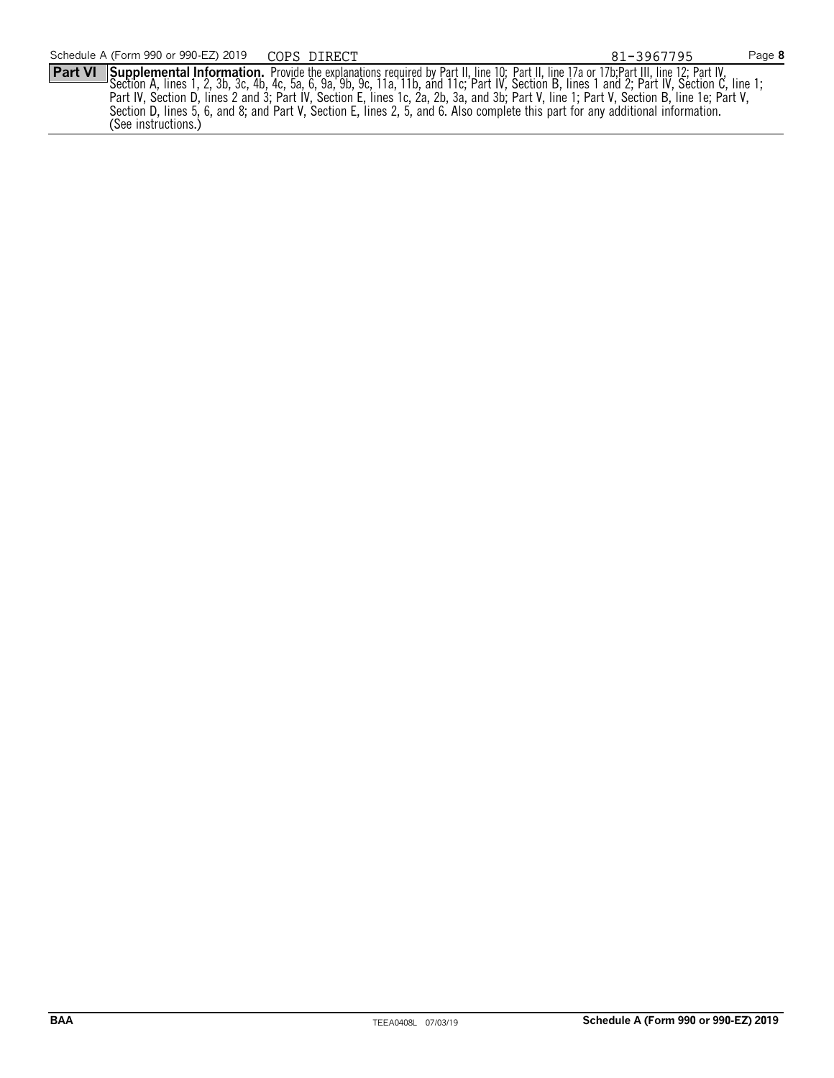**Part VI** Supplemental Information. Provide the explanations required by Part II, line 10; Part II, line 17a or 17b;Part III, line 12; Part IV, Section A, lines 1, 2, 3b, 3c, 4b, 4c, 5a, 6, 9a, 9b, 9c, 11a, 11b, and 11c; Part IV, Section B, lines 1 and 2; Part IV, Section C, line 1; Part IV, Section D, lines 2 and 3; Part IV, Section E, lines 1c, 2a, 2b, 3a, and 3b; Part V, line 1; Part V, Section B, line 1e; Part V, Section D, lines 5, 6, and 8; and Part V, Section E, lines 2, 5, and 6. Also complete this part for any additional information. (See instructions.)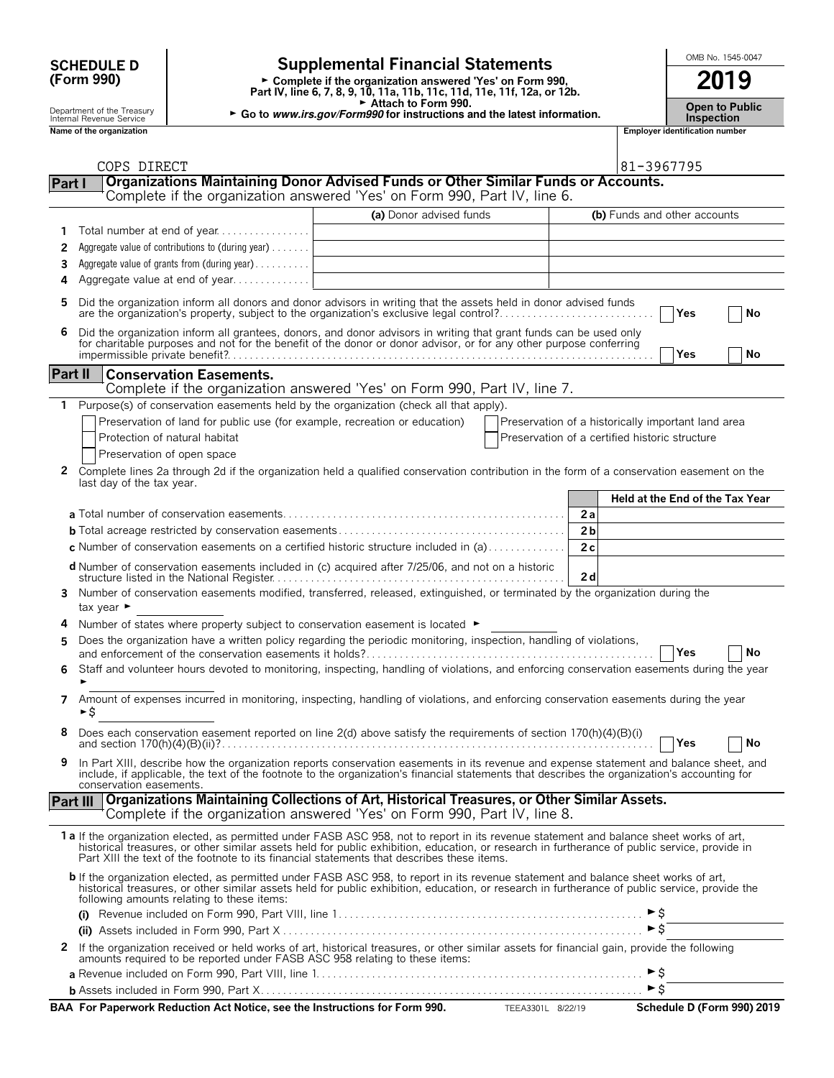## **(Form 990)**

# SCHEDULE D<br>
Complete if the organization answered Yes' on Form 990,<br>
Desiration answered Yes' on Form 990,<br>
2019

**Part IV, line 6, 7, 8, 9, 10, 11a, 11b, 11c, 11d, 11e, 11f, 12a, or 12b.**<br>
Part IV, line 6, 7, 8, 9, 10, 11a, 11b, 11c, 11d, 11e, 11f, 12a, or 12b.

G **Attach to Form 990.**

Department of the Treasury **Computer of the Treasury <b>Computer of the Treasury Co** to *Public* Internal Revenue Service **Internal Revenue Service**<br>Inspection **Inspection**<br>Name of the organization number

| <b>Open to Publi</b> |
|----------------------|
|                      |
| Incnoction           |

**Name of the organization Employer identification number**

| - |
|---|
|   |
|   |
|   |
|   |
|   |

|                | COPS DIRECT                                                                                                                                                                                                                                                                                                                                                                             |                         |                                                | 81-3967795                                         |
|----------------|-----------------------------------------------------------------------------------------------------------------------------------------------------------------------------------------------------------------------------------------------------------------------------------------------------------------------------------------------------------------------------------------|-------------------------|------------------------------------------------|----------------------------------------------------|
| Part I         | <b>Organizations Maintaining Donor Advised Funds or Other Similar Funds or Accounts.</b>                                                                                                                                                                                                                                                                                                |                         |                                                |                                                    |
|                | Complete if the organization answered 'Yes' on Form 990, Part IV, line 6.                                                                                                                                                                                                                                                                                                               |                         |                                                |                                                    |
|                |                                                                                                                                                                                                                                                                                                                                                                                         | (a) Donor advised funds |                                                | (b) Funds and other accounts                       |
| 1              | Total number at end of year                                                                                                                                                                                                                                                                                                                                                             |                         |                                                |                                                    |
| 2              | Aggregate value of contributions to (during year)                                                                                                                                                                                                                                                                                                                                       |                         |                                                |                                                    |
| 3              | Aggregate value of grants from (during year)                                                                                                                                                                                                                                                                                                                                            |                         |                                                |                                                    |
| 4              | Aggregate value at end of year                                                                                                                                                                                                                                                                                                                                                          |                         |                                                |                                                    |
|                |                                                                                                                                                                                                                                                                                                                                                                                         |                         |                                                |                                                    |
|                | Did the organization inform all donors and donor advisors in writing that the assets held in donor advised funds<br>are the organization's property, subject to the organization's exclusive legal control?                                                                                                                                                                             |                         |                                                | Yes<br>No                                          |
| 6              | Did the organization inform all grantees, donors, and donor advisors in writing that grant funds can be used only for charitable purposes and not for the benefit of the donor or donor advisor, or for any other purpose conf                                                                                                                                                          |                         |                                                | Yes<br>No                                          |
|                |                                                                                                                                                                                                                                                                                                                                                                                         |                         |                                                |                                                    |
| <b>Part II</b> | <b>Conservation Easements.</b>                                                                                                                                                                                                                                                                                                                                                          |                         |                                                |                                                    |
|                | Complete if the organization answered 'Yes' on Form 990, Part IV, line 7.                                                                                                                                                                                                                                                                                                               |                         |                                                |                                                    |
| 1.             | Purpose(s) of conservation easements held by the organization (check all that apply).                                                                                                                                                                                                                                                                                                   |                         |                                                |                                                    |
|                | Preservation of land for public use (for example, recreation or education)                                                                                                                                                                                                                                                                                                              |                         |                                                | Preservation of a historically important land area |
|                | Protection of natural habitat                                                                                                                                                                                                                                                                                                                                                           |                         | Preservation of a certified historic structure |                                                    |
|                | Preservation of open space                                                                                                                                                                                                                                                                                                                                                              |                         |                                                |                                                    |
| 2              | Complete lines 2a through 2d if the organization held a qualified conservation contribution in the form of a conservation easement on the                                                                                                                                                                                                                                               |                         |                                                |                                                    |
|                | last day of the tax year.                                                                                                                                                                                                                                                                                                                                                               |                         |                                                |                                                    |
|                |                                                                                                                                                                                                                                                                                                                                                                                         |                         |                                                | Held at the End of the Tax Year                    |
|                |                                                                                                                                                                                                                                                                                                                                                                                         |                         | 2a                                             |                                                    |
|                |                                                                                                                                                                                                                                                                                                                                                                                         |                         | 2 <sub>b</sub>                                 |                                                    |
|                | c Number of conservation easements on a certified historic structure included in (a)                                                                                                                                                                                                                                                                                                    |                         | 2c                                             |                                                    |
|                | d Number of conservation easements included in (c) acquired after 7/25/06, and not on a historic                                                                                                                                                                                                                                                                                        |                         | 2d                                             |                                                    |
| 3.             | Number of conservation easements modified, transferred, released, extinguished, or terminated by the organization during the<br>tax year $\blacktriangleright$                                                                                                                                                                                                                          |                         |                                                |                                                    |
| 4              | Number of states where property subject to conservation easement is located $\blacktriangleright$                                                                                                                                                                                                                                                                                       |                         |                                                |                                                    |
| 5              | Does the organization have a written policy regarding the periodic monitoring, inspection, handling of violations,                                                                                                                                                                                                                                                                      |                         |                                                |                                                    |
|                |                                                                                                                                                                                                                                                                                                                                                                                         |                         |                                                | No<br><b>Yes</b>                                   |
|                | Staff and volunteer hours devoted to monitoring, inspecting, handling of violations, and enforcing conservation easements during the year                                                                                                                                                                                                                                               |                         |                                                |                                                    |
| 7              | Amount of expenses incurred in monitoring, inspecting, handling of violations, and enforcing conservation easements during the year<br>►\$                                                                                                                                                                                                                                              |                         |                                                |                                                    |
|                | Does each conservation easement reported on line 2(d) above satisfy the requirements of section 170(h)(4)(B)(i)                                                                                                                                                                                                                                                                         |                         |                                                | Yes<br>No                                          |
| 9              | In Part XIII, describe how the organization reports conservation easements in its revenue and expense statement and balance sheet, and<br>include, if applicable, the text of the footnote to the organization's financial statements that describes the organization's accounting for<br>conservation easements.                                                                       |                         |                                                |                                                    |
|                | Part III   Organizations Maintaining Collections of Art, Historical Treasures, or Other Similar Assets.                                                                                                                                                                                                                                                                                 |                         |                                                |                                                    |
|                | Complete if the organization answered 'Yes' on Form 990, Part IV, line 8.                                                                                                                                                                                                                                                                                                               |                         |                                                |                                                    |
|                | 1 a If the organization elected, as permitted under FASB ASC 958, not to report in its revenue statement and balance sheet works of art,<br>historical treasures, or other similar assets held for public exhibition, education, or research in furtherance of public service, provide in<br>Part XIII the text of the footnote to its financial statements that describes these items. |                         |                                                |                                                    |
|                | b If the organization elected, as permitted under FASB ASC 958, to report in its revenue statement and balance sheet works of art,<br>historical treasures, or other similar assets held for public exhibition, education, or research in furtherance of public service, provide the<br>following amounts relating to these items:                                                      |                         |                                                |                                                    |
|                |                                                                                                                                                                                                                                                                                                                                                                                         |                         |                                                |                                                    |
|                |                                                                                                                                                                                                                                                                                                                                                                                         |                         |                                                | $\triangleright$ \$                                |
|                | 2 If the organization received or held works of art, historical treasures, or other similar assets for financial gain, provide the following<br>amounts required to be reported under FASB ASC 958 relating to these items:                                                                                                                                                             |                         |                                                |                                                    |
|                |                                                                                                                                                                                                                                                                                                                                                                                         |                         |                                                |                                                    |
|                | b Assets included in Form 990, Part X…………………………………………………………………………… ▶ \$                                                                                                                                                                                                                                                                                                                 |                         |                                                |                                                    |
|                | BAA For Paperwork Reduction Act Notice, see the Instructions for Form 990.                                                                                                                                                                                                                                                                                                              |                         | TEEA3301L 8/22/19                              | Schedule D (Form 990) 2019                         |
|                |                                                                                                                                                                                                                                                                                                                                                                                         |                         |                                                |                                                    |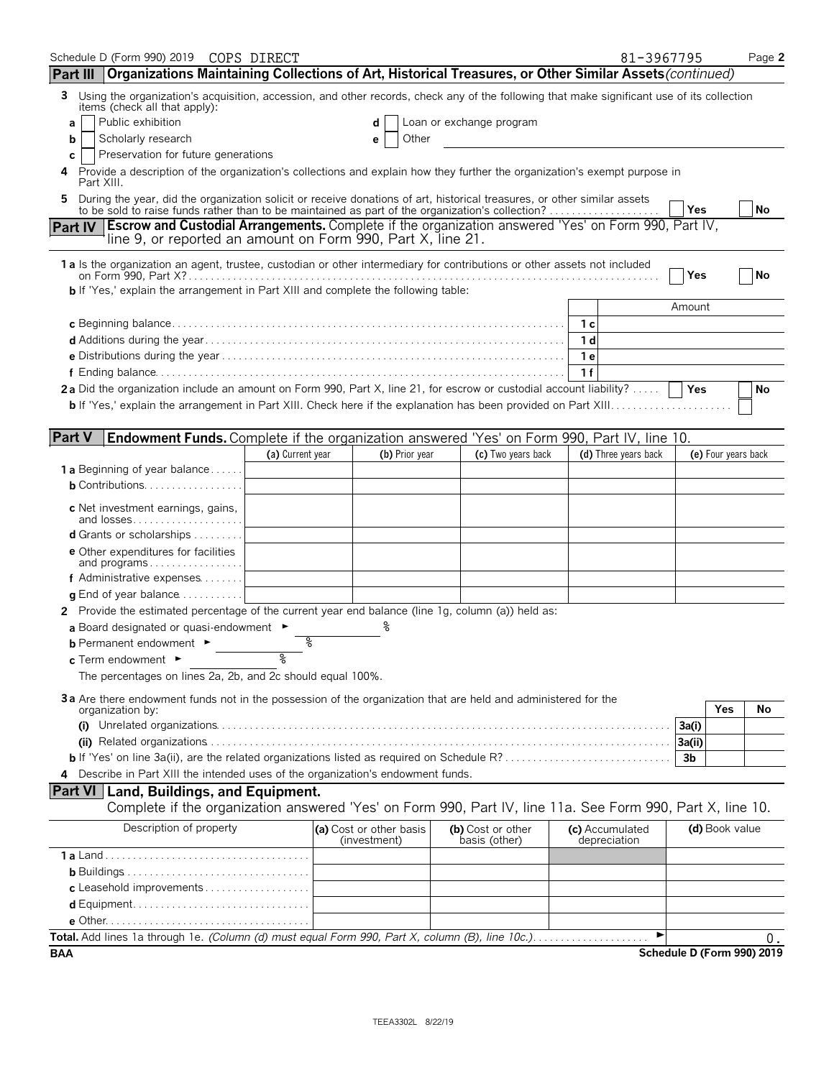| Schedule D (Form 990) 2019 COPS DIRECT<br>Part III   Organizations Maintaining Collections of Art, Historical Treasures, or Other Similar Assets (continued)               |                  |                                         |                |                                    | 81-3967795                      |                            |                     | Page 2 |
|----------------------------------------------------------------------------------------------------------------------------------------------------------------------------|------------------|-----------------------------------------|----------------|------------------------------------|---------------------------------|----------------------------|---------------------|--------|
| Using the organization's acquisition, accession, and other records, check any of the following that make significant use of its collection<br>3                            |                  |                                         |                |                                    |                                 |                            |                     |        |
| items (check all that apply):                                                                                                                                              |                  |                                         |                |                                    |                                 |                            |                     |        |
| Public exhibition<br>a                                                                                                                                                     |                  |                                         | d              | Loan or exchange program           |                                 |                            |                     |        |
| Scholarly research<br>b                                                                                                                                                    |                  |                                         | Other<br>e     |                                    |                                 |                            |                     |        |
| Preservation for future generations<br>c<br>Provide a description of the organization's collections and explain how they further the organization's exempt purpose in<br>4 |                  |                                         |                |                                    |                                 |                            |                     |        |
| Part XIII.<br>During the year, did the organization solicit or receive donations of art, historical treasures, or other similar assets<br>5                                |                  |                                         |                |                                    |                                 | Yes                        |                     | No     |
| <b>Part IV Escrow and Custodial Arrangements.</b> Complete if the organization answered 'Yes' on Form 990, Part IV,                                                        |                  |                                         |                |                                    |                                 |                            |                     |        |
| line 9, or reported an amount on Form 990, Part X, line 21.                                                                                                                |                  |                                         |                |                                    |                                 |                            |                     |        |
| 1 a Is the organization an agent, trustee, custodian or other intermediary for contributions or other assets not included                                                  |                  |                                         |                |                                    |                                 |                            |                     |        |
|                                                                                                                                                                            |                  |                                         |                |                                    |                                 | Yes                        |                     | No     |
| b If 'Yes,' explain the arrangement in Part XIII and complete the following table:                                                                                         |                  |                                         |                |                                    |                                 |                            |                     |        |
|                                                                                                                                                                            |                  |                                         |                |                                    |                                 | Amount                     |                     |        |
|                                                                                                                                                                            |                  |                                         |                |                                    | – 1 с                           |                            |                     |        |
|                                                                                                                                                                            |                  |                                         |                |                                    | 1d                              |                            |                     |        |
|                                                                                                                                                                            |                  |                                         |                |                                    | 1 e                             |                            |                     |        |
| 2a Did the organization include an amount on Form 990, Part X, line 21, for escrow or custodial account liability?                                                         |                  |                                         |                |                                    | 1f                              | Yes                        |                     | No     |
|                                                                                                                                                                            |                  |                                         |                |                                    |                                 |                            |                     |        |
|                                                                                                                                                                            |                  |                                         |                |                                    |                                 |                            |                     |        |
| <b>Part V</b><br>Endowment Funds. Complete if the organization answered 'Yes' on Form 990, Part IV, line 10.                                                               |                  |                                         |                |                                    |                                 |                            |                     |        |
|                                                                                                                                                                            | (a) Current year |                                         | (b) Prior year | (c) Two years back                 | (d) Three years back            |                            | (e) Four years back |        |
| <b>1 a</b> Beginning of year balance                                                                                                                                       |                  |                                         |                |                                    |                                 |                            |                     |        |
| <b>b</b> Contributions. $\ldots$ , $\ldots$ , $\ldots$ , $\ldots$                                                                                                          |                  |                                         |                |                                    |                                 |                            |                     |        |
| c Net investment earnings, gains,<br>and losses                                                                                                                            |                  |                                         |                |                                    |                                 |                            |                     |        |
| <b>d</b> Grants or scholarships $\ldots \ldots \ldots$                                                                                                                     |                  |                                         |                |                                    |                                 |                            |                     |        |
| <b>e</b> Other expenditures for facilities<br>and programs                                                                                                                 |                  |                                         |                |                                    |                                 |                            |                     |        |
| f Administrative expenses                                                                                                                                                  |                  |                                         |                |                                    |                                 |                            |                     |        |
| <b>q</b> End of year balance $\dots\dots\dots\dots$                                                                                                                        |                  |                                         |                |                                    |                                 |                            |                     |        |
| 2 Provide the estimated percentage of the current year end balance (line 1g, column (a)) held as:                                                                          |                  |                                         |                |                                    |                                 |                            |                     |        |
| a Board designated or quasi-endowment $\blacktriangleright$                                                                                                                |                  |                                         | ℅              |                                    |                                 |                            |                     |        |
| <b>b</b> Permanent endowment $\blacktriangleright$                                                                                                                         | နွ               |                                         |                |                                    |                                 |                            |                     |        |
| $c$ Term endowment $\blacktriangleright$                                                                                                                                   |                  |                                         |                |                                    |                                 |                            |                     |        |
| The percentages on lines 2a, 2b, and 2c should equal 100%.                                                                                                                 |                  |                                         |                |                                    |                                 |                            |                     |        |
| 3a Are there endowment funds not in the possession of the organization that are held and administered for the                                                              |                  |                                         |                |                                    |                                 |                            |                     |        |
| organization by:                                                                                                                                                           |                  |                                         |                |                                    |                                 |                            | Yes                 | No     |
| (i)                                                                                                                                                                        |                  |                                         |                |                                    |                                 | 3a(i)<br>3a(ii)            |                     |        |
|                                                                                                                                                                            |                  |                                         |                |                                    |                                 | 3 <sub>b</sub>             |                     |        |
| Describe in Part XIII the intended uses of the organization's endowment funds.                                                                                             |                  |                                         |                |                                    |                                 |                            |                     |        |
| <b>Part VI   Land, Buildings, and Equipment.</b>                                                                                                                           |                  |                                         |                |                                    |                                 |                            |                     |        |
| Complete if the organization answered 'Yes' on Form 990, Part IV, line 11a. See Form 990, Part X, line 10.                                                                 |                  |                                         |                |                                    |                                 |                            |                     |        |
| Description of property                                                                                                                                                    |                  | (a) Cost or other basis<br>(investment) |                | (b) Cost or other<br>basis (other) | (c) Accumulated<br>depreciation |                            | (d) Book value      |        |
|                                                                                                                                                                            |                  |                                         |                |                                    |                                 |                            |                     |        |
|                                                                                                                                                                            |                  |                                         |                |                                    |                                 |                            |                     |        |
|                                                                                                                                                                            |                  |                                         |                |                                    |                                 |                            |                     |        |
|                                                                                                                                                                            |                  |                                         |                |                                    |                                 |                            |                     |        |
|                                                                                                                                                                            |                  |                                         |                |                                    |                                 |                            |                     |        |
| Total. Add lines 1a through 1e. (Column (d) must equal Form 990, Part X, column (B), line 10c.)                                                                            |                  |                                         |                |                                    |                                 |                            |                     | υ.     |
| BAA                                                                                                                                                                        |                  |                                         |                |                                    |                                 | Schedule D (Form 990) 2019 |                     |        |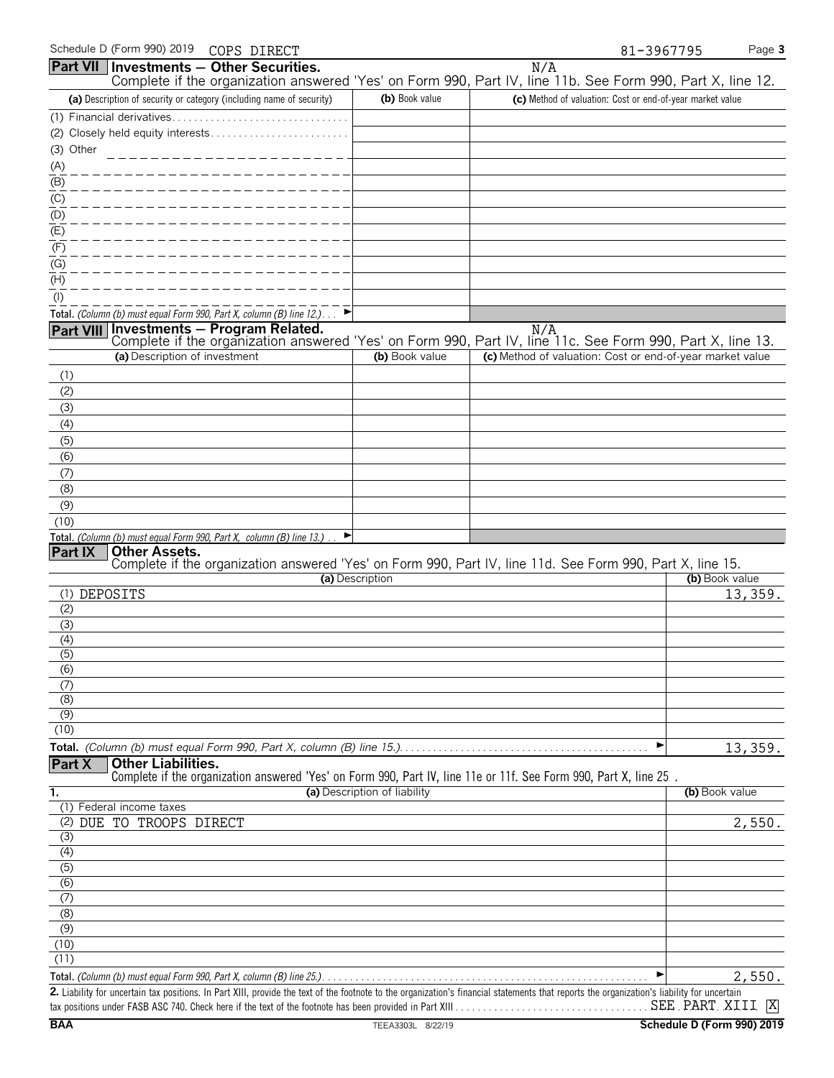|                  |                               | Part VII Investments - Other Securities.                                   |                              | N/A                                                                                                               |                |
|------------------|-------------------------------|----------------------------------------------------------------------------|------------------------------|-------------------------------------------------------------------------------------------------------------------|----------------|
|                  |                               |                                                                            |                              | Complete if the organization answered 'Yes' on Form 990, Part IV, line 11b. See Form 990, Part X, line 12.        |                |
|                  |                               | (a) Description of security or category (including name of security)       | (b) Book value               | (c) Method of valuation: Cost or end-of-year market value                                                         |                |
|                  |                               | (1) Financial derivatives                                                  |                              |                                                                                                                   |                |
|                  |                               | (2) Closely held equity interests                                          |                              |                                                                                                                   |                |
| (3) Other        |                               | ____________________                                                       |                              |                                                                                                                   |                |
| (A)              |                               |                                                                            |                              |                                                                                                                   |                |
| $(\mathsf{B})$   |                               |                                                                            |                              |                                                                                                                   |                |
| (C)              |                               |                                                                            |                              |                                                                                                                   |                |
| (D)              |                               |                                                                            |                              |                                                                                                                   |                |
| $\overline{E}$   |                               |                                                                            |                              |                                                                                                                   |                |
| (F)              |                               |                                                                            |                              |                                                                                                                   |                |
| $(\mathrm{G})$   |                               |                                                                            |                              |                                                                                                                   |                |
| $(\mathsf{H})$   |                               |                                                                            |                              |                                                                                                                   |                |
| $($ l $)$        |                               |                                                                            |                              |                                                                                                                   |                |
|                  |                               | Total. (Column (b) must equal Form 990, Part X, column (B) line 12.)       |                              |                                                                                                                   |                |
|                  |                               | Part VIII Investments - Program Related.                                   |                              | N/A<br>Complete if the organization answered 'Yes' on Form 990, Part IV, line 11c. See Form 990, Part X, line 13. |                |
|                  | (a) Description of investment |                                                                            | (b) Book value               | (c) Method of valuation: Cost or end-of-year market value                                                         |                |
| (1)              |                               |                                                                            |                              |                                                                                                                   |                |
| (2)              |                               |                                                                            |                              |                                                                                                                   |                |
| (3)              |                               |                                                                            |                              |                                                                                                                   |                |
| (4)              |                               |                                                                            |                              |                                                                                                                   |                |
| (5)              |                               |                                                                            |                              |                                                                                                                   |                |
| (6)              |                               |                                                                            |                              |                                                                                                                   |                |
| (7)              |                               |                                                                            |                              |                                                                                                                   |                |
| (8)              |                               |                                                                            |                              |                                                                                                                   |                |
| (9)              |                               |                                                                            |                              |                                                                                                                   |                |
| (10)             |                               |                                                                            |                              |                                                                                                                   |                |
|                  |                               | Total. (Column (b) must equal Form 990, Part X, column (B) line 13.).<br>▶ |                              |                                                                                                                   |                |
| Part IX          | <b>Other Assets.</b>          |                                                                            |                              |                                                                                                                   |                |
|                  |                               |                                                                            | (a) Description              | Complete if the organization answered 'Yes' on Form 990, Part IV, line 11d. See Form 990, Part X, line 15.        | (b) Book value |
| (1) DEPOSITS     |                               |                                                                            |                              |                                                                                                                   | 13,359.        |
| (2)              |                               |                                                                            |                              |                                                                                                                   |                |
| (3)              |                               |                                                                            |                              |                                                                                                                   |                |
| (4)              |                               |                                                                            |                              |                                                                                                                   |                |
| (5)              |                               |                                                                            |                              |                                                                                                                   |                |
| (6)              |                               |                                                                            |                              |                                                                                                                   |                |
| (7)              |                               |                                                                            |                              |                                                                                                                   |                |
| (8)              |                               |                                                                            |                              |                                                                                                                   |                |
| (9)<br>(10)      |                               |                                                                            |                              |                                                                                                                   |                |
|                  |                               |                                                                            |                              |                                                                                                                   |                |
| Part X           | <b>Other Liabilities.</b>     |                                                                            |                              |                                                                                                                   | 13,359.        |
|                  |                               |                                                                            |                              | Complete if the organization answered 'Yes' on Form 990, Part IV, line 11e or 11f. See Form 990, Part X, line 25. |                |
| 1.               |                               |                                                                            | (a) Description of liability |                                                                                                                   | (b) Book value |
|                  | (1) Federal income taxes      |                                                                            |                              |                                                                                                                   |                |
| (2)              | DUE TO TROOPS DIRECT          |                                                                            |                              |                                                                                                                   | 2,550.         |
| (3)              |                               |                                                                            |                              |                                                                                                                   |                |
| (4)              |                               |                                                                            |                              |                                                                                                                   |                |
| $\overline{(5)}$ |                               |                                                                            |                              |                                                                                                                   |                |
| $\overline{(6)}$ |                               |                                                                            |                              |                                                                                                                   |                |
| (7)              |                               |                                                                            |                              |                                                                                                                   |                |
| (8)<br>(9)       |                               |                                                                            |                              |                                                                                                                   |                |
| (10)             |                               |                                                                            |                              |                                                                                                                   |                |
| (11)             |                               |                                                                            |                              |                                                                                                                   |                |
|                  |                               |                                                                            |                              |                                                                                                                   | 2,550.         |
|                  |                               |                                                                            |                              |                                                                                                                   |                |

**2.** Liability for uncertain tax positions. In Part XIII, provide the text of the footnote to the organization's financial statements that reports the organization's liability for uncertain tax positions under FASB ASC 740. Check here if the text of the footnote has been provided in Part XIII . . . . . . . . . . . . . . . . . . . . . . . . . . . . . . . . . . . . . . . . . . . . . . . . . . . . . . . X SEE PART XIII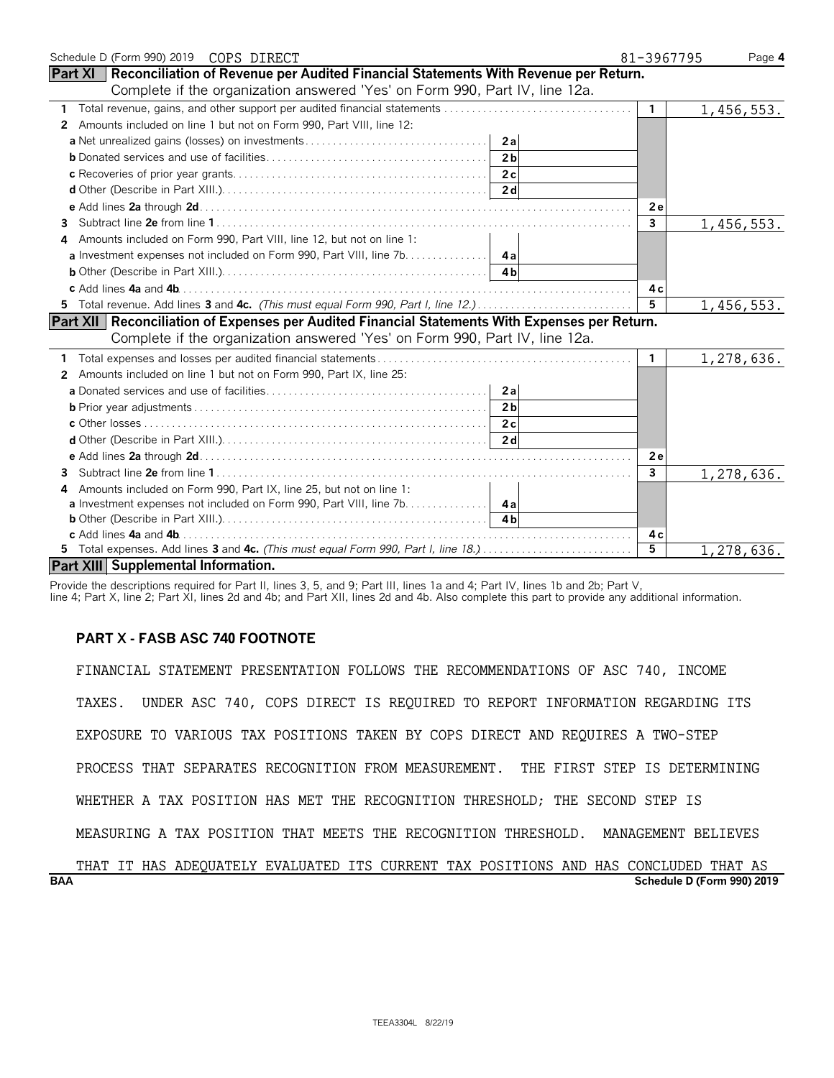| Schedule D (Form 990) 2019 COPS DIRECT                                                               | 81-3967795     | Page 4     |
|------------------------------------------------------------------------------------------------------|----------------|------------|
| <b>Part XI   Reconciliation of Revenue per Audited Financial Statements With Revenue per Return.</b> |                |            |
| Complete if the organization answered 'Yes' on Form 990, Part IV, line 12a.                          |                |            |
|                                                                                                      | $\mathbf{1}$   | 1,456,553. |
| Amounts included on line 1 but not on Form 990, Part VIII, line 12:<br>2                             |                |            |
| 2al                                                                                                  |                |            |
| 2 <sub>b</sub>                                                                                       |                |            |
|                                                                                                      |                |            |
|                                                                                                      |                |            |
|                                                                                                      | 2e             |            |
| 3                                                                                                    | $\overline{3}$ | 1,456,553. |
| Amounts included on Form 990, Part VIII, line 12, but not on line 1:<br>4                            |                |            |
| <b>a</b> Investment expenses not included on Form 990, Part VIII, line 7b. 4a                        |                |            |
|                                                                                                      |                |            |
|                                                                                                      | 4 с            |            |
|                                                                                                      | 5              | 1,456,553. |
| Part XII   Reconciliation of Expenses per Audited Financial Statements With Expenses per Return.     |                |            |
| Complete if the organization answered 'Yes' on Form 990, Part IV, line 12a.                          |                |            |
|                                                                                                      | $\mathbf{1}$   | 1,278,636. |
| Amounts included on line 1 but not on Form 990, Part IX, line 25:<br>2                               |                |            |
| 2a                                                                                                   |                |            |
| 2 <sub>b</sub>                                                                                       |                |            |
|                                                                                                      |                |            |
|                                                                                                      |                |            |
|                                                                                                      | 2e             |            |
| 3                                                                                                    | 3              | 1,278,636. |
| Amounts included on Form 990, Part IX, line 25, but not on line 1:<br>4                              |                |            |
| <b>a</b> Investment expenses not included on Form 990, Part VIII, line 7b. 4a                        |                |            |
|                                                                                                      |                |            |
|                                                                                                      | 4 c            |            |
| 5 Total expenses. Add lines 3 and 4c. (This must equal Form 990, Part I, line 18.)                   | 5              | 1,278,636. |
| Part XIII Supplemental Information.                                                                  |                |            |

Provide the descriptions required for Part II, lines 3, 5, and 9; Part III, lines 1a and 4; Part IV, lines 1b and 2b; Part V,

line 4; Part X, line 2; Part XI, lines 2d and 4b; and Part XII, lines 2d and 4b. Also complete this part to provide any additional information.

### **PART X - FASB ASC 740 FOOTNOTE**

FINANCIAL STATEMENT PRESENTATION FOLLOWS THE RECOMMENDATIONS OF ASC 740, INCOME TAXES. UNDER ASC 740, COPS DIRECT IS REQUIRED TO REPORT INFORMATION REGARDING ITS EXPOSURE TO VARIOUS TAX POSITIONS TAKEN BY COPS DIRECT AND REQUIRES A TWO-STEP PROCESS THAT SEPARATES RECOGNITION FROM MEASUREMENT. THE FIRST STEP IS DETERMINING WHETHER A TAX POSITION HAS MET THE RECOGNITION THRESHOLD; THE SECOND STEP IS MEASURING A TAX POSITION THAT MEETS THE RECOGNITION THRESHOLD. MANAGEMENT BELIEVES

**BAA Schedule D (Form 990) 2019** THAT IT HAS ADEQUATELY EVALUATED ITS CURRENT TAX POSITIONS AND HAS CONCLUDED THAT AS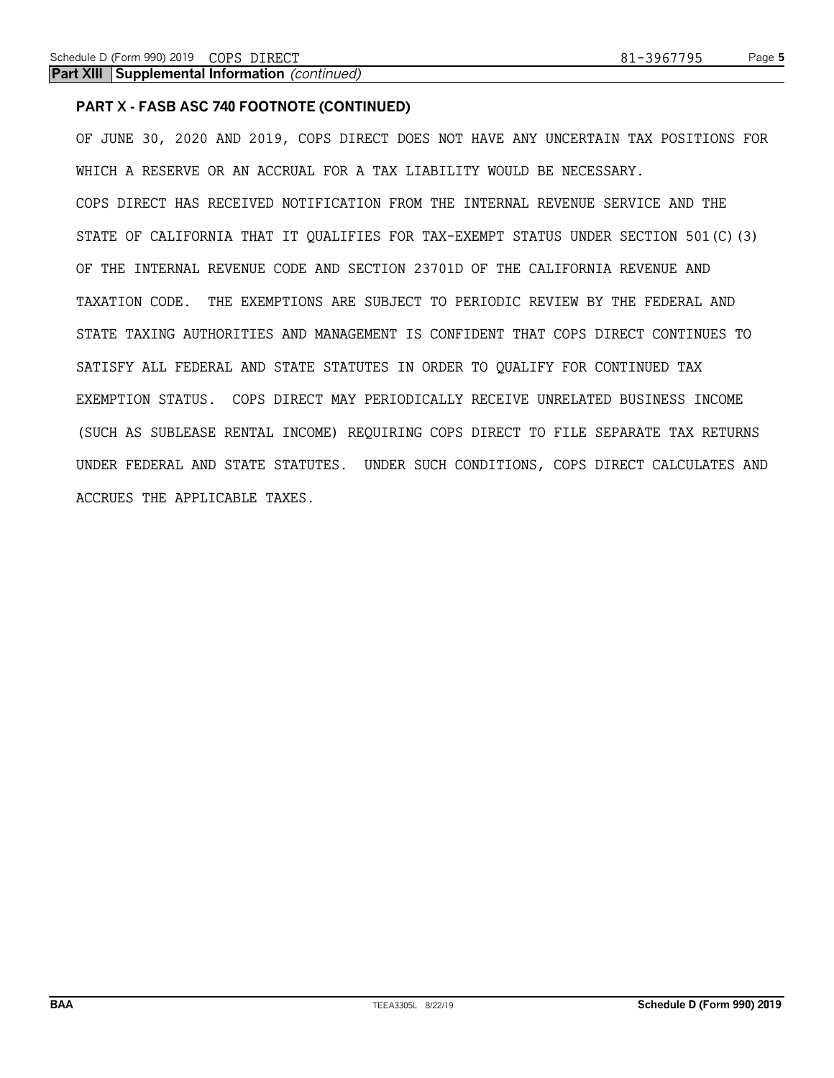### **PART X - FASB ASC 740 FOOTNOTE (CONTINUED)**

OF JUNE 30, 2020 AND 2019, COPS DIRECT DOES NOT HAVE ANY UNCERTAIN TAX POSITIONS FOR WHICH A RESERVE OR AN ACCRUAL FOR A TAX LIABILITY WOULD BE NECESSARY. COPS DIRECT HAS RECEIVED NOTIFICATION FROM THE INTERNAL REVENUE SERVICE AND THE STATE OF CALIFORNIA THAT IT QUALIFIES FOR TAX-EXEMPT STATUS UNDER SECTION 501(C)(3) OF THE INTERNAL REVENUE CODE AND SECTION 23701D OF THE CALIFORNIA REVENUE AND TAXATION CODE. THE EXEMPTIONS ARE SUBJECT TO PERIODIC REVIEW BY THE FEDERAL AND STATE TAXING AUTHORITIES AND MANAGEMENT IS CONFIDENT THAT COPS DIRECT CONTINUES TO SATISFY ALL FEDERAL AND STATE STATUTES IN ORDER TO QUALIFY FOR CONTINUED TAX EXEMPTION STATUS. COPS DIRECT MAY PERIODICALLY RECEIVE UNRELATED BUSINESS INCOME (SUCH AS SUBLEASE RENTAL INCOME) REQUIRING COPS DIRECT TO FILE SEPARATE TAX RETURNS UNDER FEDERAL AND STATE STATUTES. UNDER SUCH CONDITIONS, COPS DIRECT CALCULATES AND ACCRUES THE APPLICABLE TAXES.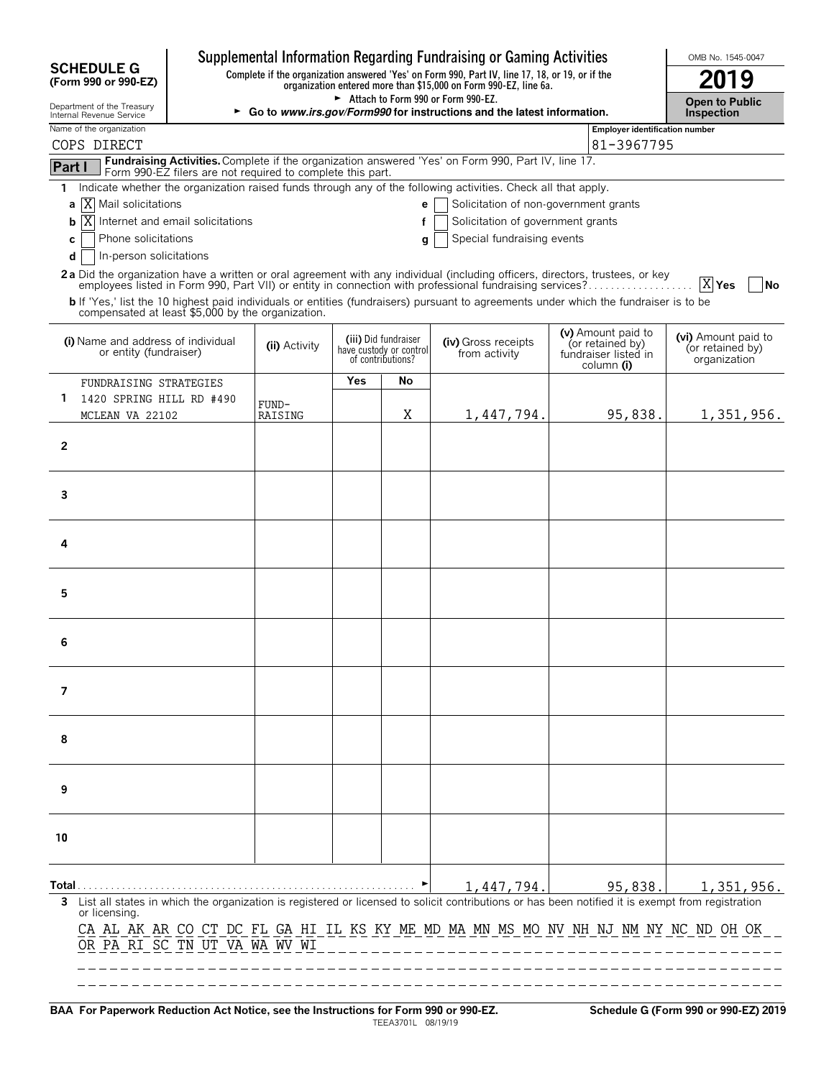| Supplemental Information Regarding Fundraising or Gaming Activities<br><b>SCHEDULE G</b><br>Complete if the organization answered 'Yes' on Form 990, Part IV, line 17, 18, or 19, or if the |                                                            |               |                                              |                                                                      |                                                                                                                                                                  |                                                                              | OMB No. 1545-0047                                       |  |  |  |
|---------------------------------------------------------------------------------------------------------------------------------------------------------------------------------------------|------------------------------------------------------------|---------------|----------------------------------------------|----------------------------------------------------------------------|------------------------------------------------------------------------------------------------------------------------------------------------------------------|------------------------------------------------------------------------------|---------------------------------------------------------|--|--|--|
| (Form 990 or 990-EZ)                                                                                                                                                                        |                                                            |               |                                              |                                                                      | organization entered more than \$15,000 on Form 990-EZ, line 6a.                                                                                                 |                                                                              | 2019                                                    |  |  |  |
| Department of the Treasury<br>Internal Revenue Service                                                                                                                                      |                                                            |               |                                              |                                                                      | Attach to Form 990 or Form 990-EZ.<br>► Go to www.irs.gov/Form990 for instructions and the latest information.                                                   |                                                                              | <b>Open to Public</b><br>Inspection                     |  |  |  |
| Name of the organization<br>COPS DIRECT                                                                                                                                                     |                                                            |               | Employer identification number<br>81-3967795 |                                                                      |                                                                                                                                                                  |                                                                              |                                                         |  |  |  |
|                                                                                                                                                                                             |                                                            |               |                                              |                                                                      | Fundraising Activities. Complete if the organization answered 'Yes' on Form 990, Part IV, line 17.                                                               |                                                                              |                                                         |  |  |  |
| Part I                                                                                                                                                                                      | Form 990-EZ filers are not required to complete this part. |               |                                              |                                                                      |                                                                                                                                                                  |                                                                              |                                                         |  |  |  |
| 1.<br><b>a</b>   <b>X</b>   Mail solicitations                                                                                                                                              |                                                            |               |                                              | e                                                                    | Indicate whether the organization raised funds through any of the following activities. Check all that apply.<br>Solicitation of non-government grants           |                                                                              |                                                         |  |  |  |
| Internet and email solicitations<br>IX<br>b                                                                                                                                                 |                                                            |               |                                              |                                                                      |                                                                                                                                                                  |                                                                              |                                                         |  |  |  |
| C                                                                                                                                                                                           | Phone solicitations<br>Special fundraising events<br>g     |               |                                              |                                                                      |                                                                                                                                                                  |                                                                              |                                                         |  |  |  |
| In-person solicitations<br>d                                                                                                                                                                |                                                            |               |                                              |                                                                      |                                                                                                                                                                  |                                                                              |                                                         |  |  |  |
|                                                                                                                                                                                             |                                                            |               |                                              |                                                                      | 2a Did the organization have a written or oral agreement with any individual (including officers, directors, trustees, or key                                    |                                                                              | X Yes<br> No                                            |  |  |  |
| compensated at least \$5,000 by the organization.                                                                                                                                           |                                                            |               |                                              |                                                                      | b If 'Yes,' list the 10 highest paid individuals or entities (fundraisers) pursuant to agreements under which the fundraiser is to be                            |                                                                              |                                                         |  |  |  |
| (i) Name and address of individual<br>or entity (fundraiser)                                                                                                                                |                                                            | (ii) Activity |                                              | (iii) Did fundraiser<br>have custody or control<br>of contributions? | (iv) Gross receipts<br>from activity                                                                                                                             | (v) Amount paid to<br>(or retained by)<br>fundraiser listed in<br>column (i) | (vi) Amount paid to<br>(or retained by)<br>organization |  |  |  |
| FUNDRAISING STRATEGIES                                                                                                                                                                      |                                                            |               | Yes                                          | No                                                                   |                                                                                                                                                                  |                                                                              |                                                         |  |  |  |
| 1.<br>1420 SPRING HILL RD #490                                                                                                                                                              |                                                            | FUND-         |                                              | Χ                                                                    |                                                                                                                                                                  |                                                                              |                                                         |  |  |  |
| MCLEAN VA 22102                                                                                                                                                                             |                                                            | RAISING       |                                              |                                                                      | 1,447,794.                                                                                                                                                       | 95,838.                                                                      | 1,351,956.                                              |  |  |  |
| 2                                                                                                                                                                                           |                                                            |               |                                              |                                                                      |                                                                                                                                                                  |                                                                              |                                                         |  |  |  |
| 3                                                                                                                                                                                           |                                                            |               |                                              |                                                                      |                                                                                                                                                                  |                                                                              |                                                         |  |  |  |
|                                                                                                                                                                                             |                                                            |               |                                              |                                                                      |                                                                                                                                                                  |                                                                              |                                                         |  |  |  |
| 4                                                                                                                                                                                           |                                                            |               |                                              |                                                                      |                                                                                                                                                                  |                                                                              |                                                         |  |  |  |
| 5                                                                                                                                                                                           |                                                            |               |                                              |                                                                      |                                                                                                                                                                  |                                                                              |                                                         |  |  |  |
| 6                                                                                                                                                                                           |                                                            |               |                                              |                                                                      |                                                                                                                                                                  |                                                                              |                                                         |  |  |  |
| 7                                                                                                                                                                                           |                                                            |               |                                              |                                                                      |                                                                                                                                                                  |                                                                              |                                                         |  |  |  |
| 8                                                                                                                                                                                           |                                                            |               |                                              |                                                                      |                                                                                                                                                                  |                                                                              |                                                         |  |  |  |
| 9                                                                                                                                                                                           |                                                            |               |                                              |                                                                      |                                                                                                                                                                  |                                                                              |                                                         |  |  |  |
| 10                                                                                                                                                                                          |                                                            |               |                                              |                                                                      |                                                                                                                                                                  |                                                                              |                                                         |  |  |  |
| Total                                                                                                                                                                                       |                                                            |               |                                              |                                                                      | 1,447,794.<br>3 List all states in which the organization is registered or licensed to solicit contributions or has been notified it is exempt from registration | 95,838.                                                                      | 1,351,956.                                              |  |  |  |
| or licensing.<br>OR PA RI SC TN UT VA WA WV WI                                                                                                                                              |                                                            |               |                                              |                                                                      | CA AL AK AR CO CT DC FL GA HI IL KS KY ME MD MA MN MS MO NV NH NJ NM NY NC ND OH OK                                                                              |                                                                              |                                                         |  |  |  |

**BAA For Paperwork Reduction Act Notice, see the Instructions for Form 990 or 990-EZ. Schedule G (Form 990 or 990-EZ) 2019** TEEA3701L 08/19/19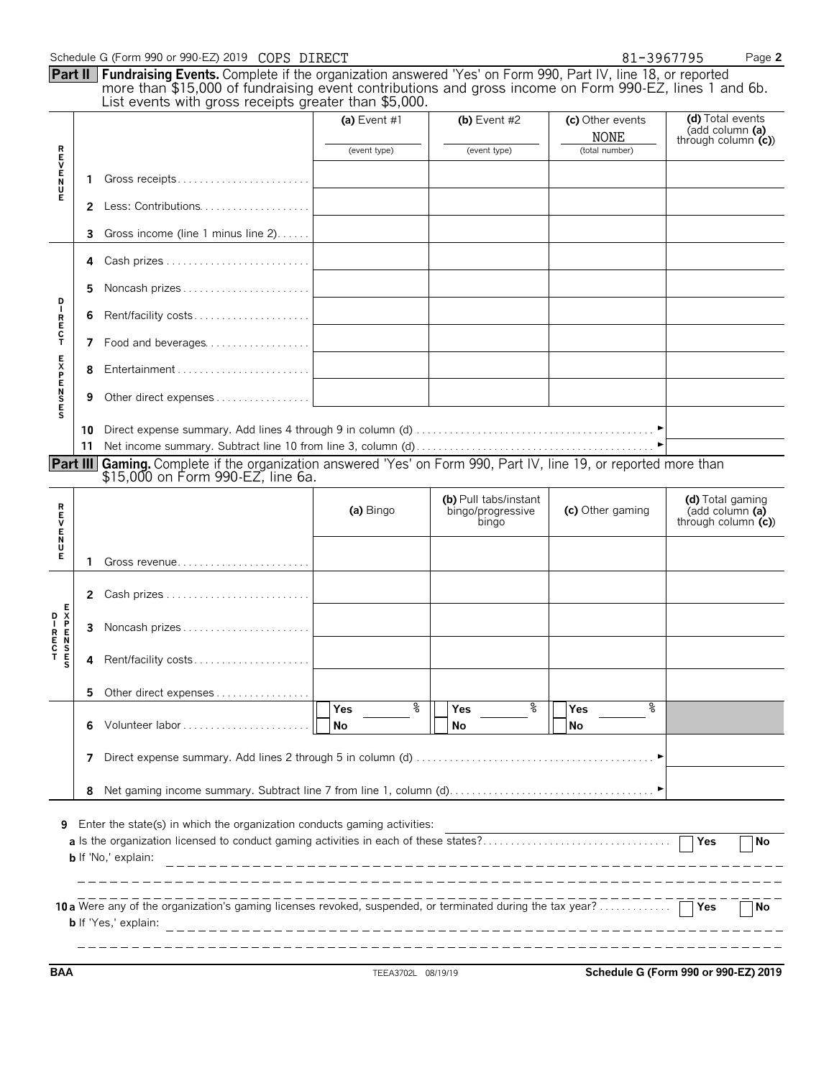|               | Schedule G (Form 990 or 990-EZ) 2019 COPS DIRECT<br>81-3967795 |                                                                                                                                                                                                                                                                                              |                 |                                                     |                                 |                                                             |  |  |  |
|---------------|----------------------------------------------------------------|----------------------------------------------------------------------------------------------------------------------------------------------------------------------------------------------------------------------------------------------------------------------------------------------|-----------------|-----------------------------------------------------|---------------------------------|-------------------------------------------------------------|--|--|--|
|               |                                                                | <b>Part II</b> Fundraising Events. Complete if the organization answered 'Yes' on Form 990, Part IV, line 18, or reported<br>more than \$15,000 of fundraising event contributions and gross income on Form 990-EZ, lines 1 and 6b.<br>List events with gross receipts greater than \$5,000. |                 |                                                     |                                 |                                                             |  |  |  |
|               |                                                                |                                                                                                                                                                                                                                                                                              | (a) Event $#1$  | (b) Event $#2$                                      | (c) Other events<br><b>NONE</b> | (d) Total events<br>(add column (a)<br>through column $(c)$ |  |  |  |
|               |                                                                |                                                                                                                                                                                                                                                                                              | (event type)    | (event type)                                        | (total number)                  |                                                             |  |  |  |
| トロンドイド        | 1                                                              |                                                                                                                                                                                                                                                                                              |                 |                                                     |                                 |                                                             |  |  |  |
|               | 2                                                              |                                                                                                                                                                                                                                                                                              |                 |                                                     |                                 |                                                             |  |  |  |
|               | 3                                                              | Gross income (line 1 minus line 2)                                                                                                                                                                                                                                                           |                 |                                                     |                                 |                                                             |  |  |  |
|               | 4                                                              |                                                                                                                                                                                                                                                                                              |                 |                                                     |                                 |                                                             |  |  |  |
| D<br>IRECT    | 5                                                              |                                                                                                                                                                                                                                                                                              |                 |                                                     |                                 |                                                             |  |  |  |
|               | 6                                                              | Rent/facility costs                                                                                                                                                                                                                                                                          |                 |                                                     |                                 |                                                             |  |  |  |
|               | 7                                                              | Food and beverages                                                                                                                                                                                                                                                                           |                 |                                                     |                                 |                                                             |  |  |  |
|               | 8                                                              |                                                                                                                                                                                                                                                                                              |                 |                                                     |                                 |                                                             |  |  |  |
| <b>SENSES</b> | 9                                                              |                                                                                                                                                                                                                                                                                              |                 |                                                     |                                 |                                                             |  |  |  |
|               | 10                                                             |                                                                                                                                                                                                                                                                                              |                 |                                                     |                                 |                                                             |  |  |  |
|               | 11                                                             |                                                                                                                                                                                                                                                                                              |                 |                                                     |                                 |                                                             |  |  |  |
|               |                                                                | <b>Part III</b> Gaming. Complete if the organization answered 'Yes' on Form 990, Part IV, line 19, or reported more than<br>\$15,000 on Form 990-EZ, line 6a.                                                                                                                                |                 |                                                     |                                 |                                                             |  |  |  |
| アロンドラス        |                                                                |                                                                                                                                                                                                                                                                                              | (a) Bingo       | (b) Pull tabs/instant<br>bingo/progressive<br>bingo | (c) Other gaming                | (d) Total gaming<br>(add column (a)<br>through column $(c)$ |  |  |  |
|               | 1                                                              |                                                                                                                                                                                                                                                                                              |                 |                                                     |                                 |                                                             |  |  |  |
|               |                                                                |                                                                                                                                                                                                                                                                                              |                 |                                                     |                                 |                                                             |  |  |  |
|               | 2                                                              |                                                                                                                                                                                                                                                                                              |                 |                                                     |                                 |                                                             |  |  |  |
|               | 3                                                              |                                                                                                                                                                                                                                                                                              |                 |                                                     |                                 |                                                             |  |  |  |
| s             | 4                                                              | Rent/facility costs                                                                                                                                                                                                                                                                          |                 |                                                     |                                 |                                                             |  |  |  |
|               | 5.                                                             | Other direct expenses                                                                                                                                                                                                                                                                        |                 |                                                     |                                 |                                                             |  |  |  |
|               | 6                                                              |                                                                                                                                                                                                                                                                                              | န္<br>Yes<br>No | ႜ<br><b>Yes</b><br>No                               | °<br>Yes<br>No                  |                                                             |  |  |  |
|               | 7                                                              |                                                                                                                                                                                                                                                                                              |                 |                                                     |                                 |                                                             |  |  |  |
|               | 8                                                              |                                                                                                                                                                                                                                                                                              |                 |                                                     |                                 |                                                             |  |  |  |
|               |                                                                |                                                                                                                                                                                                                                                                                              |                 |                                                     |                                 |                                                             |  |  |  |
| 9             |                                                                | Enter the state(s) in which the organization conducts gaming activities:<br>a Is the organization licensed to conduct gaming activities in each of these states?<br><b>b</b> If 'No,' explain:                                                                                               |                 |                                                     |                                 | Yes<br><b>No</b>                                            |  |  |  |
|               |                                                                | <b>b</b> If 'Yes,' explain:                                                                                                                                                                                                                                                                  |                 |                                                     |                                 | Yes<br>No.                                                  |  |  |  |

**BAA** TEEA3702L 08/19/19 **Schedule G (Form 990 or 990-EZ) 2019**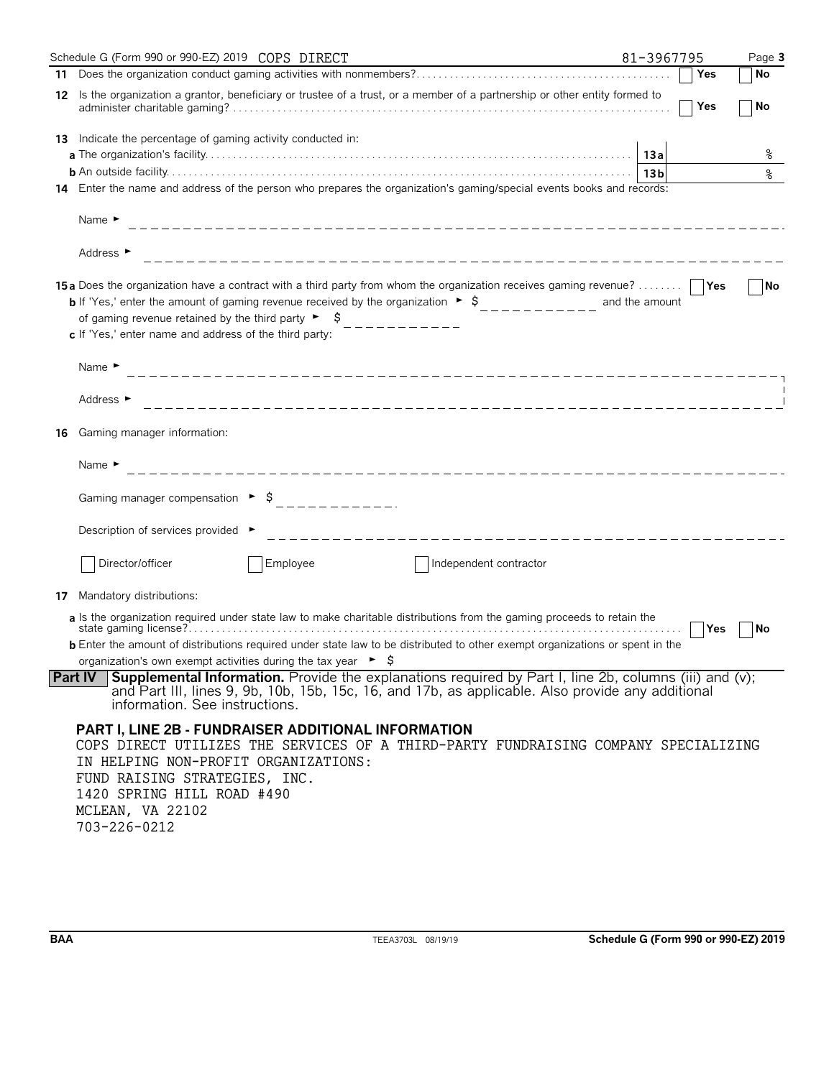|    | Schedule G (Form 990 or 990-EZ) 2019 COPS DIRECT                                                                                                                                                                                                                                                                                                                                                           | 81-3967795 | Page 3    |
|----|------------------------------------------------------------------------------------------------------------------------------------------------------------------------------------------------------------------------------------------------------------------------------------------------------------------------------------------------------------------------------------------------------------|------------|-----------|
|    |                                                                                                                                                                                                                                                                                                                                                                                                            | Yes        | No        |
|    | 12 Is the organization a grantor, beneficiary or trustee of a trust, or a member of a partnership or other entity formed to                                                                                                                                                                                                                                                                                | Yes        | <b>No</b> |
|    | <b>13</b> Indicate the percentage of gaming activity conducted in:                                                                                                                                                                                                                                                                                                                                         |            |           |
|    |                                                                                                                                                                                                                                                                                                                                                                                                            |            | န္        |
|    | 14 Enter the name and address of the person who prepares the organization's gaming/special events books and records:                                                                                                                                                                                                                                                                                       |            |           |
|    | Name $\blacktriangleright$                                                                                                                                                                                                                                                                                                                                                                                 |            |           |
|    | Address ►                                                                                                                                                                                                                                                                                                                                                                                                  |            |           |
|    | 15a Does the organization have a contract with a third party from whom the organization receives gaming revenue?      Yes<br><b>b</b> If 'Yes,' enter the amount of gaming revenue received by the organization $\rightarrow$ \$__________ and the amount<br>of gaming revenue retained by the third party $\begin{bmatrix} 6 & 1 \end{bmatrix}$<br>c If 'Yes,' enter name and address of the third party: |            | <b>No</b> |
|    | Name $\blacktriangleright$                                                                                                                                                                                                                                                                                                                                                                                 |            |           |
|    | Address ►                                                                                                                                                                                                                                                                                                                                                                                                  |            |           |
| 16 | Gaming manager information:                                                                                                                                                                                                                                                                                                                                                                                |            |           |
|    | Name $\blacktriangleright$                                                                                                                                                                                                                                                                                                                                                                                 |            |           |
|    | Gaming manager compensation $\rightarrow$ \$<br>------------                                                                                                                                                                                                                                                                                                                                               |            |           |
|    | Description of services provided ►                                                                                                                                                                                                                                                                                                                                                                         |            |           |
|    | Director/officer<br>Employee<br>Independent contractor                                                                                                                                                                                                                                                                                                                                                     |            |           |
| 17 | Mandatory distributions:                                                                                                                                                                                                                                                                                                                                                                                   |            |           |
|    | a Is the organization required under state law to make charitable distributions from the gaming proceeds to retain the                                                                                                                                                                                                                                                                                     | Yes        | No        |
|    | <b>b</b> Enter the amount of distributions required under state law to be distributed to other exempt organizations or spent in the                                                                                                                                                                                                                                                                        |            |           |
|    | organization's own exempt activities during the tax year $\triangleright$ $\sharp$                                                                                                                                                                                                                                                                                                                         |            |           |
|    | <b>Part IV</b> Supplemental Information. Provide the explanations required by Part I, line 2b, columns (iii) and (v);<br>and Part III, lines 9, 9b, 10b, 15b, 15c, 16, and 17b, as applicable. Also provide any additional<br>information. See instructions.                                                                                                                                               |            |           |
|    | <b>PART I, LINE 2B - FUNDRAISER ADDITIONAL INFORMATION</b><br>COPS DIRECT UTILIZES THE SERVICES OF A THIRD-PARTY FUNDRAISING COMPANY SPECIALIZING<br>IN HELPING NON-PROFIT ORGANIZATIONS:<br>FUND RAISING STRATEGIES, INC.<br>1420 SPRING HILL ROAD #490<br>MCLEAN, VA 22102<br>703-226-0212                                                                                                               |            |           |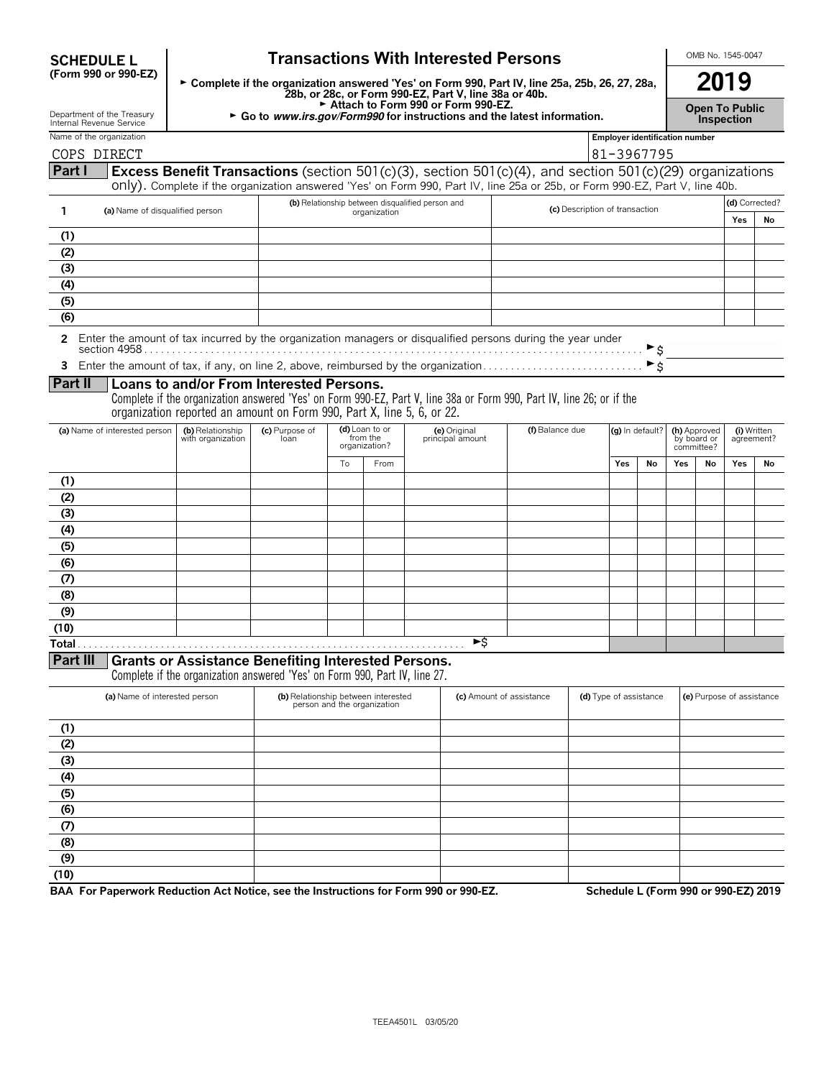| <b>Transactions With Interested Persons</b><br><b>SCHEDULE L</b> |                                                                                                                                       |                                                                                                                                                          |    |                                             |                                  |                                                                                                                                                                                                                                                                                                                                                                                                                                    |                             |                                | OMB No. 1545-0047                          |                                                                        |     |    |
|------------------------------------------------------------------|---------------------------------------------------------------------------------------------------------------------------------------|----------------------------------------------------------------------------------------------------------------------------------------------------------|----|---------------------------------------------|----------------------------------|------------------------------------------------------------------------------------------------------------------------------------------------------------------------------------------------------------------------------------------------------------------------------------------------------------------------------------------------------------------------------------------------------------------------------------|-----------------------------|--------------------------------|--------------------------------------------|------------------------------------------------------------------------|-----|----|
| (Form 990 or 990-EZ)                                             |                                                                                                                                       | ► Complete if the organization answered 'Yes' on Form 990, Part IV, line 25a, 25b, 26, 27, 28a,<br>28b, or 28c, or Form 990-EZ, Part V, line 38a or 40b. |    |                                             |                                  |                                                                                                                                                                                                                                                                                                                                                                                                                                    |                             |                                | 2019                                       |                                                                        |     |    |
| Department of the Treasury<br>Internal Revenue Service           | Attach to Form 990 or Form 990-EZ.<br>► Go to www.irs.gov/Form990 for instructions and the latest information.                        |                                                                                                                                                          |    |                                             |                                  |                                                                                                                                                                                                                                                                                                                                                                                                                                    |                             |                                | <b>Open To Public</b><br><b>Inspection</b> |                                                                        |     |    |
| Name of the organization<br>COPS DIRECT                          | <b>Employer identification number</b><br>81-3967795                                                                                   |                                                                                                                                                          |    |                                             |                                  |                                                                                                                                                                                                                                                                                                                                                                                                                                    |                             |                                |                                            |                                                                        |     |    |
| Part I                                                           |                                                                                                                                       |                                                                                                                                                          |    |                                             |                                  | <b>Excess Benefit Transactions</b> (section 501(c)(3), section 501(c)(4), and section 501(c)(29) organizations<br>only). Complete if the organization answered 'Yes' on Form 990, Part IV, line 25a or 25b, or Form 990-EZ, Part V, line 40b.                                                                                                                                                                                      |                             |                                |                                            |                                                                        |     |    |
| 1                                                                | (b) Relationship between disqualified person and<br>(c) Description of transaction<br>(a) Name of disqualified person<br>organization |                                                                                                                                                          |    |                                             |                                  |                                                                                                                                                                                                                                                                                                                                                                                                                                    | (d) Corrected?<br>Yes<br>No |                                |                                            |                                                                        |     |    |
| (1)                                                              |                                                                                                                                       |                                                                                                                                                          |    |                                             |                                  |                                                                                                                                                                                                                                                                                                                                                                                                                                    |                             |                                |                                            |                                                                        |     |    |
| (2)                                                              |                                                                                                                                       |                                                                                                                                                          |    |                                             |                                  |                                                                                                                                                                                                                                                                                                                                                                                                                                    |                             |                                |                                            |                                                                        |     |    |
| (3)                                                              |                                                                                                                                       |                                                                                                                                                          |    |                                             |                                  |                                                                                                                                                                                                                                                                                                                                                                                                                                    |                             |                                |                                            |                                                                        |     |    |
| (4)                                                              |                                                                                                                                       |                                                                                                                                                          |    |                                             |                                  |                                                                                                                                                                                                                                                                                                                                                                                                                                    |                             |                                |                                            |                                                                        |     |    |
| (5)<br>(6)                                                       |                                                                                                                                       |                                                                                                                                                          |    |                                             |                                  |                                                                                                                                                                                                                                                                                                                                                                                                                                    |                             |                                |                                            |                                                                        |     |    |
| 2                                                                |                                                                                                                                       |                                                                                                                                                          |    |                                             |                                  | Enter the amount of tax incurred by the organization managers or disqualified persons during the year under<br>section 4958 section of the section of the section of the section of the section of the section of the section of the section of the section of the section of the section of the section of the section of the section of the<br>Enter the amount of tax, if any, on line 2, above, reimbursed by the organization |                             | ►s<br>$\blacktriangleright$ \$ |                                            |                                                                        |     |    |
| Part II                                                          | Loans to and/or From Interested Persons.<br>organization reported an amount on Form 990, Part X, line 5, 6, or 22.                    |                                                                                                                                                          |    |                                             |                                  | Complete if the organization answered 'Yes' on Form 990-EZ, Part V, line 38a or Form 990, Part IV, line 26; or if the                                                                                                                                                                                                                                                                                                              |                             |                                |                                            |                                                                        |     |    |
| (a) Name of interested person                                    | (b) Relationship<br>with organization                                                                                                 | (c) Purpose of<br>loan                                                                                                                                   |    | (d) Loan to or<br>from the<br>organization? | (e) Original<br>principal amount | (f) Balance due                                                                                                                                                                                                                                                                                                                                                                                                                    |                             | (g) In default?                |                                            | (h) Approved<br>(i) Written<br>by board or<br>agreement?<br>committee? |     |    |
|                                                                  |                                                                                                                                       |                                                                                                                                                          | Tο | From                                        |                                  |                                                                                                                                                                                                                                                                                                                                                                                                                                    | Yes                         | Nο                             | Yes                                        | Nο                                                                     | Yes | No |
| (1)                                                              |                                                                                                                                       |                                                                                                                                                          |    |                                             |                                  |                                                                                                                                                                                                                                                                                                                                                                                                                                    |                             |                                |                                            |                                                                        |     |    |
| (2)                                                              |                                                                                                                                       |                                                                                                                                                          |    |                                             |                                  |                                                                                                                                                                                                                                                                                                                                                                                                                                    |                             |                                |                                            |                                                                        |     |    |
| (3)                                                              |                                                                                                                                       |                                                                                                                                                          |    |                                             |                                  |                                                                                                                                                                                                                                                                                                                                                                                                                                    |                             |                                |                                            |                                                                        |     |    |
| (4)<br>/ፍ\                                                       |                                                                                                                                       |                                                                                                                                                          |    |                                             |                                  |                                                                                                                                                                                                                                                                                                                                                                                                                                    |                             |                                |                                            |                                                                        |     |    |

| . .      |  |  |  |  |  |  |
|----------|--|--|--|--|--|--|
|          |  |  |  |  |  |  |
|          |  |  |  |  |  |  |
|          |  |  |  |  |  |  |
|          |  |  |  |  |  |  |
| $\alpha$ |  |  |  |  |  |  |
| (10)     |  |  |  |  |  |  |
|          |  |  |  |  |  |  |

## **Part III Grants or Assistance Benefiting Interested Persons.**

Complete if the organization answered 'Yes' on Form 990, Part IV, line 27.

|      | (a) Name of interested person | (b) Relationship between interested<br>person and the organization | (c) Amount of assistance | (d) Type of assistance | (e) Purpose of assistance |
|------|-------------------------------|--------------------------------------------------------------------|--------------------------|------------------------|---------------------------|
| (1)  |                               |                                                                    |                          |                        |                           |
| (2)  |                               |                                                                    |                          |                        |                           |
| (3)  |                               |                                                                    |                          |                        |                           |
| (4)  |                               |                                                                    |                          |                        |                           |
| (5)  |                               |                                                                    |                          |                        |                           |
| (6)  |                               |                                                                    |                          |                        |                           |
| (7)  |                               |                                                                    |                          |                        |                           |
| (8)  |                               |                                                                    |                          |                        |                           |
| (9)  |                               |                                                                    |                          |                        |                           |
| (10) |                               |                                                                    |                          |                        |                           |

**BAA For Paperwork Reduction Act Notice, see the Instructions for Form 990 or 990-EZ. Schedule L (Form 990 or 990-EZ) 2019**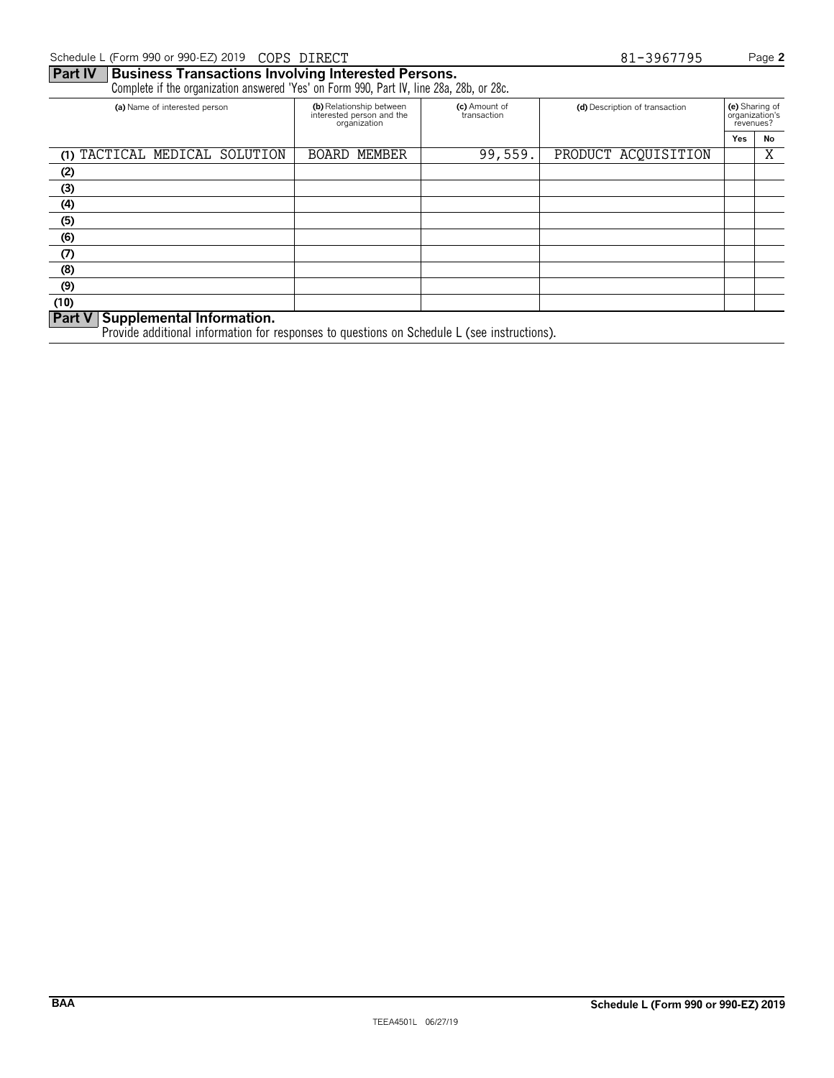### **Part IV Business Transactions Involving Interested Persons.** Complete if the organization answered 'Yes' on Form 990, Part IV, line 28a, 28b, or 28c. **(a)** Name of interested person **(b)** Relationship between **(c)** Amount of **(d)** Description of transaction **(e)** Sharing of interested person and the **(c)** Amount of **(d)** Description of transaction **(e)** Sharing of inter interested person and the transaction organization's<br>organization organization organization organization's **Yes No** (1) TACTICAL MEDICAL SOLUTION | BOARD MEMBER | 99,559. PRODUCT ACQUISITION | X **(2) (3) (4) (5) (6) (7) (8) (9) (10) Part V Supplemental Information.**

Provide additional information for responses to questions on Schedule L (see instructions).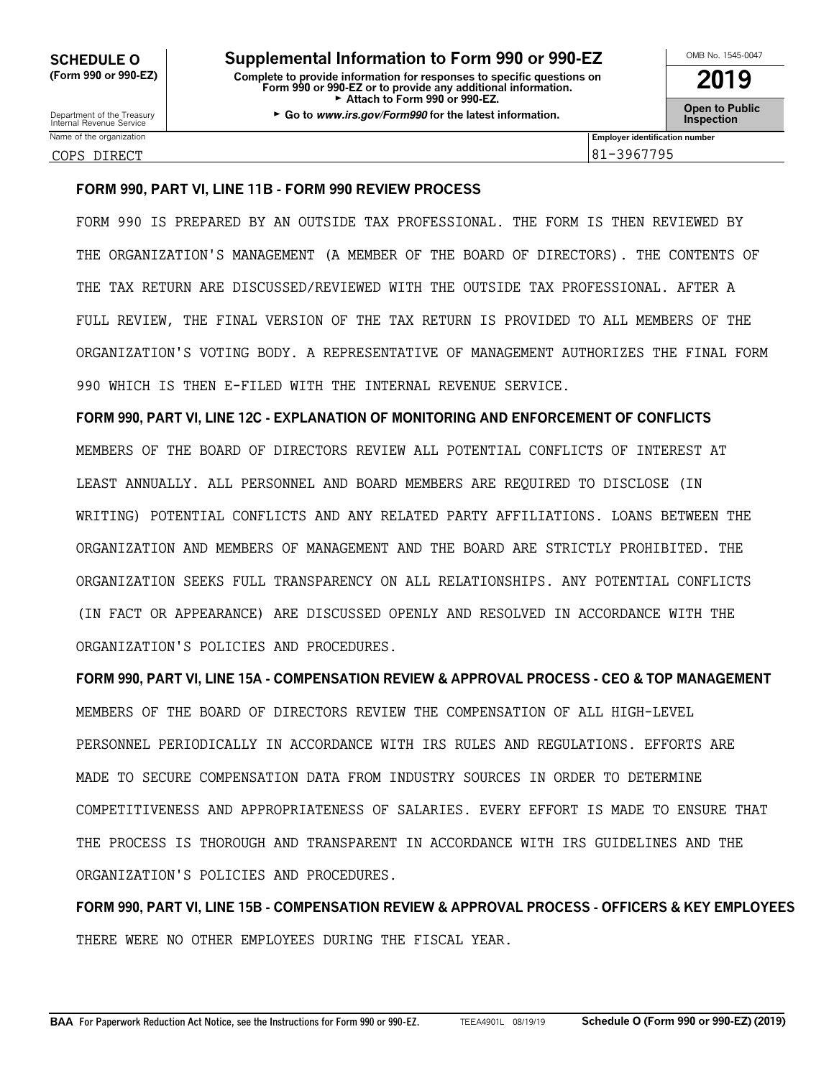| OMB No. 1545-0047                    |
|--------------------------------------|
| 2019                                 |
| <b>Open to Public<br/>Inspection</b> |

Name of the organization **Employer identification number** COPS DIRECT 81-3967795

### **FORM 990, PART VI, LINE 11B - FORM 990 REVIEW PROCESS**

FORM 990 IS PREPARED BY AN OUTSIDE TAX PROFESSIONAL. THE FORM IS THEN REVIEWED BY THE ORGANIZATION'S MANAGEMENT (A MEMBER OF THE BOARD OF DIRECTORS). THE CONTENTS OF THE TAX RETURN ARE DISCUSSED/REVIEWED WITH THE OUTSIDE TAX PROFESSIONAL. AFTER A FULL REVIEW, THE FINAL VERSION OF THE TAX RETURN IS PROVIDED TO ALL MEMBERS OF THE ORGANIZATION'S VOTING BODY. A REPRESENTATIVE OF MANAGEMENT AUTHORIZES THE FINAL FORM 990 WHICH IS THEN E-FILED WITH THE INTERNAL REVENUE SERVICE.

**FORM 990, PART VI, LINE 12C - EXPLANATION OF MONITORING AND ENFORCEMENT OF CONFLICTS** MEMBERS OF THE BOARD OF DIRECTORS REVIEW ALL POTENTIAL CONFLICTS OF INTEREST AT LEAST ANNUALLY. ALL PERSONNEL AND BOARD MEMBERS ARE REQUIRED TO DISCLOSE (IN WRITING) POTENTIAL CONFLICTS AND ANY RELATED PARTY AFFILIATIONS. LOANS BETWEEN THE ORGANIZATION AND MEMBERS OF MANAGEMENT AND THE BOARD ARE STRICTLY PROHIBITED. THE ORGANIZATION SEEKS FULL TRANSPARENCY ON ALL RELATIONSHIPS. ANY POTENTIAL CONFLICTS (IN FACT OR APPEARANCE) ARE DISCUSSED OPENLY AND RESOLVED IN ACCORDANCE WITH THE ORGANIZATION'S POLICIES AND PROCEDURES.

**FORM 990, PART VI, LINE 15A - COMPENSATION REVIEW & APPROVAL PROCESS - CEO & TOP MANAGEMENT** MEMBERS OF THE BOARD OF DIRECTORS REVIEW THE COMPENSATION OF ALL HIGH-LEVEL PERSONNEL PERIODICALLY IN ACCORDANCE WITH IRS RULES AND REGULATIONS. EFFORTS ARE MADE TO SECURE COMPENSATION DATA FROM INDUSTRY SOURCES IN ORDER TO DETERMINE COMPETITIVENESS AND APPROPRIATENESS OF SALARIES. EVERY EFFORT IS MADE TO ENSURE THAT THE PROCESS IS THOROUGH AND TRANSPARENT IN ACCORDANCE WITH IRS GUIDELINES AND THE ORGANIZATION'S POLICIES AND PROCEDURES.

**FORM 990, PART VI, LINE 15B - COMPENSATION REVIEW & APPROVAL PROCESS - OFFICERS & KEY EMPLOYEES** THERE WERE NO OTHER EMPLOYEES DURING THE FISCAL YEAR.